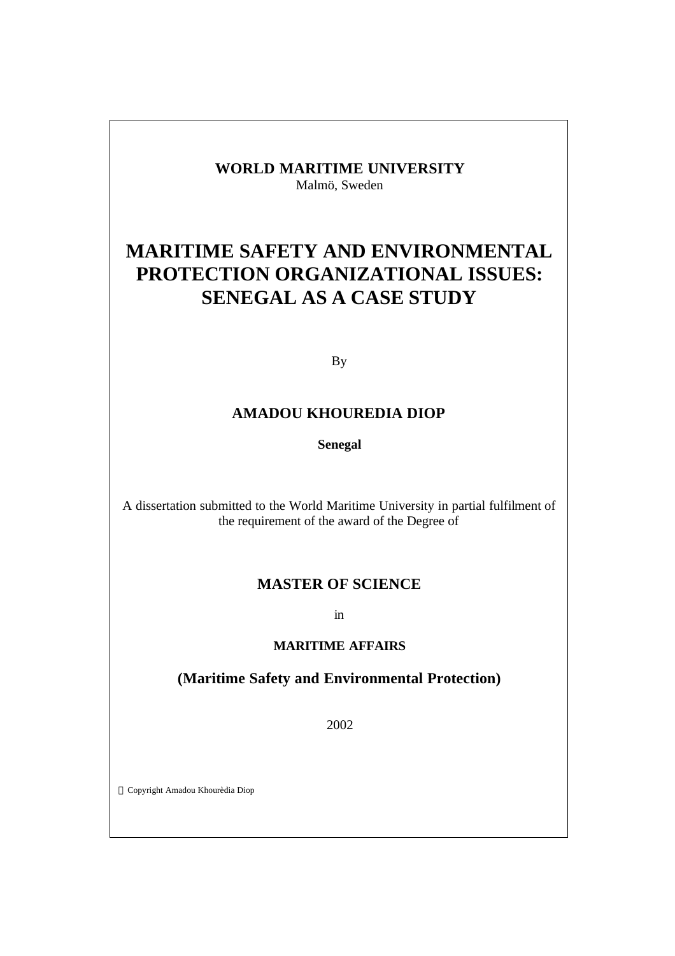## **WORLD MARITIME UNIVERSITY** Malmö, Sweden

# **MARITIME SAFETY AND ENVIRONMENTAL PROTECTION ORGANIZATIONAL ISSUES: SENEGAL AS A CASE STUDY**

By

## **AMADOU KHOUREDIA DIOP**

**Senegal**

A dissertation submitted to the World Maritime University in partial fulfilment of the requirement of the award of the Degree of

### **MASTER OF SCIENCE**

in

### **MARITIME AFFAIRS**

## **(Maritime Safety and Environmental Protection)**

2002

Copyright Amadou Khourèdia Diop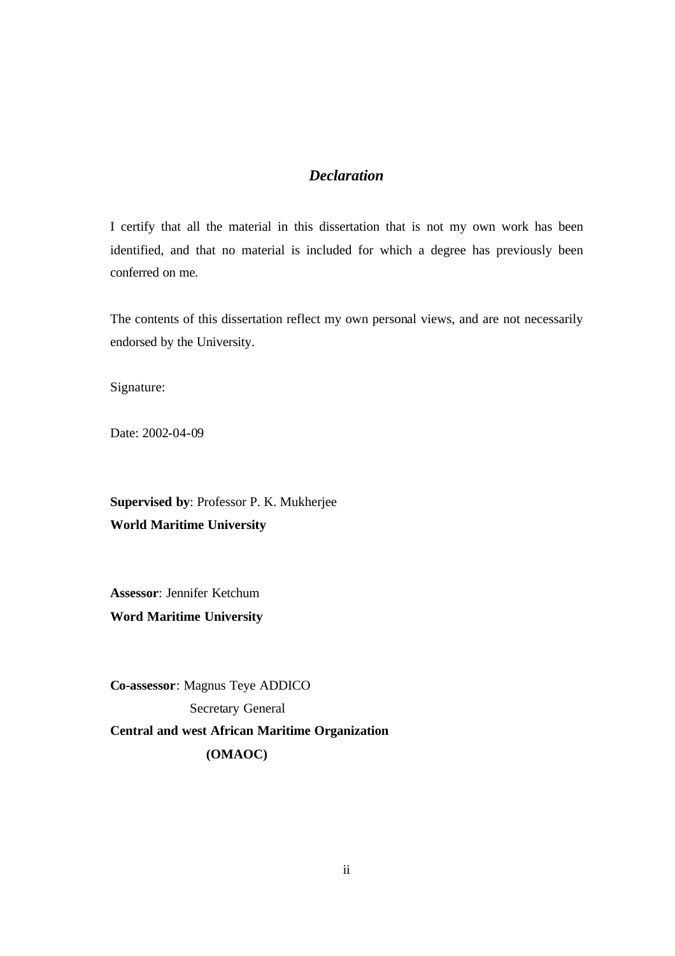## *Declaration*

I certify that all the material in this dissertation that is not my own work has been identified, and that no material is included for which a degree has previously been conferred on me.

The contents of this dissertation reflect my own personal views, and are not necessarily endorsed by the University.

Signature:

Date: 2002-04-09

**Supervised by**: Professor P. K. Mukherjee **World Maritime University**

**Assessor**: Jennifer Ketchum **Word Maritime University**

**Co-assessor**: Magnus Teye ADDICO Secretary General **Central and west African Maritime Organization (OMAOC)**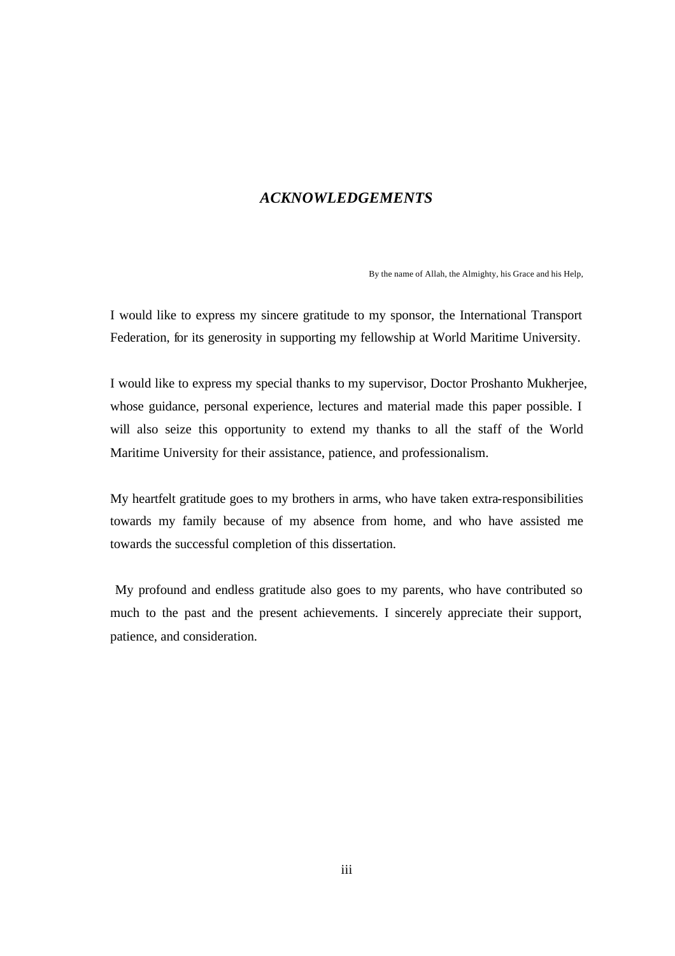### *ACKNOWLEDGEMENTS*

By the name of Allah, the Almighty, his Grace and his Help,

I would like to express my sincere gratitude to my sponsor, the International Transport Federation, for its generosity in supporting my fellowship at World Maritime University.

I would like to express my special thanks to my supervisor, Doctor Proshanto Mukherjee, whose guidance, personal experience, lectures and material made this paper possible. I will also seize this opportunity to extend my thanks to all the staff of the World Maritime University for their assistance, patience, and professionalism.

My heartfelt gratitude goes to my brothers in arms, who have taken extra-responsibilities towards my family because of my absence from home, and who have assisted me towards the successful completion of this dissertation.

 My profound and endless gratitude also goes to my parents, who have contributed so much to the past and the present achievements. I sincerely appreciate their support, patience, and consideration.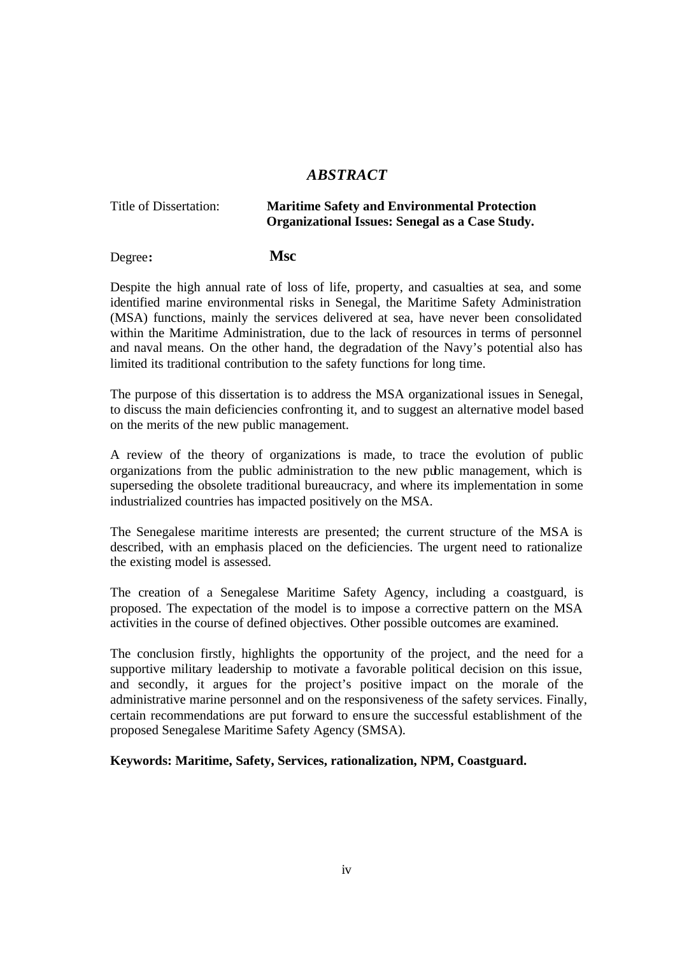### *ABSTRACT*

#### Title of Dissertation: **Maritime Safety and Environmental Protection Organizational Issues: Senegal as a Case Study.**

### Degree**: Msc**

Despite the high annual rate of loss of life, property, and casualties at sea, and some identified marine environmental risks in Senegal, the Maritime Safety Administration (MSA) functions, mainly the services delivered at sea, have never been consolidated within the Maritime Administration, due to the lack of resources in terms of personnel and naval means. On the other hand, the degradation of the Navy's potential also has limited its traditional contribution to the safety functions for long time.

The purpose of this dissertation is to address the MSA organizational issues in Senegal, to discuss the main deficiencies confronting it, and to suggest an alternative model based on the merits of the new public management.

A review of the theory of organizations is made, to trace the evolution of public organizations from the public administration to the new public management, which is superseding the obsolete traditional bureaucracy, and where its implementation in some industrialized countries has impacted positively on the MSA.

The Senegalese maritime interests are presented; the current structure of the MSA is described, with an emphasis placed on the deficiencies. The urgent need to rationalize the existing model is assessed.

The creation of a Senegalese Maritime Safety Agency, including a coastguard, is proposed. The expectation of the model is to impose a corrective pattern on the MSA activities in the course of defined objectives. Other possible outcomes are examined.

The conclusion firstly, highlights the opportunity of the project, and the need for a supportive military leadership to motivate a favorable political decision on this issue, and secondly, it argues for the project's positive impact on the morale of the administrative marine personnel and on the responsiveness of the safety services. Finally, certain recommendations are put forward to ensure the successful establishment of the proposed Senegalese Maritime Safety Agency (SMSA).

**Keywords: Maritime, Safety, Services, rationalization, NPM, Coastguard.**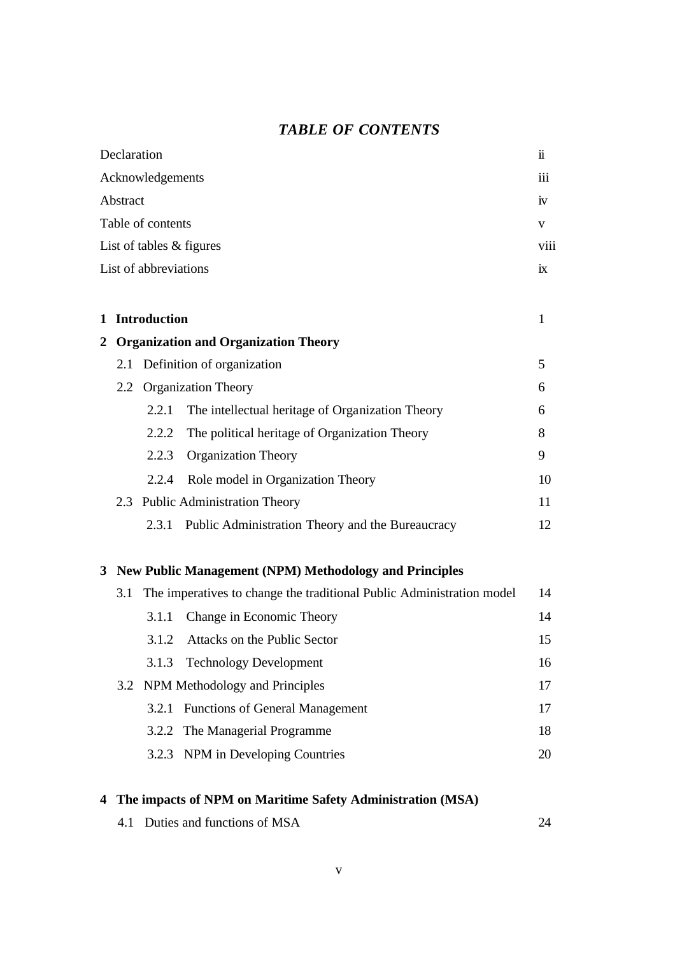## *TABLE OF CONTENTS*

|                | Declaration      |                       |                                                                       |      |
|----------------|------------------|-----------------------|-----------------------------------------------------------------------|------|
|                | Acknowledgements |                       |                                                                       |      |
| Abstract<br>1V |                  |                       |                                                                       |      |
|                |                  | Table of contents     |                                                                       | V    |
|                |                  |                       | List of tables & figures                                              | viii |
|                |                  | List of abbreviations |                                                                       | ix   |
|                |                  |                       |                                                                       |      |
| 1              |                  | <b>Introduction</b>   |                                                                       | 1    |
| 2              |                  |                       | <b>Organization and Organization Theory</b>                           |      |
|                | 2.1              |                       | Definition of organization                                            | 5    |
|                |                  |                       | 2.2 Organization Theory                                               | 6    |
|                |                  | 2.2.1                 | The intellectual heritage of Organization Theory                      | 6    |
|                |                  | 2.2.2                 | The political heritage of Organization Theory                         | 8    |
|                |                  | 2.2.3                 | <b>Organization Theory</b>                                            | 9    |
|                |                  | 2.2.4                 | Role model in Organization Theory                                     | 10   |
|                |                  |                       | 2.3 Public Administration Theory                                      | 11   |
|                |                  |                       | 2.3.1 Public Administration Theory and the Bureaucracy                | 12   |
|                |                  |                       | 3 New Public Management (NPM) Methodology and Principles              |      |
|                | 3.1              |                       | The imperatives to change the traditional Public Administration model | 14   |
|                |                  | 3.1.1                 | Change in Economic Theory                                             | 14   |
|                |                  | 3.1.2                 | Attacks on the Public Sector                                          | 15   |
|                |                  |                       | 3.1.3 Technology Development                                          | 16   |
|                | 3.2              |                       | NPM Methodology and Principles                                        | 17   |
|                |                  |                       | 3.2.1 Functions of General Management                                 | 17   |
|                |                  | 3.2.2                 | The Managerial Programme                                              | 18   |
|                |                  | 3.2.3                 | NPM in Developing Countries                                           | 20   |
|                |                  |                       |                                                                       |      |

## **4 The impacts of NPM on Maritime Safety Administration (MSA)**

|  | 4.1 Duties and functions of MSA |  |
|--|---------------------------------|--|
|--|---------------------------------|--|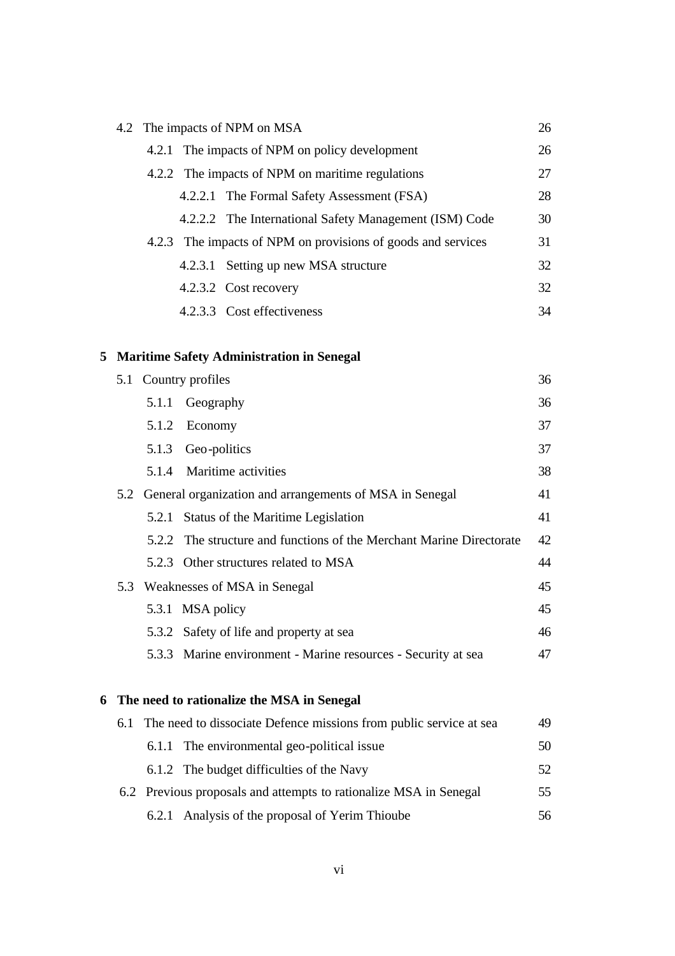|         | 4.2 The impacts of NPM on MSA                                | 26 |
|---------|--------------------------------------------------------------|----|
|         | 4.2.1 The impacts of NPM on policy development               | 26 |
|         | 4.2.2 The impacts of NPM on maritime regulations             | 27 |
|         | 4.2.2.1 The Formal Safety Assessment (FSA)                   | 28 |
|         | 4.2.2.2 The International Safety Management (ISM) Code       | 30 |
|         | 4.2.3 The impacts of NPM on provisions of goods and services | 31 |
| 4.2.3.1 | Setting up new MSA structure                                 | 32 |
|         | 4.2.3.2 Cost recovery                                        | 32 |
|         | 4.2.3.3 Cost effectiveness                                   | 34 |
|         |                                                              |    |

## **5 Maritime Safety Administration in Senegal**

|   |     |       | 5.1 Country profiles                                                 | 36 |
|---|-----|-------|----------------------------------------------------------------------|----|
|   |     | 5.1.1 | Geography                                                            | 36 |
|   |     | 5.1.2 | Economy                                                              | 37 |
|   |     | 5.1.3 | Geo-politics                                                         | 37 |
|   |     | 5.1.4 | Maritime activities                                                  | 38 |
|   | 5.2 |       | General organization and arrangements of MSA in Senegal              | 41 |
|   |     | 5.2.1 | Status of the Maritime Legislation                                   | 41 |
|   |     |       | 5.2.2 The structure and functions of the Merchant Marine Directorate | 42 |
|   |     |       | 5.2.3 Other structures related to MSA                                | 44 |
|   |     |       | 5.3 Weaknesses of MSA in Senegal                                     | 45 |
|   |     |       | 5.3.1 MSA policy                                                     | 45 |
|   |     |       | 5.3.2 Safety of life and property at sea                             | 46 |
|   |     |       | 5.3.3 Marine environment - Marine resources - Security at sea        | 47 |
|   |     |       |                                                                      |    |
| 6 |     |       | The need to rationalize the MSA in Senegal                           |    |
|   | 6.1 |       | The need to dissociate Defence missions from public service at sea   | 49 |
|   |     | 6.1.1 | The environmental geo-political issue                                | 50 |
|   |     |       | 6.1.2 The budget difficulties of the Navy                            | 52 |

| 6.2 Previous proposals and attempts to rationalize MSA in Senegal |  | 55                                              |    |
|-------------------------------------------------------------------|--|-------------------------------------------------|----|
|                                                                   |  | 6.2.1 Analysis of the proposal of Yerim Thioube | 56 |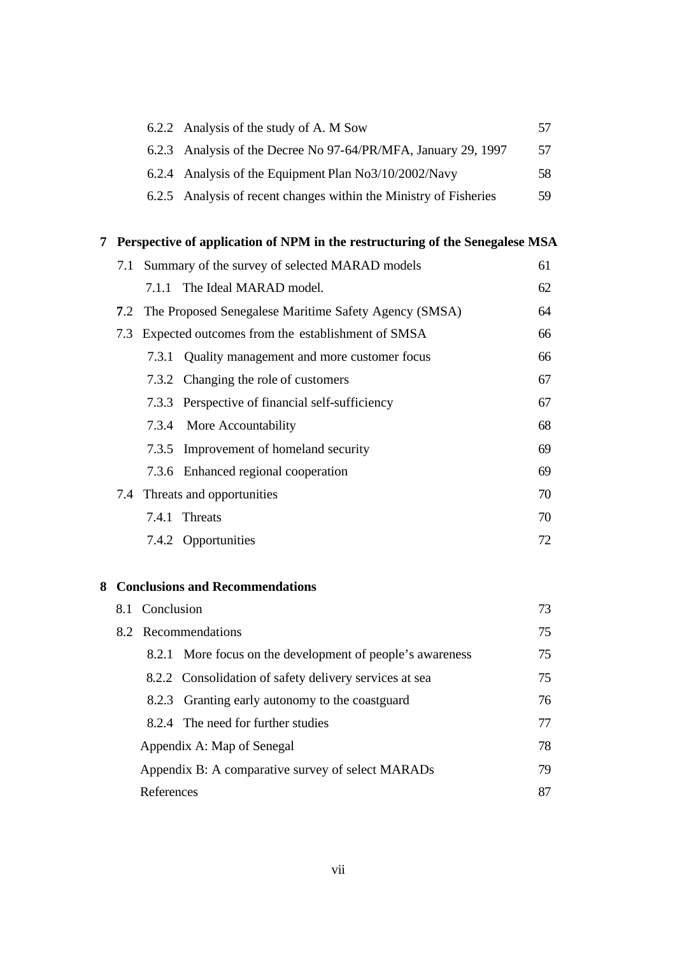|  | 6.2.2 Analysis of the study of A. M Sow                           |     |
|--|-------------------------------------------------------------------|-----|
|  | 6.2.3 Analysis of the Decree No 97-64/PR/MFA, January 29, 1997    | 57  |
|  | 6.2.4 Analysis of the Equipment Plan No3/10/2002/Navy             | 58. |
|  | 6.2.5 Analysis of recent changes within the Ministry of Fisheries | 59  |

## **7 Perspective of application of NPM in the restructuring of the Senegalese MSA**

| 7.1 Summary of the survey of selected MARAD models |                                                           | 61 |
|----------------------------------------------------|-----------------------------------------------------------|----|
| 7.1.1                                              | The Ideal MARAD model.                                    | 62 |
|                                                    | 7.2 The Proposed Senegalese Maritime Safety Agency (SMSA) | 64 |
|                                                    | 7.3 Expected outcomes from the establishment of SMSA      | 66 |
|                                                    | 7.3.1 Quality management and more customer focus          | 66 |
|                                                    | 7.3.2 Changing the role of customers                      | 67 |
|                                                    | 7.3.3 Perspective of financial self-sufficiency           | 67 |
|                                                    | 7.3.4 More Accountability                                 | 68 |
|                                                    | 7.3.5 Improvement of homeland security                    | 69 |
|                                                    | 7.3.6 Enhanced regional cooperation                       | 69 |
|                                                    | 7.4 Threats and opportunities                             | 70 |
|                                                    | 7.4.1 Threats                                             | 70 |
|                                                    | 7.4.2 Opportunities                                       | 72 |

## **8 Conclusions and Recommendations**

| 8.1 Conclusion                                            |    |
|-----------------------------------------------------------|----|
| 8.2 Recommendations                                       |    |
| 8.2.1 More focus on the development of people's awareness | 75 |
| 8.2.2 Consolidation of safety delivery services at sea    | 75 |
| 8.2.3 Granting early autonomy to the coastguard           | 76 |
| 8.2.4 The need for further studies                        | 77 |
| Appendix A: Map of Senegal                                | 78 |
| Appendix B: A comparative survey of select MARADs         | 79 |
| References                                                | 87 |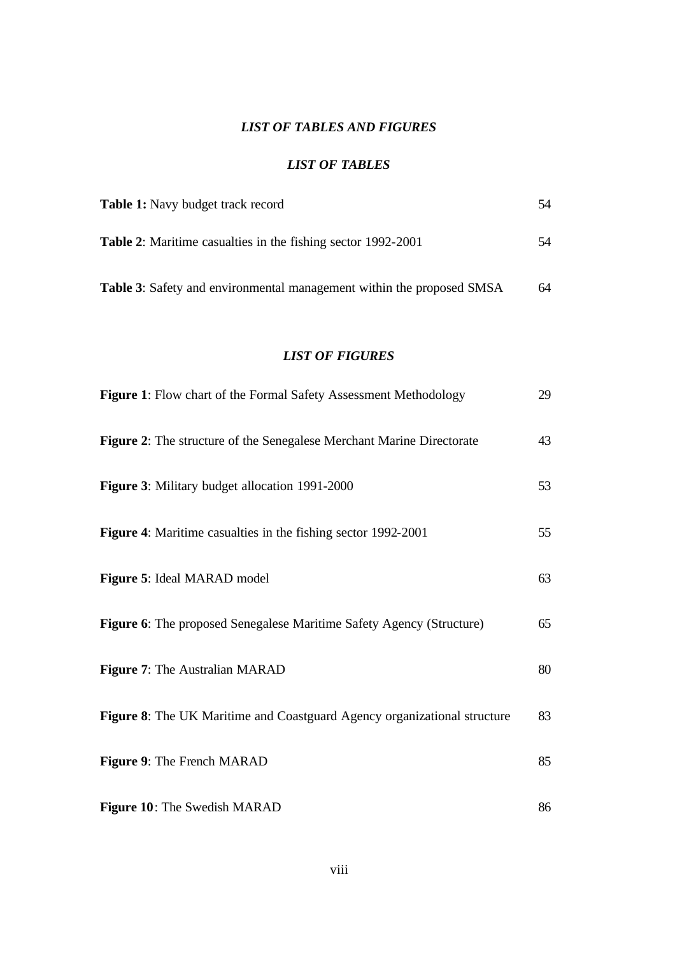## *LIST OF TABLES AND FIGURES*

#### *LIST OF TABLES*

| <b>Table 1:</b> Navy budget track record                                     | 54 |
|------------------------------------------------------------------------------|----|
| <b>Table 2:</b> Maritime casualties in the fishing sector 1992-2001          | 54 |
| <b>Table 3:</b> Safety and environmental management within the proposed SMSA | 64 |

### *LIST OF FIGURES*

| Figure 1: Flow chart of the Formal Safety Assessment Methodology         | 29 |
|--------------------------------------------------------------------------|----|
| Figure 2: The structure of the Senegalese Merchant Marine Directorate    | 43 |
| Figure 3: Military budget allocation 1991-2000                           | 53 |
| Figure 4: Maritime casualties in the fishing sector 1992-2001            | 55 |
| Figure 5: Ideal MARAD model                                              | 63 |
| Figure 6: The proposed Senegalese Maritime Safety Agency (Structure)     | 65 |
| Figure 7: The Australian MARAD                                           | 80 |
| Figure 8: The UK Maritime and Coastguard Agency organizational structure | 83 |
| Figure 9: The French MARAD                                               | 85 |
| Figure 10: The Swedish MARAD                                             | 86 |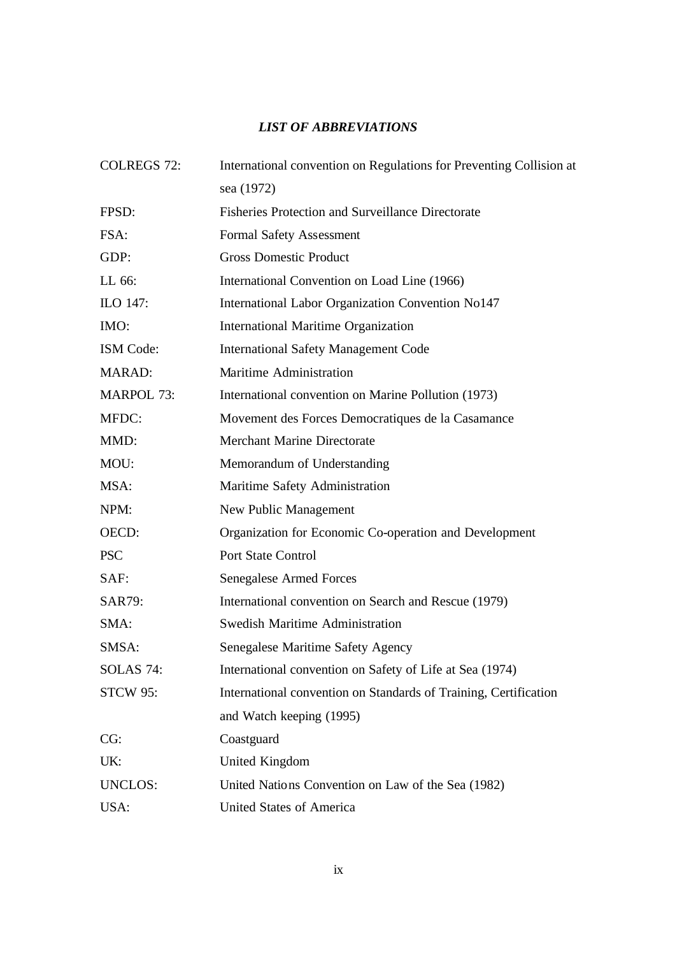## *LIST OF ABBREVIATIONS*

| <b>COLREGS 72:</b> | International convention on Regulations for Preventing Collision at |
|--------------------|---------------------------------------------------------------------|
|                    | sea (1972)                                                          |
| FPSD:              | <b>Fisheries Protection and Surveillance Directorate</b>            |
| FSA:               | <b>Formal Safety Assessment</b>                                     |
| GDP:               | <b>Gross Domestic Product</b>                                       |
| LL 66:             | International Convention on Load Line (1966)                        |
| ILO 147:           | International Labor Organization Convention No147                   |
| IMO:               | <b>International Maritime Organization</b>                          |
| <b>ISM</b> Code:   | <b>International Safety Management Code</b>                         |
| <b>MARAD:</b>      | Maritime Administration                                             |
| <b>MARPOL 73:</b>  | International convention on Marine Pollution (1973)                 |
| MFDC:              | Movement des Forces Democratiques de la Casamance                   |
| MMD:               | <b>Merchant Marine Directorate</b>                                  |
| MOU:               | Memorandum of Understanding                                         |
| MSA:               | Maritime Safety Administration                                      |
| NPM:               | New Public Management                                               |
| OECD:              | Organization for Economic Co-operation and Development              |
| <b>PSC</b>         | <b>Port State Control</b>                                           |
| SAF:               | <b>Senegalese Armed Forces</b>                                      |
| SAR79:             | International convention on Search and Rescue (1979)                |
| SMA:               | <b>Swedish Maritime Administration</b>                              |
| SMSA:              | Senegalese Maritime Safety Agency                                   |
| <b>SOLAS 74:</b>   | International convention on Safety of Life at Sea (1974)            |
| <b>STCW 95:</b>    | International convention on Standards of Training, Certification    |
|                    | and Watch keeping (1995)                                            |
| CG:                | Coastguard                                                          |
| UK:                | <b>United Kingdom</b>                                               |
| <b>UNCLOS:</b>     | United Nations Convention on Law of the Sea (1982)                  |
| USA:               | <b>United States of America</b>                                     |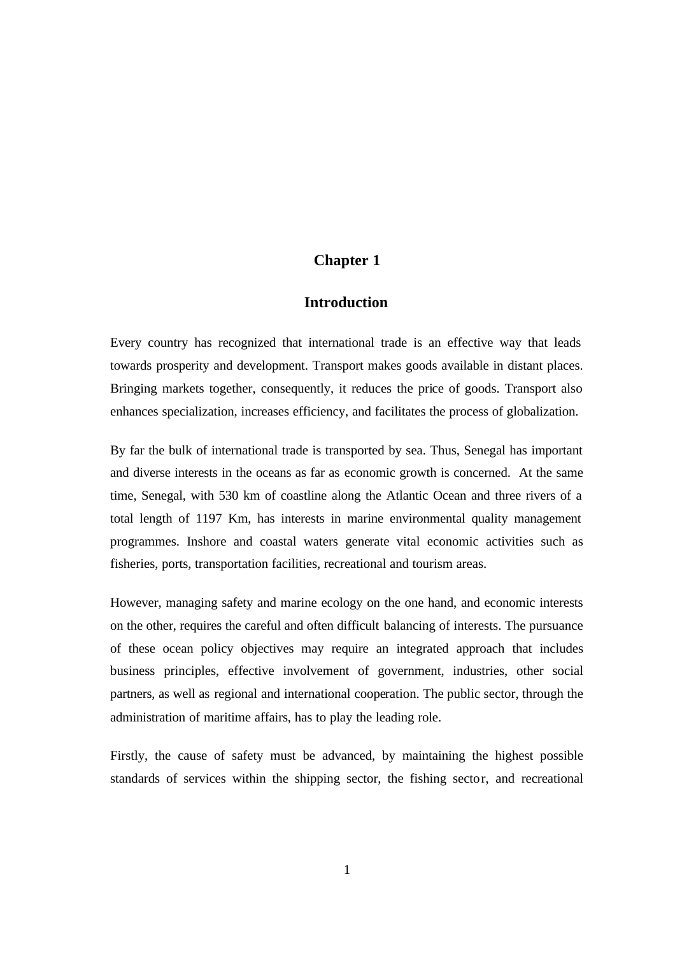### **Chapter 1**

### **Introduction**

Every country has recognized that international trade is an effective way that leads towards prosperity and development. Transport makes goods available in distant places. Bringing markets together, consequently, it reduces the price of goods. Transport also enhances specialization, increases efficiency, and facilitates the process of globalization.

By far the bulk of international trade is transported by sea. Thus, Senegal has important and diverse interests in the oceans as far as economic growth is concerned. At the same time, Senegal, with 530 km of coastline along the Atlantic Ocean and three rivers of a total length of 1197 Km, has interests in marine environmental quality management programmes. Inshore and coastal waters generate vital economic activities such as fisheries, ports, transportation facilities, recreational and tourism areas.

However, managing safety and marine ecology on the one hand, and economic interests on the other, requires the careful and often difficult balancing of interests. The pursuance of these ocean policy objectives may require an integrated approach that includes business principles, effective involvement of government, industries, other social partners, as well as regional and international cooperation. The public sector, through the administration of maritime affairs, has to play the leading role.

Firstly, the cause of safety must be advanced, by maintaining the highest possible standards of services within the shipping sector, the fishing sector, and recreational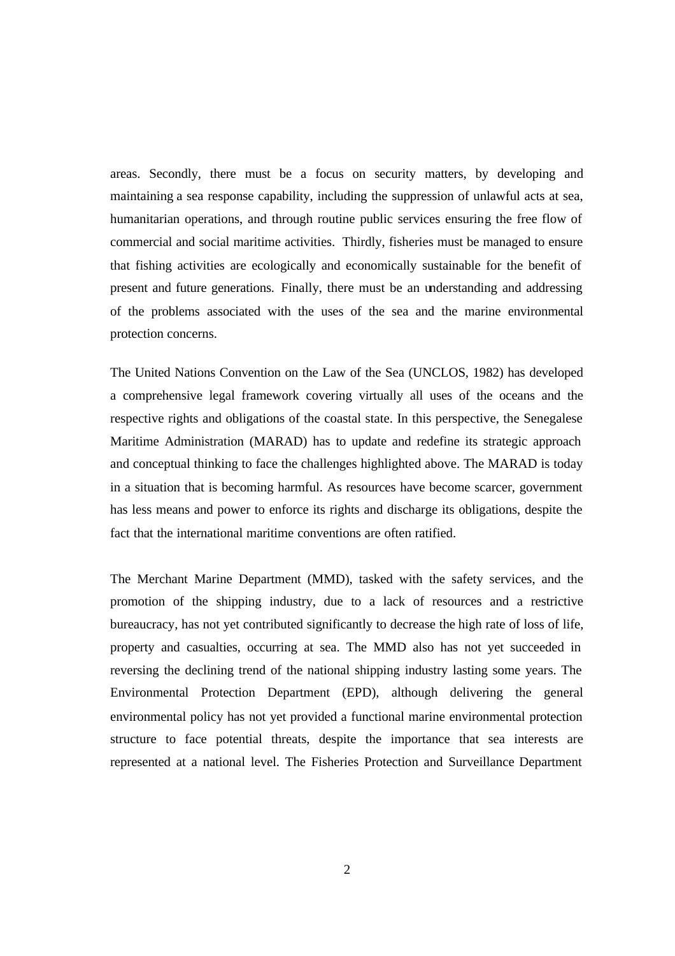areas. Secondly, there must be a focus on security matters, by developing and maintaining a sea response capability, including the suppression of unlawful acts at sea, humanitarian operations, and through routine public services ensuring the free flow of commercial and social maritime activities. Thirdly, fisheries must be managed to ensure that fishing activities are ecologically and economically sustainable for the benefit of present and future generations. Finally, there must be an understanding and addressing of the problems associated with the uses of the sea and the marine environmental protection concerns.

The United Nations Convention on the Law of the Sea (UNCLOS, 1982) has developed a comprehensive legal framework covering virtually all uses of the oceans and the respective rights and obligations of the coastal state. In this perspective, the Senegalese Maritime Administration (MARAD) has to update and redefine its strategic approach and conceptual thinking to face the challenges highlighted above. The MARAD is today in a situation that is becoming harmful. As resources have become scarcer, government has less means and power to enforce its rights and discharge its obligations, despite the fact that the international maritime conventions are often ratified.

The Merchant Marine Department (MMD), tasked with the safety services, and the promotion of the shipping industry, due to a lack of resources and a restrictive bureaucracy, has not yet contributed significantly to decrease the high rate of loss of life, property and casualties, occurring at sea. The MMD also has not yet succeeded in reversing the declining trend of the national shipping industry lasting some years. The Environmental Protection Department (EPD), although delivering the general environmental policy has not yet provided a functional marine environmental protection structure to face potential threats, despite the importance that sea interests are represented at a national level. The Fisheries Protection and Surveillance Department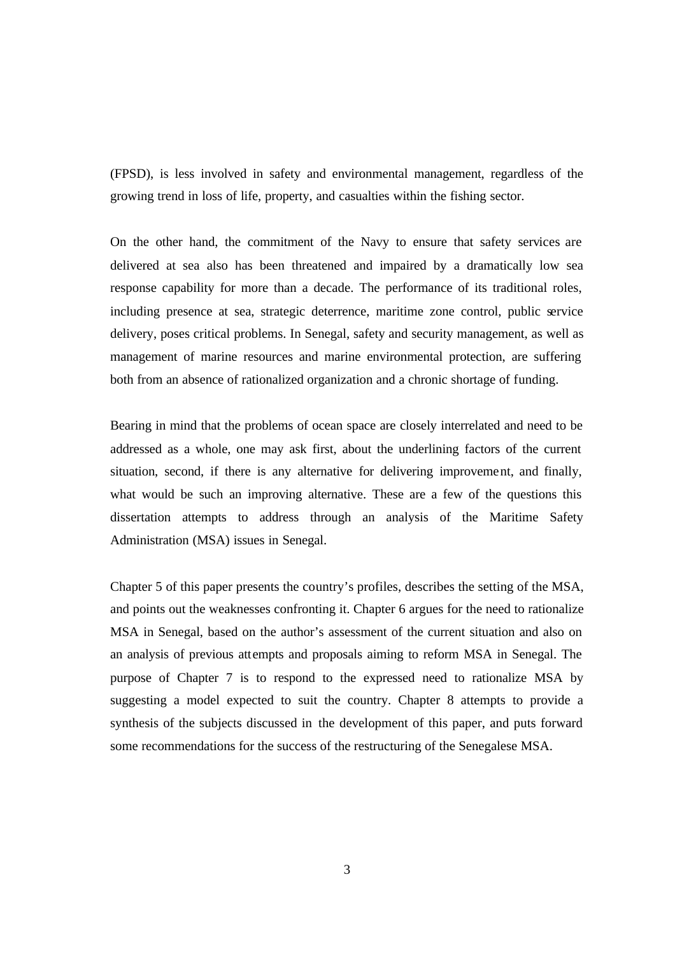(FPSD), is less involved in safety and environmental management, regardless of the growing trend in loss of life, property, and casualties within the fishing sector.

On the other hand, the commitment of the Navy to ensure that safety services are delivered at sea also has been threatened and impaired by a dramatically low sea response capability for more than a decade. The performance of its traditional roles, including presence at sea, strategic deterrence, maritime zone control, public service delivery, poses critical problems. In Senegal, safety and security management, as well as management of marine resources and marine environmental protection, are suffering both from an absence of rationalized organization and a chronic shortage of funding.

Bearing in mind that the problems of ocean space are closely interrelated and need to be addressed as a whole, one may ask first, about the underlining factors of the current situation, second, if there is any alternative for delivering improvement, and finally, what would be such an improving alternative. These are a few of the questions this dissertation attempts to address through an analysis of the Maritime Safety Administration (MSA) issues in Senegal.

Chapter 5 of this paper presents the country's profiles, describes the setting of the MSA, and points out the weaknesses confronting it. Chapter 6 argues for the need to rationalize MSA in Senegal, based on the author's assessment of the current situation and also on an analysis of previous attempts and proposals aiming to reform MSA in Senegal. The purpose of Chapter 7 is to respond to the expressed need to rationalize MSA by suggesting a model expected to suit the country. Chapter 8 attempts to provide a synthesis of the subjects discussed in the development of this paper, and puts forward some recommendations for the success of the restructuring of the Senegalese MSA.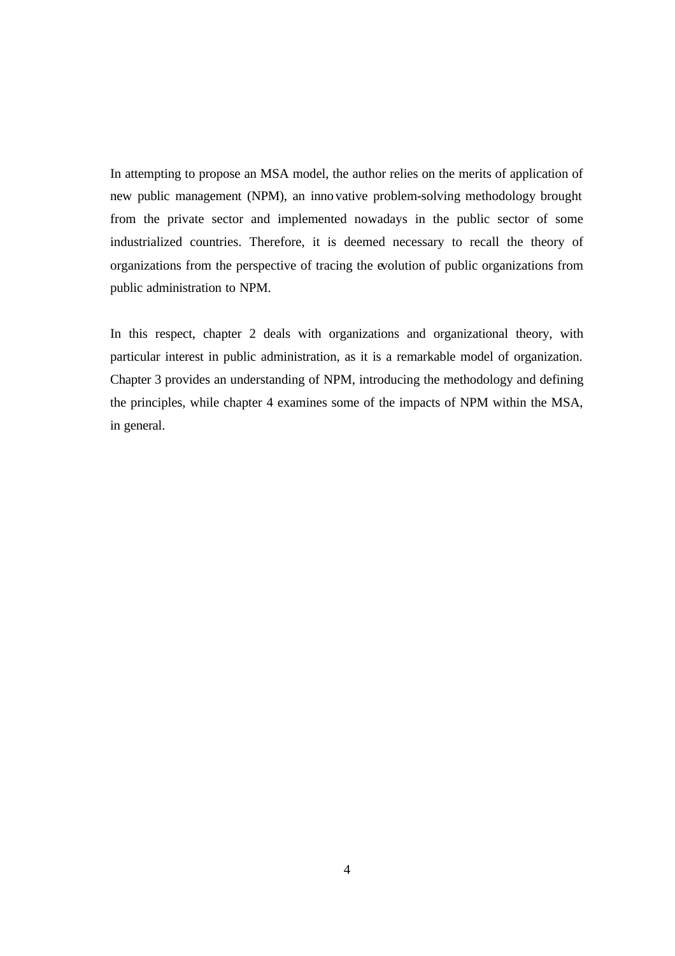In attempting to propose an MSA model, the author relies on the merits of application of new public management (NPM), an inno vative problem-solving methodology brought from the private sector and implemented nowadays in the public sector of some industrialized countries. Therefore, it is deemed necessary to recall the theory of organizations from the perspective of tracing the evolution of public organizations from public administration to NPM.

In this respect, chapter 2 deals with organizations and organizational theory, with particular interest in public administration, as it is a remarkable model of organization. Chapter 3 provides an understanding of NPM, introducing the methodology and defining the principles, while chapter 4 examines some of the impacts of NPM within the MSA, in general.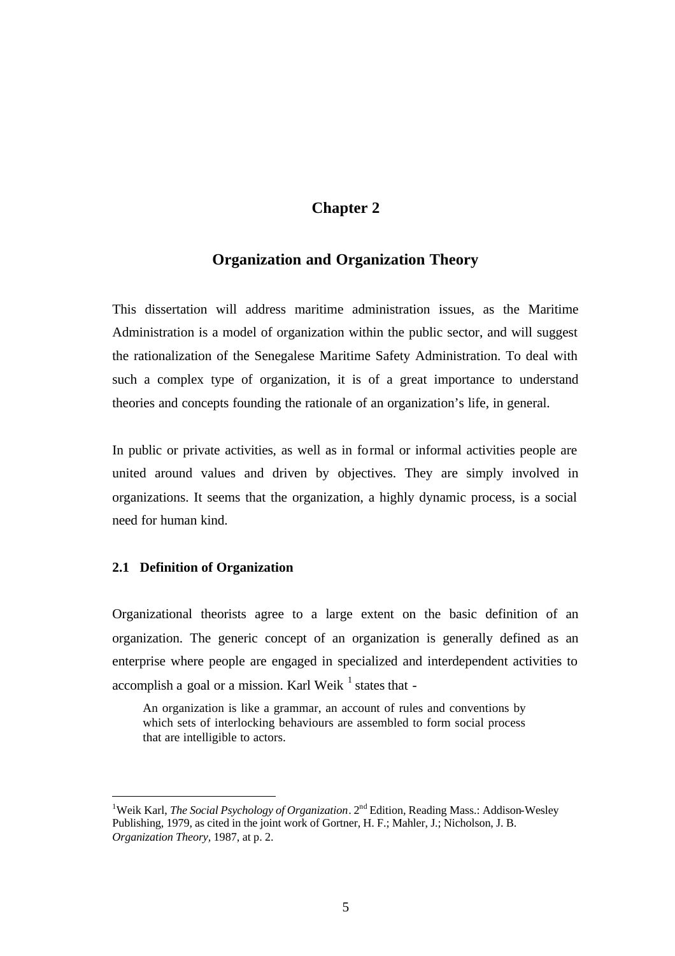## **Chapter 2**

### **Organization and Organization Theory**

This dissertation will address maritime administration issues, as the Maritime Administration is a model of organization within the public sector, and will suggest the rationalization of the Senegalese Maritime Safety Administration. To deal with such a complex type of organization, it is of a great importance to understand theories and concepts founding the rationale of an organization's life, in general.

In public or private activities, as well as in formal or informal activities people are united around values and driven by objectives. They are simply involved in organizations. It seems that the organization, a highly dynamic process, is a social need for human kind.

#### **2.1 Definition of Organization**

 $\overline{a}$ 

Organizational theorists agree to a large extent on the basic definition of an organization. The generic concept of an organization is generally defined as an enterprise where people are engaged in specialized and interdependent activities to accomplish a goal or a mission. Karl Weik  $^1$  states that -

An organization is like a grammar, an account of rules and conventions by which sets of interlocking behaviours are assembled to form social process that are intelligible to actors.

<sup>&</sup>lt;sup>1</sup>Weik Karl, *The Social Psychology of Organization*. 2<sup>nd</sup> Edition, Reading Mass.: Addison-Wesley Publishing, 1979, as cited in the joint work of Gortner, H. F.; Mahler, J.; Nicholson, J. B. *Organization Theory,* 1987, at p. 2.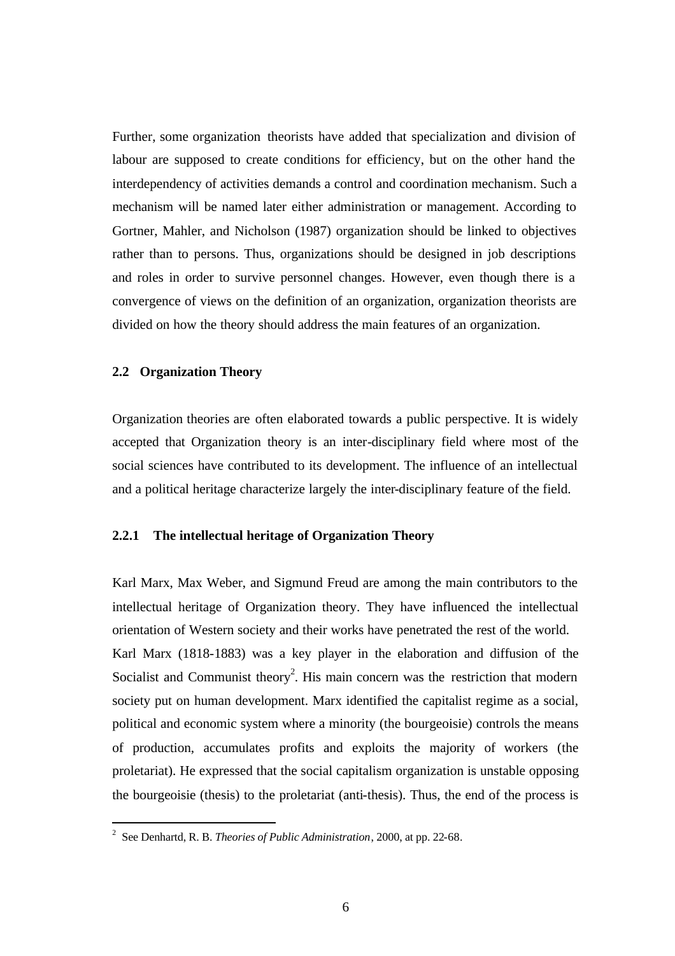Further, some organization theorists have added that specialization and division of labour are supposed to create conditions for efficiency, but on the other hand the interdependency of activities demands a control and coordination mechanism. Such a mechanism will be named later either administration or management. According to Gortner, Mahler, and Nicholson (1987) organization should be linked to objectives rather than to persons. Thus, organizations should be designed in job descriptions and roles in order to survive personnel changes. However, even though there is a convergence of views on the definition of an organization, organization theorists are divided on how the theory should address the main features of an organization.

### **2.2 Organization Theory**

Organization theories are often elaborated towards a public perspective. It is widely accepted that Organization theory is an inter-disciplinary field where most of the social sciences have contributed to its development. The influence of an intellectual and a political heritage characterize largely the inter-disciplinary feature of the field.

#### **2.2.1 The intellectual heritage of Organization Theory**

Karl Marx, Max Weber, and Sigmund Freud are among the main contributors to the intellectual heritage of Organization theory. They have influenced the intellectual orientation of Western society and their works have penetrated the rest of the world. Karl Marx (1818-1883) was a key player in the elaboration and diffusion of the Socialist and Communist theory<sup>2</sup>. His main concern was the restriction that modern society put on human development. Marx identified the capitalist regime as a social, political and economic system where a minority (the bourgeoisie) controls the means of production, accumulates profits and exploits the majority of workers (the proletariat). He expressed that the social capitalism organization is unstable opposing the bourgeoisie (thesis) to the proletariat (anti-thesis). Thus, the end of the process is

 2 See Denhartd, R. B. *Theories of Public Administration*, 2000, at pp. 22-68.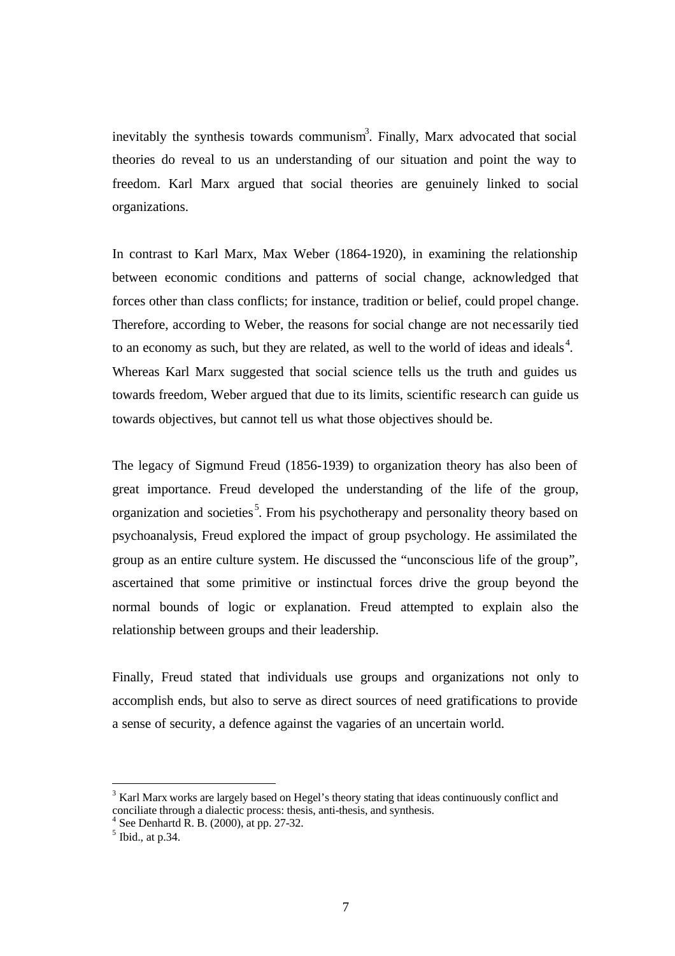inevitably the synthesis towards communism<sup>3</sup>. Finally, Marx advocated that social theories do reveal to us an understanding of our situation and point the way to freedom. Karl Marx argued that social theories are genuinely linked to social organizations.

In contrast to Karl Marx, Max Weber (1864-1920), in examining the relationship between economic conditions and patterns of social change, acknowledged that forces other than class conflicts; for instance, tradition or belief, could propel change. Therefore, according to Weber, the reasons for social change are not necessarily tied to an economy as such, but they are related, as well to the world of ideas and ideals<sup>4</sup>. Whereas Karl Marx suggested that social science tells us the truth and guides us towards freedom, Weber argued that due to its limits, scientific research can guide us towards objectives, but cannot tell us what those objectives should be.

The legacy of Sigmund Freud (1856-1939) to organization theory has also been of great importance. Freud developed the understanding of the life of the group, organization and societies<sup>5</sup>. From his psychotherapy and personality theory based on psychoanalysis, Freud explored the impact of group psychology. He assimilated the group as an entire culture system. He discussed the "unconscious life of the group", ascertained that some primitive or instinctual forces drive the group beyond the normal bounds of logic or explanation. Freud attempted to explain also the relationship between groups and their leadership.

Finally, Freud stated that individuals use groups and organizations not only to accomplish ends, but also to serve as direct sources of need gratifications to provide a sense of security, a defence against the vagaries of an uncertain world.

 $\overline{a}$ 

 $3$  Karl Marx works are largely based on Hegel's theory stating that ideas continuously conflict and conciliate through a dialectic process: thesis, anti-thesis, and synthesis.<br> $^{4}$  See Dephartd B, B, (2000) at pp. 27.22

See Denhartd R. B. (2000), at pp. 27-32.

 $<sup>5</sup>$  Ibid., at p.34.</sup>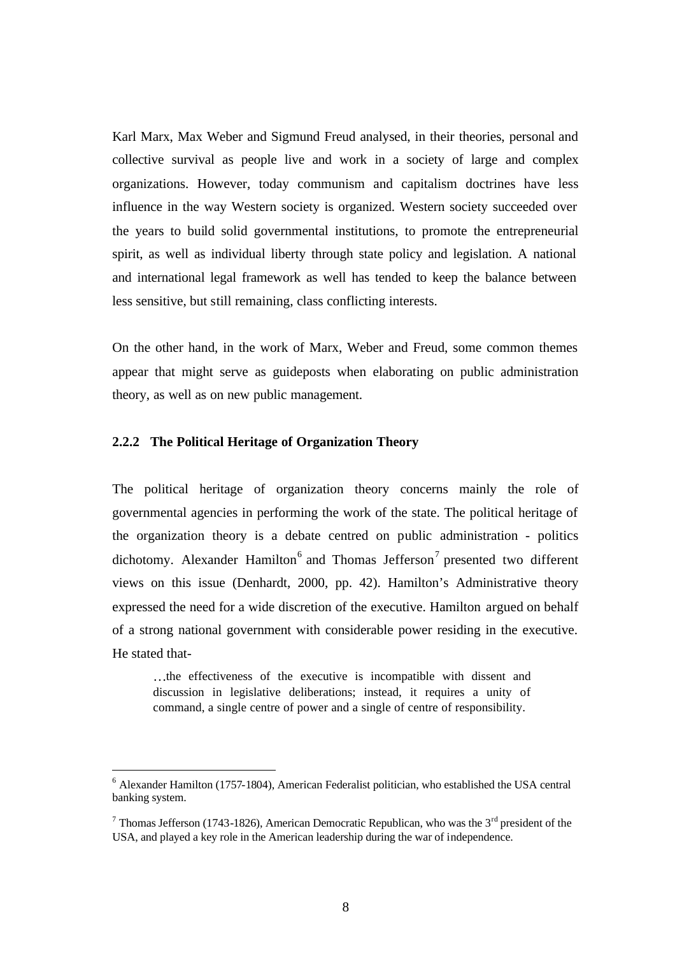Karl Marx, Max Weber and Sigmund Freud analysed, in their theories, personal and collective survival as people live and work in a society of large and complex organizations. However, today communism and capitalism doctrines have less influence in the way Western society is organized. Western society succeeded over the years to build solid governmental institutions, to promote the entrepreneurial spirit, as well as individual liberty through state policy and legislation. A national and international legal framework as well has tended to keep the balance between less sensitive, but still remaining, class conflicting interests.

On the other hand, in the work of Marx, Weber and Freud, some common themes appear that might serve as guideposts when elaborating on public administration theory, as well as on new public management.

#### **2.2.2 The Political Heritage of Organization Theory**

 $\overline{a}$ 

The political heritage of organization theory concerns mainly the role of governmental agencies in performing the work of the state. The political heritage of the organization theory is a debate centred on public administration - politics dichotomy. Alexander Hamilton<sup>6</sup> and Thomas Jefferson<sup>7</sup> presented two different views on this issue (Denhardt, 2000, pp. 42). Hamilton's Administrative theory expressed the need for a wide discretion of the executive. Hamilton argued on behalf of a strong national government with considerable power residing in the executive. He stated that-

…the effectiveness of the executive is incompatible with dissent and discussion in legislative deliberations; instead, it requires a unity of command, a single centre of power and a single of centre of responsibility.

<sup>&</sup>lt;sup>6</sup> Alexander Hamilton (1757-1804), American Federalist politician, who established the USA central banking system.

<sup>&</sup>lt;sup>7</sup> Thomas Jefferson (1743-1826), American Democratic Republican, who was the 3<sup>rd</sup> president of the USA, and played a key role in the American leadership during the war of independence.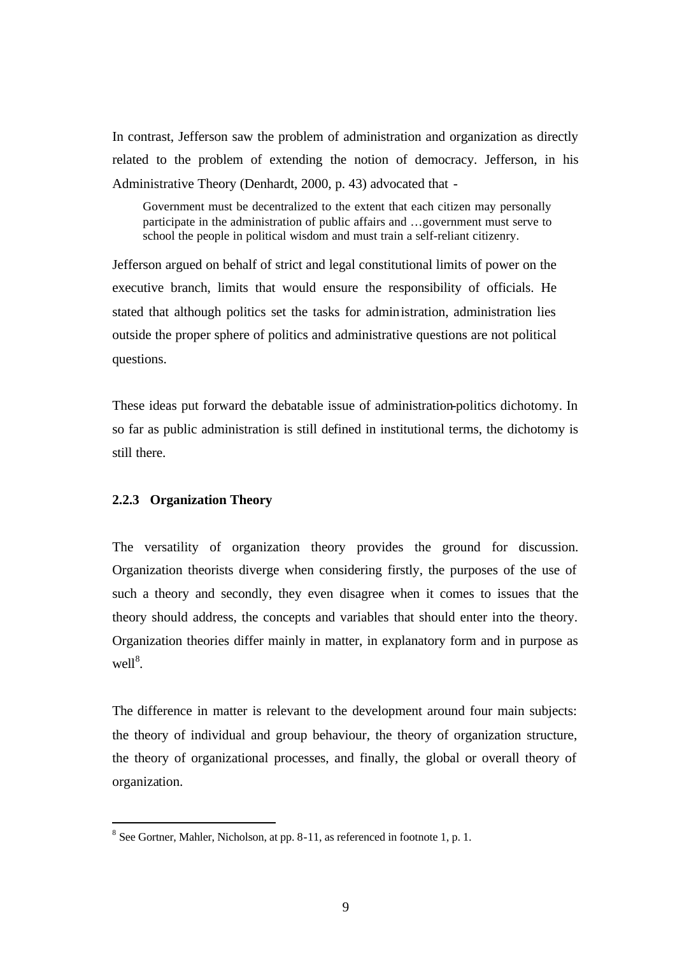In contrast, Jefferson saw the problem of administration and organization as directly related to the problem of extending the notion of democracy. Jefferson, in his Administrative Theory (Denhardt, 2000, p. 43) advocated that -

Government must be decentralized to the extent that each citizen may personally participate in the administration of public affairs and …government must serve to school the people in political wisdom and must train a self-reliant citizenry.

Jefferson argued on behalf of strict and legal constitutional limits of power on the executive branch, limits that would ensure the responsibility of officials. He stated that although politics set the tasks for administration, administration lies outside the proper sphere of politics and administrative questions are not political questions.

These ideas put forward the debatable issue of administration-politics dichotomy. In so far as public administration is still defined in institutional terms, the dichotomy is still there.

#### **2.2.3 Organization Theory**

 $\overline{a}$ 

The versatility of organization theory provides the ground for discussion. Organization theorists diverge when considering firstly, the purposes of the use of such a theory and secondly, they even disagree when it comes to issues that the theory should address, the concepts and variables that should enter into the theory. Organization theories differ mainly in matter, in explanatory form and in purpose as  $well<sup>8</sup>$ .

The difference in matter is relevant to the development around four main subjects: the theory of individual and group behaviour, the theory of organization structure, the theory of organizational processes, and finally, the global or overall theory of organization.

 $8$  See Gortner, Mahler, Nicholson, at pp. 8-11, as referenced in footnote 1, p. 1.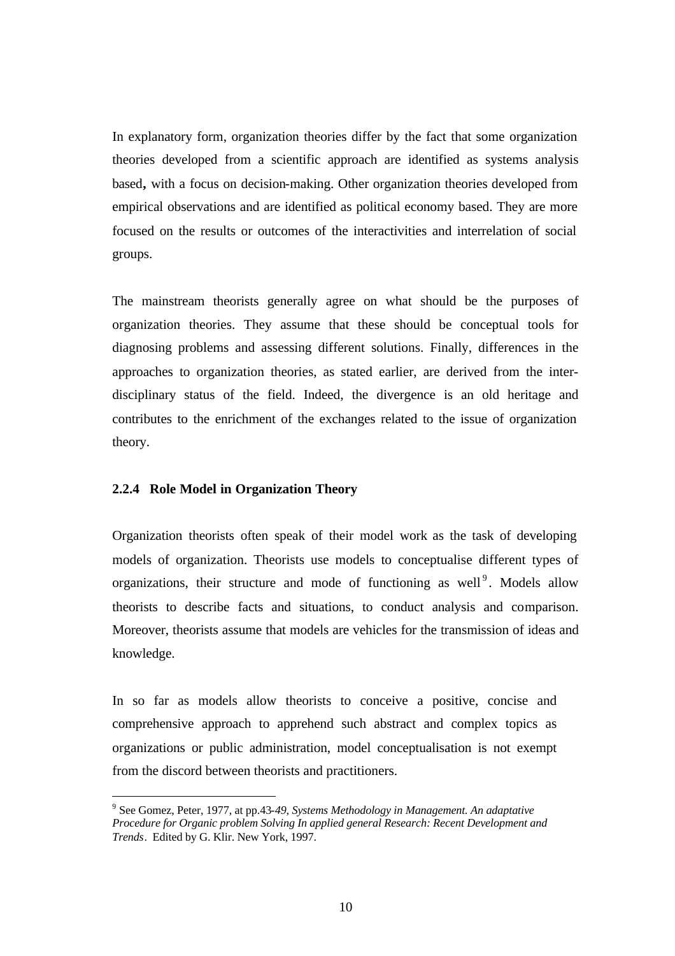In explanatory form, organization theories differ by the fact that some organization theories developed from a scientific approach are identified as systems analysis based**,** with a focus on decision-making. Other organization theories developed from empirical observations and are identified as political economy based. They are more focused on the results or outcomes of the interactivities and interrelation of social groups.

The mainstream theorists generally agree on what should be the purposes of organization theories. They assume that these should be conceptual tools for diagnosing problems and assessing different solutions. Finally, differences in the approaches to organization theories, as stated earlier, are derived from the interdisciplinary status of the field. Indeed, the divergence is an old heritage and contributes to the enrichment of the exchanges related to the issue of organization theory.

#### **2.2.4 Role Model in Organization Theory**

 $\overline{a}$ 

Organization theorists often speak of their model work as the task of developing models of organization. Theorists use models to conceptualise different types of organizations, their structure and mode of functioning as well<sup>9</sup>. Models allow theorists to describe facts and situations, to conduct analysis and comparison. Moreover, theorists assume that models are vehicles for the transmission of ideas and knowledge.

In so far as models allow theorists to conceive a positive, concise and comprehensive approach to apprehend such abstract and complex topics as organizations or public administration, model conceptualisation is not exempt from the discord between theorists and practitioners.

<sup>9</sup> See Gomez, Peter, 1977, at pp.43-*49, Systems Methodology in Management. An adaptative Procedure for Organic problem Solving In applied general Research: Recent Development and Trends*. Edited by G. Klir. New York, 1997.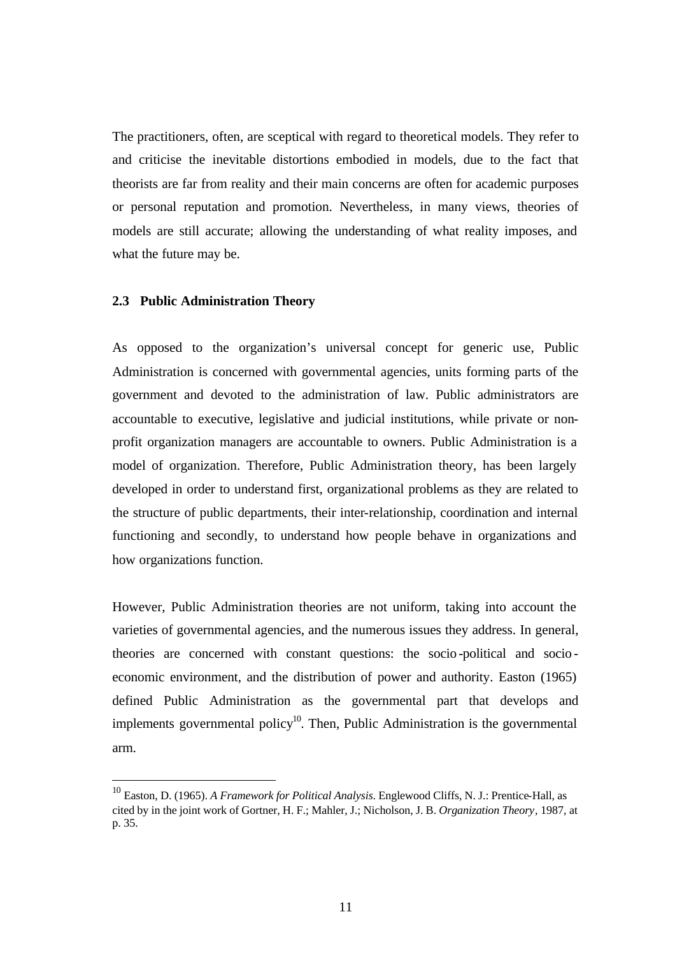The practitioners, often, are sceptical with regard to theoretical models. They refer to and criticise the inevitable distortions embodied in models, due to the fact that theorists are far from reality and their main concerns are often for academic purposes or personal reputation and promotion. Nevertheless, in many views, theories of models are still accurate; allowing the understanding of what reality imposes, and what the future may be.

#### **2.3 Public Administration Theory**

 $\overline{a}$ 

As opposed to the organization's universal concept for generic use, Public Administration is concerned with governmental agencies, units forming parts of the government and devoted to the administration of law. Public administrators are accountable to executive, legislative and judicial institutions, while private or nonprofit organization managers are accountable to owners. Public Administration is a model of organization. Therefore, Public Administration theory, has been largely developed in order to understand first, organizational problems as they are related to the structure of public departments, their inter-relationship, coordination and internal functioning and secondly, to understand how people behave in organizations and how organizations function.

However, Public Administration theories are not uniform, taking into account the varieties of governmental agencies, and the numerous issues they address. In general, theories are concerned with constant questions: the socio -political and socio economic environment, and the distribution of power and authority. Easton (1965) defined Public Administration as the governmental part that develops and implements governmental policy $10$ . Then, Public Administration is the governmental arm.

<sup>10</sup> Easton, D. (1965). *A Framework for Political Analysis*. Englewood Cliffs, N. J.: Prentice-Hall, as cited by in the joint work of Gortner, H. F.; Mahler, J.; Nicholson, J. B. *Organization Theory*, 1987, at p. 35.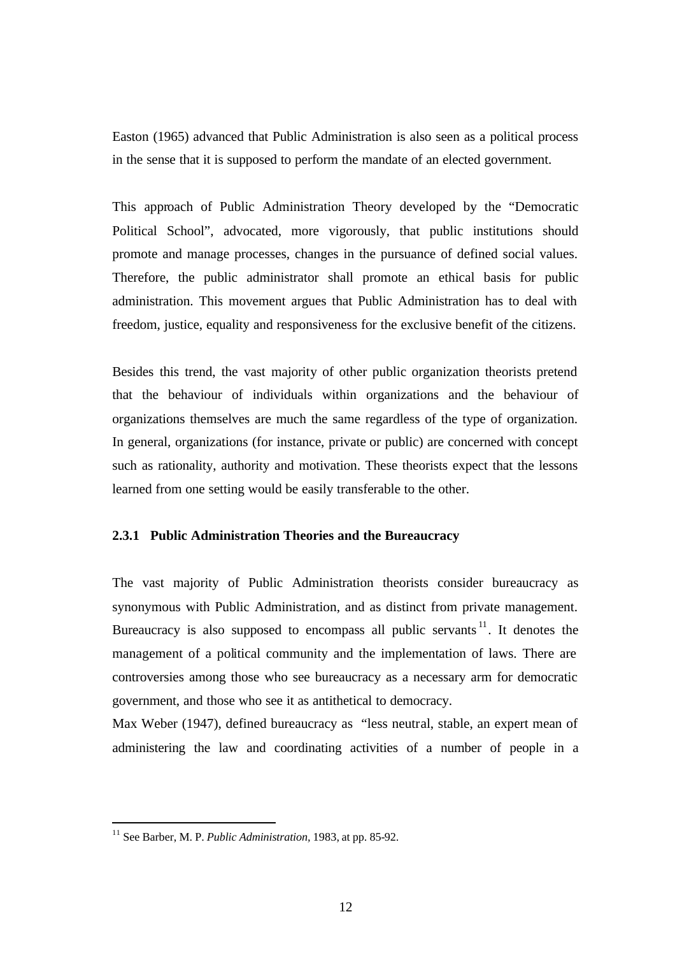Easton (1965) advanced that Public Administration is also seen as a political process in the sense that it is supposed to perform the mandate of an elected government.

This approach of Public Administration Theory developed by the "Democratic Political School", advocated, more vigorously, that public institutions should promote and manage processes, changes in the pursuance of defined social values. Therefore, the public administrator shall promote an ethical basis for public administration. This movement argues that Public Administration has to deal with freedom, justice, equality and responsiveness for the exclusive benefit of the citizens.

Besides this trend, the vast majority of other public organization theorists pretend that the behaviour of individuals within organizations and the behaviour of organizations themselves are much the same regardless of the type of organization. In general, organizations (for instance, private or public) are concerned with concept such as rationality, authority and motivation. These theorists expect that the lessons learned from one setting would be easily transferable to the other.

#### **2.3.1 Public Administration Theories and the Bureaucracy**

The vast majority of Public Administration theorists consider bureaucracy as synonymous with Public Administration, and as distinct from private management. Bureaucracy is also supposed to encompass all public servants  $11$ . It denotes the management of a political community and the implementation of laws. There are controversies among those who see bureaucracy as a necessary arm for democratic government, and those who see it as antithetical to democracy.

Max Weber (1947), defined bureaucracy as "less neutral, stable, an expert mean of administering the law and coordinating activities of a number of people in a

 $\overline{a}$ 

<sup>11</sup> See Barber, M. P. *Public Administration,* 1983, at pp. 85-92.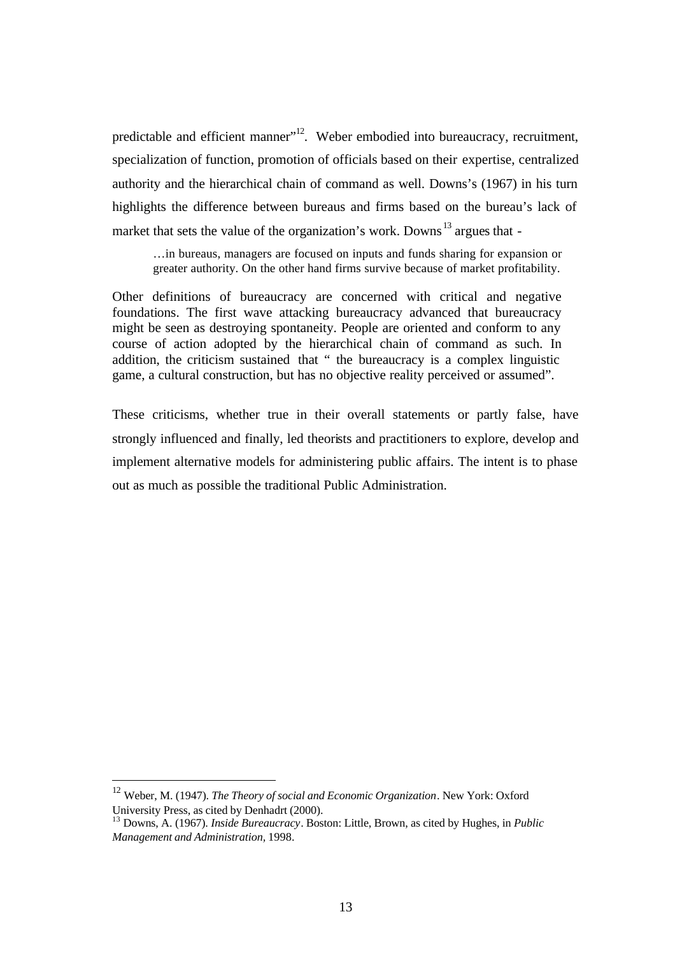predictable and efficient manner"<sup>12</sup>. Weber embodied into bureaucracy, recruitment. specialization of function, promotion of officials based on their expertise, centralized authority and the hierarchical chain of command as well. Downs's (1967) in his turn highlights the difference between bureaus and firms based on the bureau's lack of market that sets the value of the organization's work. Downs<sup>13</sup> argues that -

…in bureaus, managers are focused on inputs and funds sharing for expansion or greater authority. On the other hand firms survive because of market profitability.

Other definitions of bureaucracy are concerned with critical and negative foundations. The first wave attacking bureaucracy advanced that bureaucracy might be seen as destroying spontaneity. People are oriented and conform to any course of action adopted by the hierarchical chain of command as such. In addition, the criticism sustained that " the bureaucracy is a complex linguistic game, a cultural construction, but has no objective reality perceived or assumed".

These criticisms, whether true in their overall statements or partly false, have strongly influenced and finally, led theorists and practitioners to explore, develop and implement alternative models for administering public affairs. The intent is to phase out as much as possible the traditional Public Administration.

 $\overline{a}$ 

<sup>12</sup> Weber, M. (1947). *The Theory of social and Economic Organization*. New York: Oxford University Press, as cited by Denhadrt (2000).

<sup>13</sup> Downs, A. (1967). *Inside Bureaucracy*. Boston: Little, Brown, as cited by Hughes, in *Public Management and Administration,* 1998.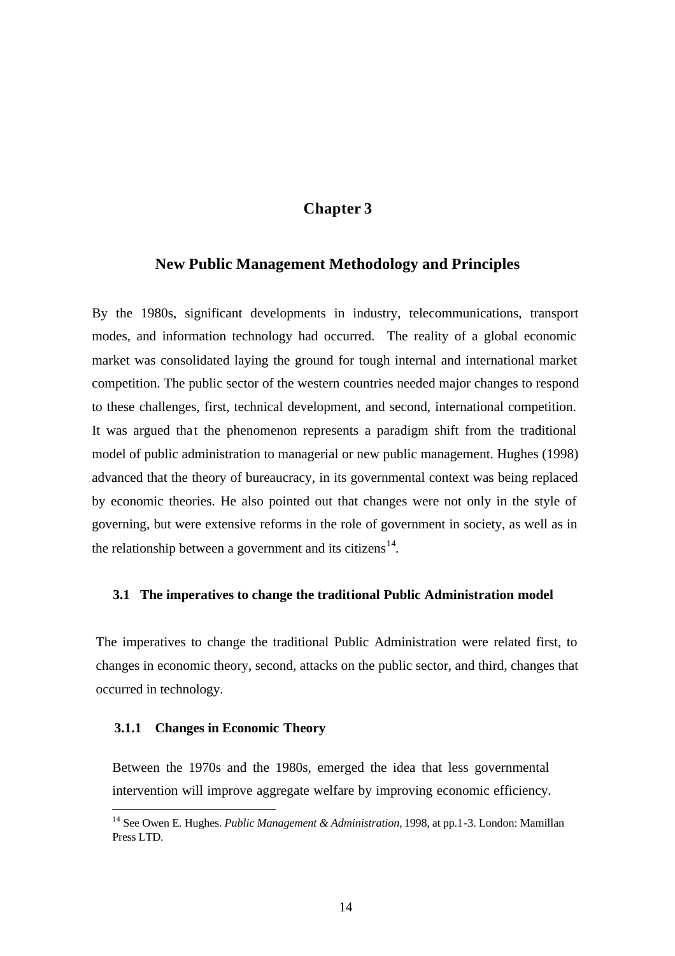## **Chapter 3**

#### **New Public Management Methodology and Principles**

By the 1980s, significant developments in industry, telecommunications, transport modes, and information technology had occurred. The reality of a global economic market was consolidated laying the ground for tough internal and international market competition. The public sector of the western countries needed major changes to respond to these challenges, first, technical development, and second, international competition. It was argued that the phenomenon represents a paradigm shift from the traditional model of public administration to managerial or new public management. Hughes (1998) advanced that the theory of bureaucracy, in its governmental context was being replaced by economic theories. He also pointed out that changes were not only in the style of governing, but were extensive reforms in the role of government in society, as well as in the relationship between a government and its citizens<sup>14</sup>.

#### **3.1 The imperatives to change the traditional Public Administration model**

The imperatives to change the traditional Public Administration were related first, to changes in economic theory, second, attacks on the public sector, and third, changes that occurred in technology.

#### **3.1.1 Changes in Economic Theory**

 $\overline{a}$ 

Between the 1970s and the 1980s, emerged the idea that less governmental intervention will improve aggregate welfare by improving economic efficiency.

<sup>14</sup> See Owen E. Hughes. *Public Management & Administration,* 1998, at pp.1-3. London: Mamillan Press LTD.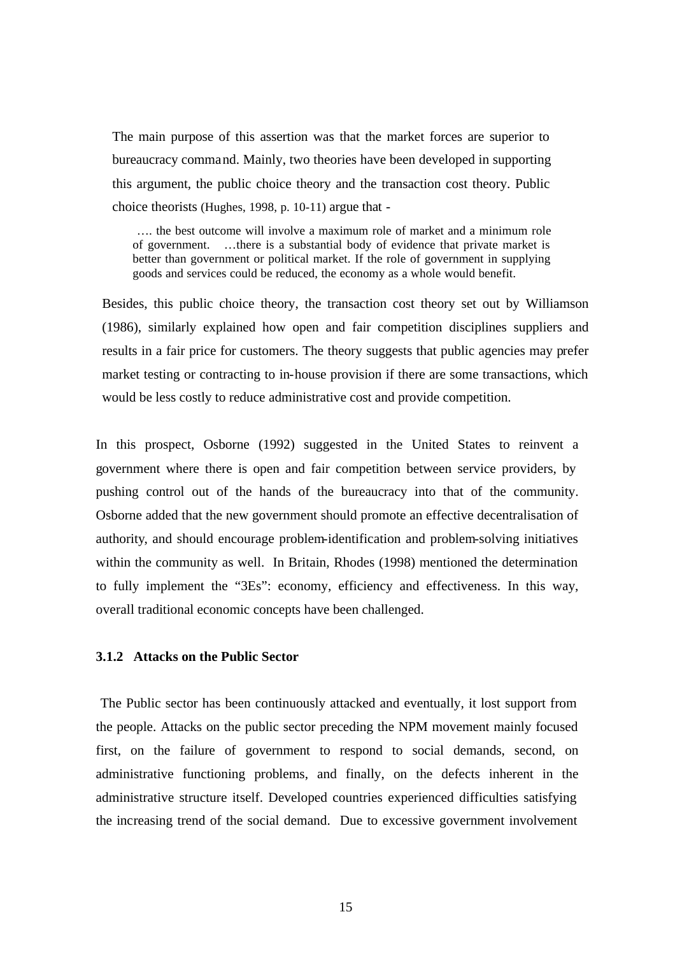The main purpose of this assertion was that the market forces are superior to bureaucracy command. Mainly, two theories have been developed in supporting this argument, the public choice theory and the transaction cost theory. Public choice theorists (Hughes, 1998, p. 10-11) argue that -

 …. the best outcome will involve a maximum role of market and a minimum role of government. …there is a substantial body of evidence that private market is better than government or political market. If the role of government in supplying goods and services could be reduced, the economy as a whole would benefit.

Besides, this public choice theory, the transaction cost theory set out by Williamson (1986), similarly explained how open and fair competition disciplines suppliers and results in a fair price for customers. The theory suggests that public agencies may prefer market testing or contracting to in-house provision if there are some transactions, which would be less costly to reduce administrative cost and provide competition.

In this prospect, Osborne (1992) suggested in the United States to reinvent a government where there is open and fair competition between service providers, by pushing control out of the hands of the bureaucracy into that of the community. Osborne added that the new government should promote an effective decentralisation of authority, and should encourage problem-identification and problem-solving initiatives within the community as well. In Britain, Rhodes (1998) mentioned the determination to fully implement the "3Es": economy, efficiency and effectiveness. In this way, overall traditional economic concepts have been challenged.

#### **3.1.2 Attacks on the Public Sector**

 The Public sector has been continuously attacked and eventually, it lost support from the people. Attacks on the public sector preceding the NPM movement mainly focused first, on the failure of government to respond to social demands, second, on administrative functioning problems, and finally, on the defects inherent in the administrative structure itself. Developed countries experienced difficulties satisfying the increasing trend of the social demand. Due to excessive government involvement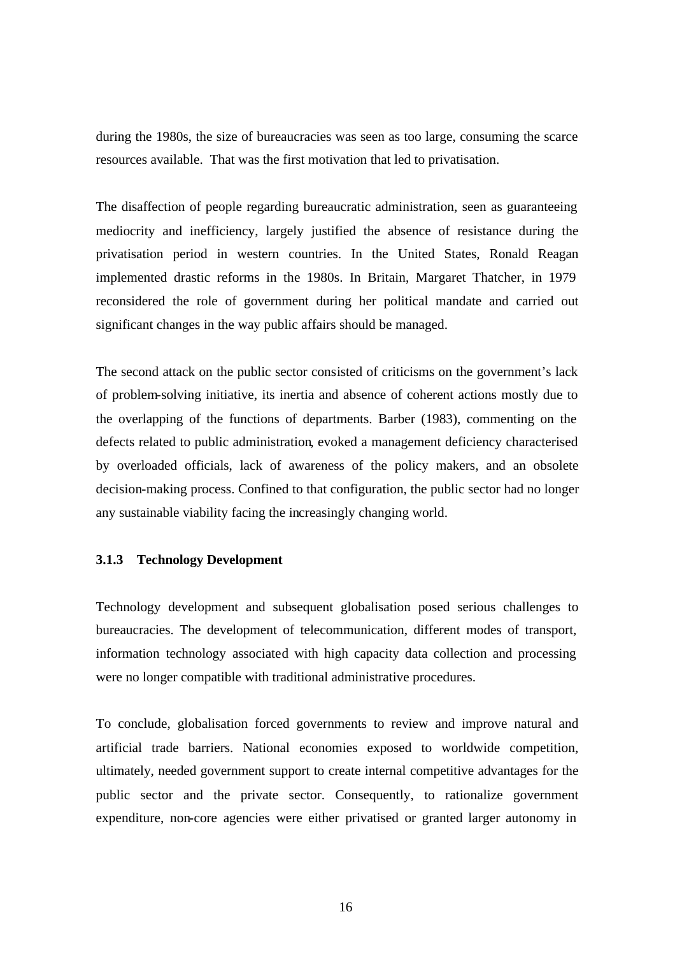during the 1980s, the size of bureaucracies was seen as too large, consuming the scarce resources available. That was the first motivation that led to privatisation.

The disaffection of people regarding bureaucratic administration, seen as guaranteeing mediocrity and inefficiency, largely justified the absence of resistance during the privatisation period in western countries. In the United States, Ronald Reagan implemented drastic reforms in the 1980s. In Britain, Margaret Thatcher, in 1979 reconsidered the role of government during her political mandate and carried out significant changes in the way public affairs should be managed.

The second attack on the public sector consisted of criticisms on the government's lack of problem-solving initiative, its inertia and absence of coherent actions mostly due to the overlapping of the functions of departments. Barber (1983), commenting on the defects related to public administration, evoked a management deficiency characterised by overloaded officials, lack of awareness of the policy makers, and an obsolete decision-making process. Confined to that configuration, the public sector had no longer any sustainable viability facing the increasingly changing world.

#### **3.1.3 Technology Development**

Technology development and subsequent globalisation posed serious challenges to bureaucracies. The development of telecommunication, different modes of transport, information technology associated with high capacity data collection and processing were no longer compatible with traditional administrative procedures.

To conclude, globalisation forced governments to review and improve natural and artificial trade barriers. National economies exposed to worldwide competition, ultimately, needed government support to create internal competitive advantages for the public sector and the private sector. Consequently, to rationalize government expenditure, non-core agencies were either privatised or granted larger autonomy in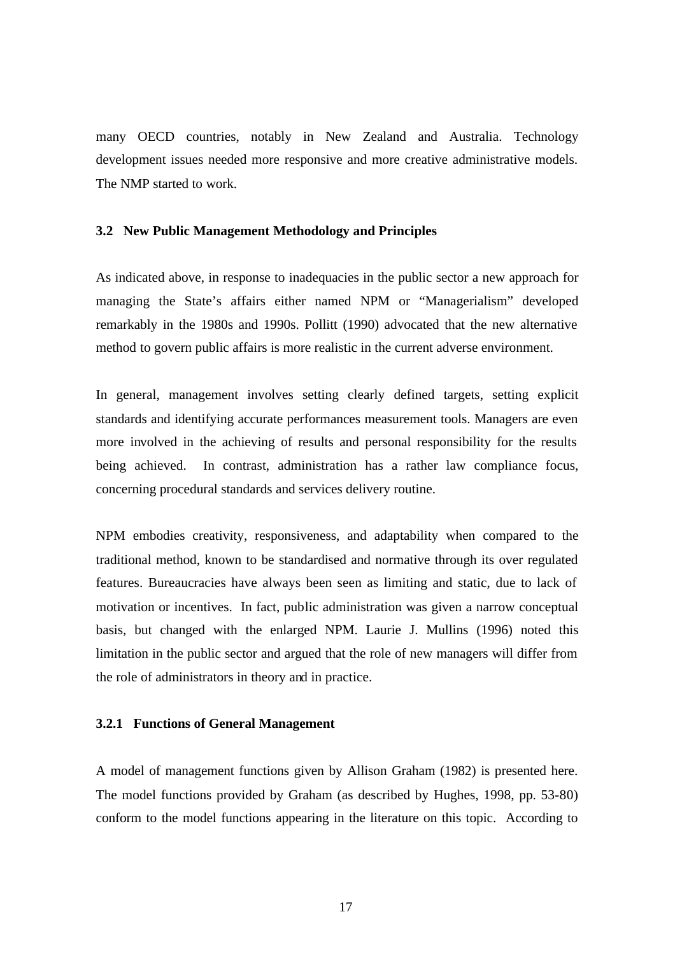many OECD countries, notably in New Zealand and Australia. Technology development issues needed more responsive and more creative administrative models. The NMP started to work.

#### **3.2 New Public Management Methodology and Principles**

As indicated above, in response to inadequacies in the public sector a new approach for managing the State's affairs either named NPM or "Managerialism" developed remarkably in the 1980s and 1990s. Pollitt (1990) advocated that the new alternative method to govern public affairs is more realistic in the current adverse environment.

In general, management involves setting clearly defined targets, setting explicit standards and identifying accurate performances measurement tools. Managers are even more involved in the achieving of results and personal responsibility for the results being achieved. In contrast, administration has a rather law compliance focus, concerning procedural standards and services delivery routine.

NPM embodies creativity, responsiveness, and adaptability when compared to the traditional method, known to be standardised and normative through its over regulated features. Bureaucracies have always been seen as limiting and static, due to lack of motivation or incentives. In fact, public administration was given a narrow conceptual basis, but changed with the enlarged NPM. Laurie J. Mullins (1996) noted this limitation in the public sector and argued that the role of new managers will differ from the role of administrators in theory and in practice.

#### **3.2.1 Functions of General Management**

A model of management functions given by Allison Graham (1982) is presented here. The model functions provided by Graham (as described by Hughes, 1998, pp. 53-80) conform to the model functions appearing in the literature on this topic. According to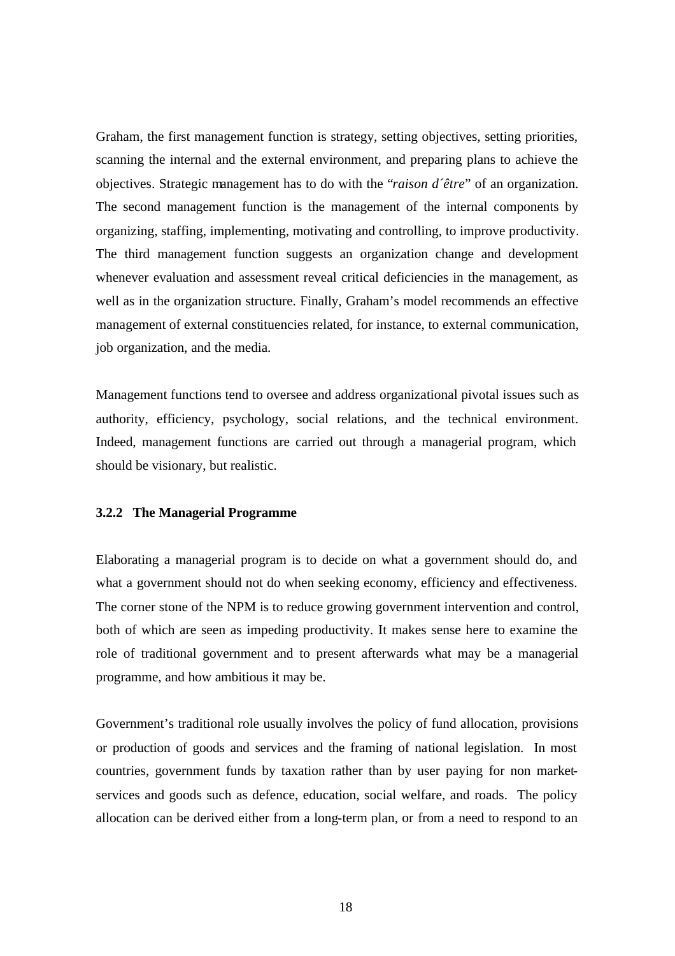Graham, the first management function is strategy, setting objectives, setting priorities, scanning the internal and the external environment, and preparing plans to achieve the objectives. Strategic management has to do with the "*raison d´être*" of an organization. The second management function is the management of the internal components by organizing, staffing, implementing, motivating and controlling, to improve productivity. The third management function suggests an organization change and development whenever evaluation and assessment reveal critical deficiencies in the management, as well as in the organization structure. Finally, Graham's model recommends an effective management of external constituencies related, for instance, to external communication, job organization, and the media.

Management functions tend to oversee and address organizational pivotal issues such as authority, efficiency, psychology, social relations, and the technical environment. Indeed, management functions are carried out through a managerial program, which should be visionary, but realistic.

#### **3.2.2 The Managerial Programme**

Elaborating a managerial program is to decide on what a government should do, and what a government should not do when seeking economy, efficiency and effectiveness. The corner stone of the NPM is to reduce growing government intervention and control, both of which are seen as impeding productivity. It makes sense here to examine the role of traditional government and to present afterwards what may be a managerial programme, and how ambitious it may be.

Government's traditional role usually involves the policy of fund allocation, provisions or production of goods and services and the framing of national legislation. In most countries, government funds by taxation rather than by user paying for non marketservices and goods such as defence, education, social welfare, and roads. The policy allocation can be derived either from a long-term plan, or from a need to respond to an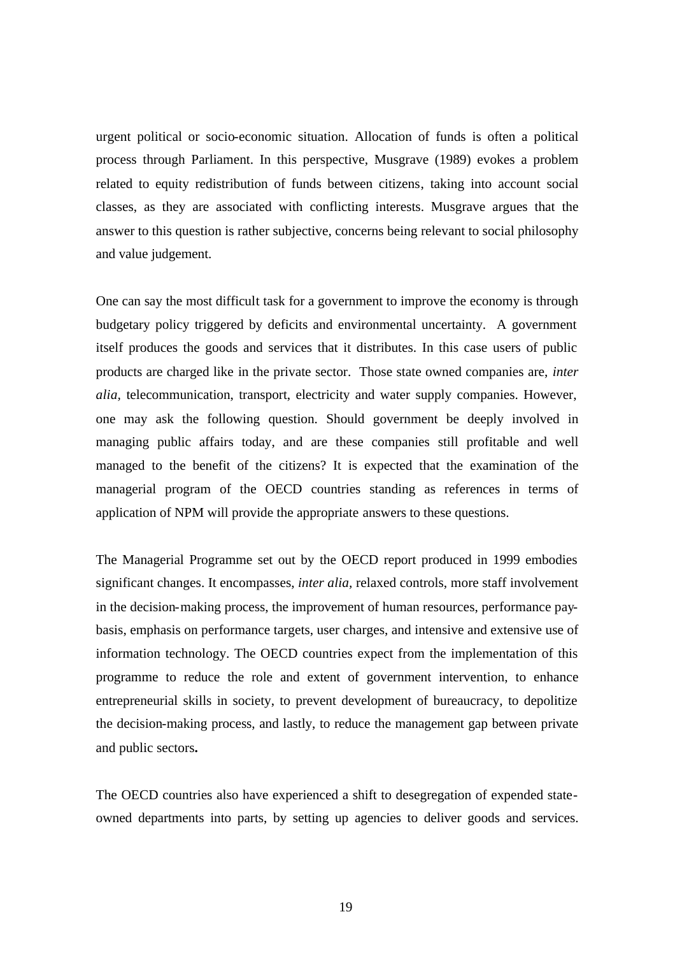urgent political or socio-economic situation. Allocation of funds is often a political process through Parliament. In this perspective, Musgrave (1989) evokes a problem related to equity redistribution of funds between citizens, taking into account social classes, as they are associated with conflicting interests. Musgrave argues that the answer to this question is rather subjective, concerns being relevant to social philosophy and value judgement.

One can say the most difficult task for a government to improve the economy is through budgetary policy triggered by deficits and environmental uncertainty. A government itself produces the goods and services that it distributes. In this case users of public products are charged like in the private sector. Those state owned companies are, *inter alia,* telecommunication, transport, electricity and water supply companies. However, one may ask the following question. Should government be deeply involved in managing public affairs today, and are these companies still profitable and well managed to the benefit of the citizens? It is expected that the examination of the managerial program of the OECD countries standing as references in terms of application of NPM will provide the appropriate answers to these questions.

The Managerial Programme set out by the OECD report produced in 1999 embodies significant changes. It encompasses, *inter alia,* relaxed controls, more staff involvement in the decision-making process, the improvement of human resources, performance paybasis, emphasis on performance targets, user charges, and intensive and extensive use of information technology. The OECD countries expect from the implementation of this programme to reduce the role and extent of government intervention, to enhance entrepreneurial skills in society, to prevent development of bureaucracy, to depolitize the decision-making process, and lastly, to reduce the management gap between private and public sectors**.** 

The OECD countries also have experienced a shift to desegregation of expended stateowned departments into parts, by setting up agencies to deliver goods and services.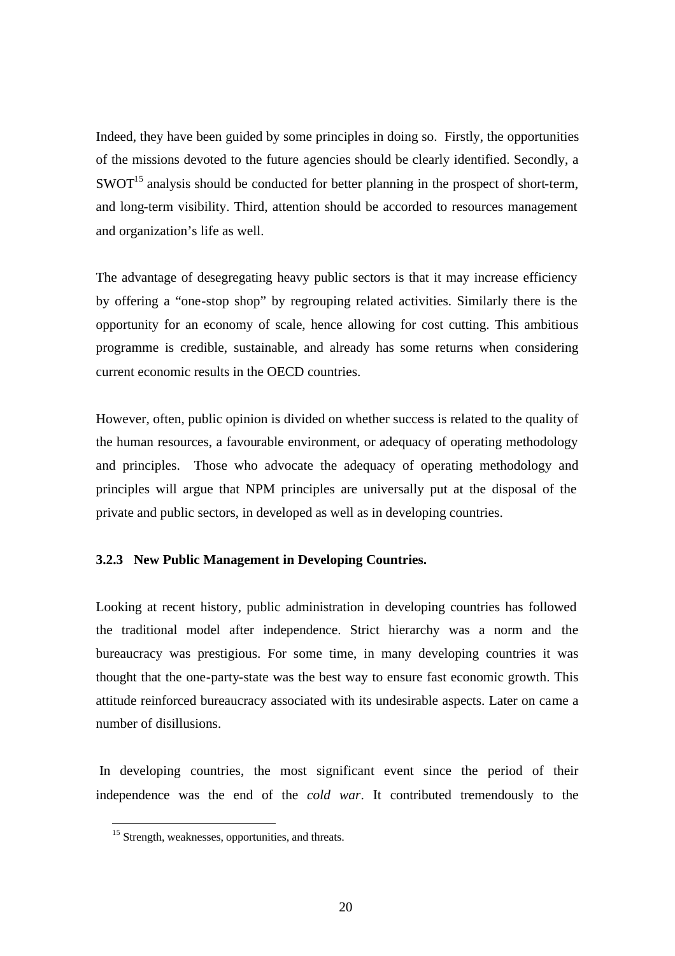Indeed, they have been guided by some principles in doing so. Firstly, the opportunities of the missions devoted to the future agencies should be clearly identified. Secondly, a  $SWOT<sup>15</sup>$  analysis should be conducted for better planning in the prospect of short-term, and long-term visibility. Third, attention should be accorded to resources management and organization's life as well.

The advantage of desegregating heavy public sectors is that it may increase efficiency by offering a "one-stop shop" by regrouping related activities. Similarly there is the opportunity for an economy of scale, hence allowing for cost cutting. This ambitious programme is credible, sustainable, and already has some returns when considering current economic results in the OECD countries.

However, often, public opinion is divided on whether success is related to the quality of the human resources, a favourable environment, or adequacy of operating methodology and principles. Those who advocate the adequacy of operating methodology and principles will argue that NPM principles are universally put at the disposal of the private and public sectors, in developed as well as in developing countries.

#### **3.2.3 New Public Management in Developing Countries.**

Looking at recent history, public administration in developing countries has followed the traditional model after independence. Strict hierarchy was a norm and the bureaucracy was prestigious. For some time, in many developing countries it was thought that the one-party-state was the best way to ensure fast economic growth. This attitude reinforced bureaucracy associated with its undesirable aspects. Later on came a number of disillusions.

 In developing countries, the most significant event since the period of their independence was the end of the *cold war*. It contributed tremendously to the

 $\overline{a}$ 

 $15$  Strength, weaknesses, opportunities, and threats.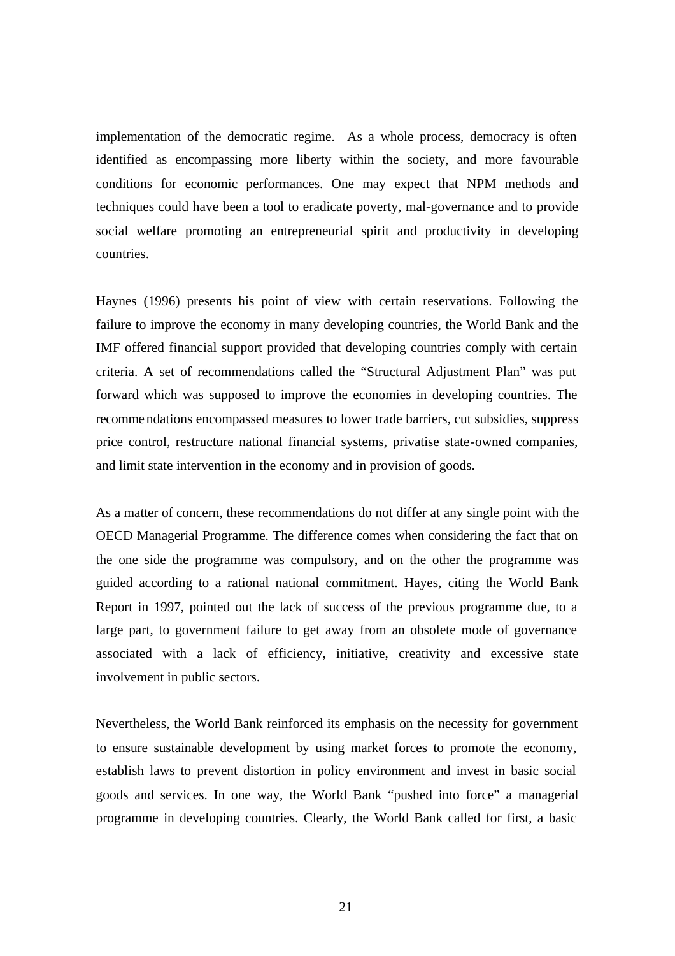implementation of the democratic regime. As a whole process, democracy is often identified as encompassing more liberty within the society, and more favourable conditions for economic performances. One may expect that NPM methods and techniques could have been a tool to eradicate poverty, mal-governance and to provide social welfare promoting an entrepreneurial spirit and productivity in developing countries.

Haynes (1996) presents his point of view with certain reservations. Following the failure to improve the economy in many developing countries, the World Bank and the IMF offered financial support provided that developing countries comply with certain criteria. A set of recommendations called the "Structural Adjustment Plan" was put forward which was supposed to improve the economies in developing countries. The recomme ndations encompassed measures to lower trade barriers, cut subsidies, suppress price control, restructure national financial systems, privatise state-owned companies, and limit state intervention in the economy and in provision of goods.

As a matter of concern, these recommendations do not differ at any single point with the OECD Managerial Programme. The difference comes when considering the fact that on the one side the programme was compulsory, and on the other the programme was guided according to a rational national commitment. Hayes, citing the World Bank Report in 1997, pointed out the lack of success of the previous programme due, to a large part, to government failure to get away from an obsolete mode of governance associated with a lack of efficiency, initiative, creativity and excessive state involvement in public sectors.

Nevertheless, the World Bank reinforced its emphasis on the necessity for government to ensure sustainable development by using market forces to promote the economy, establish laws to prevent distortion in policy environment and invest in basic social goods and services. In one way, the World Bank "pushed into force" a managerial programme in developing countries. Clearly, the World Bank called for first, a basic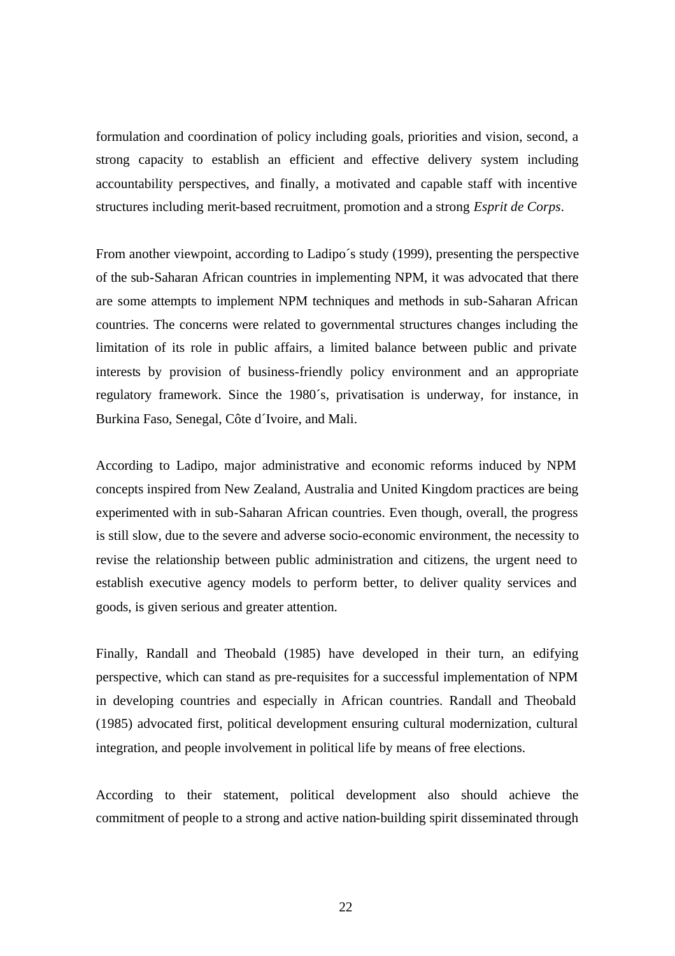formulation and coordination of policy including goals, priorities and vision, second, a strong capacity to establish an efficient and effective delivery system including accountability perspectives, and finally, a motivated and capable staff with incentive structures including merit-based recruitment, promotion and a strong *Esprit de Corps*.

From another viewpoint, according to Ladipo´s study (1999), presenting the perspective of the sub-Saharan African countries in implementing NPM, it was advocated that there are some attempts to implement NPM techniques and methods in sub-Saharan African countries. The concerns were related to governmental structures changes including the limitation of its role in public affairs, a limited balance between public and private interests by provision of business-friendly policy environment and an appropriate regulatory framework. Since the 1980´s, privatisation is underway, for instance, in Burkina Faso, Senegal, Côte d´Ivoire, and Mali.

According to Ladipo, major administrative and economic reforms induced by NPM concepts inspired from New Zealand, Australia and United Kingdom practices are being experimented with in sub-Saharan African countries. Even though, overall, the progress is still slow, due to the severe and adverse socio-economic environment, the necessity to revise the relationship between public administration and citizens, the urgent need to establish executive agency models to perform better, to deliver quality services and goods, is given serious and greater attention.

Finally, Randall and Theobald (1985) have developed in their turn, an edifying perspective, which can stand as pre-requisites for a successful implementation of NPM in developing countries and especially in African countries. Randall and Theobald (1985) advocated first, political development ensuring cultural modernization, cultural integration, and people involvement in political life by means of free elections.

According to their statement, political development also should achieve the commitment of people to a strong and active nation-building spirit disseminated through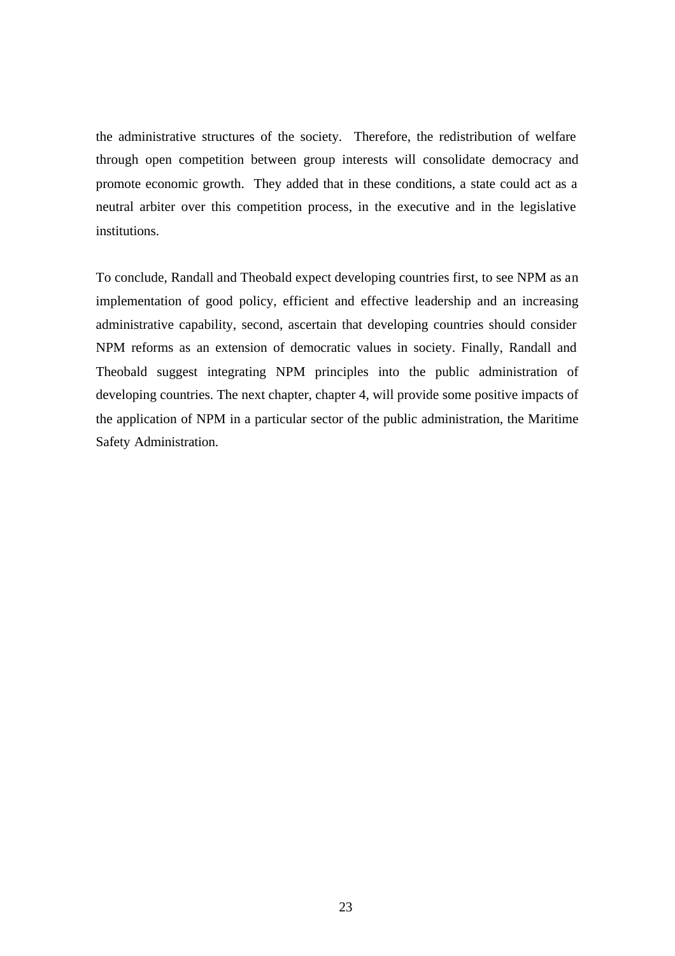the administrative structures of the society. Therefore, the redistribution of welfare through open competition between group interests will consolidate democracy and promote economic growth. They added that in these conditions, a state could act as a neutral arbiter over this competition process, in the executive and in the legislative institutions.

To conclude, Randall and Theobald expect developing countries first, to see NPM as an implementation of good policy, efficient and effective leadership and an increasing administrative capability, second, ascertain that developing countries should consider NPM reforms as an extension of democratic values in society. Finally, Randall and Theobald suggest integrating NPM principles into the public administration of developing countries. The next chapter, chapter 4, will provide some positive impacts of the application of NPM in a particular sector of the public administration, the Maritime Safety Administration.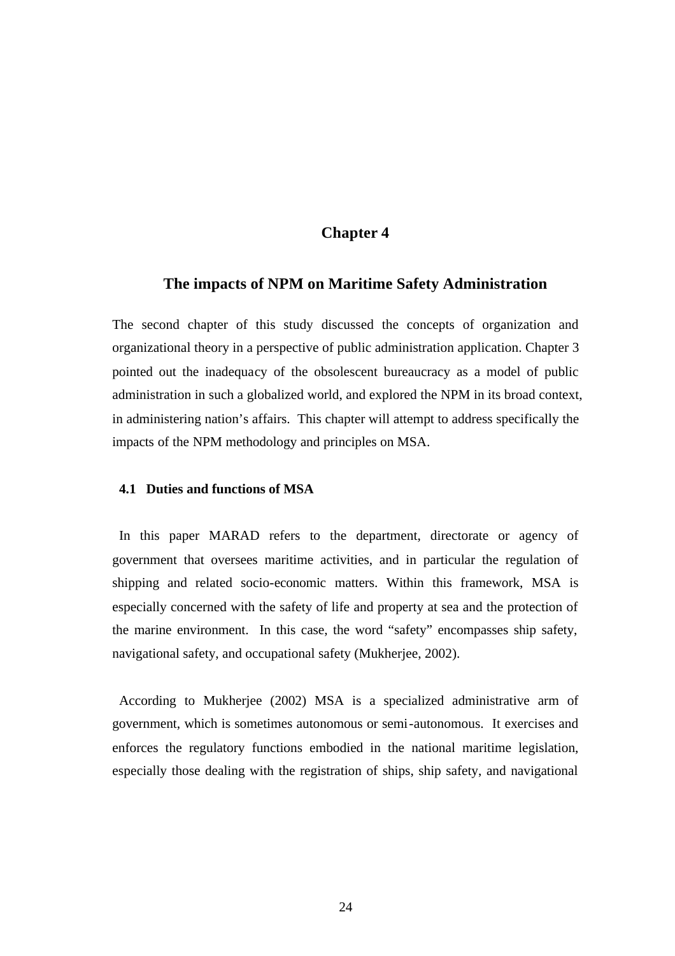### **Chapter 4**

#### **The impacts of NPM on Maritime Safety Administration**

The second chapter of this study discussed the concepts of organization and organizational theory in a perspective of public administration application. Chapter 3 pointed out the inadequacy of the obsolescent bureaucracy as a model of public administration in such a globalized world, and explored the NPM in its broad context, in administering nation's affairs. This chapter will attempt to address specifically the impacts of the NPM methodology and principles on MSA.

#### **4.1 Duties and functions of MSA**

In this paper MARAD refers to the department, directorate or agency of government that oversees maritime activities, and in particular the regulation of shipping and related socio-economic matters. Within this framework, MSA is especially concerned with the safety of life and property at sea and the protection of the marine environment. In this case, the word "safety" encompasses ship safety, navigational safety, and occupational safety (Mukherjee, 2002).

According to Mukherjee (2002) MSA is a specialized administrative arm of government, which is sometimes autonomous or semi-autonomous. It exercises and enforces the regulatory functions embodied in the national maritime legislation, especially those dealing with the registration of ships, ship safety, and navigational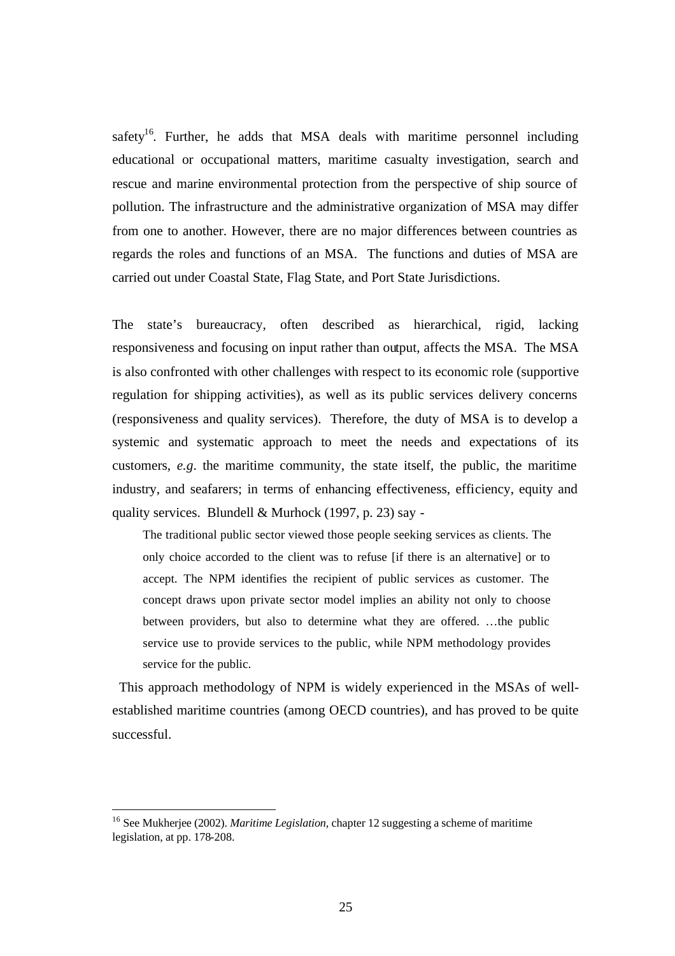safety<sup>16</sup>. Further, he adds that MSA deals with maritime personnel including educational or occupational matters, maritime casualty investigation, search and rescue and marine environmental protection from the perspective of ship source of pollution. The infrastructure and the administrative organization of MSA may differ from one to another. However, there are no major differences between countries as regards the roles and functions of an MSA. The functions and duties of MSA are carried out under Coastal State, Flag State, and Port State Jurisdictions.

The state's bureaucracy, often described as hierarchical, rigid, lacking responsiveness and focusing on input rather than output, affects the MSA. The MSA is also confronted with other challenges with respect to its economic role (supportive regulation for shipping activities), as well as its public services delivery concerns (responsiveness and quality services). Therefore, the duty of MSA is to develop a systemic and systematic approach to meet the needs and expectations of its customers, *e.g*. the maritime community, the state itself, the public, the maritime industry, and seafarers; in terms of enhancing effectiveness, efficiency, equity and quality services. Blundell & Murhock (1997, p. 23) say -

The traditional public sector viewed those people seeking services as clients. The only choice accorded to the client was to refuse [if there is an alternative] or to accept. The NPM identifies the recipient of public services as customer. The concept draws upon private sector model implies an ability not only to choose between providers, but also to determine what they are offered. …the public service use to provide services to the public, while NPM methodology provides service for the public.

This approach methodology of NPM is widely experienced in the MSAs of wellestablished maritime countries (among OECD countries), and has proved to be quite successful.

 $\overline{a}$ 

<sup>16</sup> See Mukherjee (2002). *Maritime Legislation,* chapter 12 suggesting a scheme of maritime legislation, at pp. 178-208.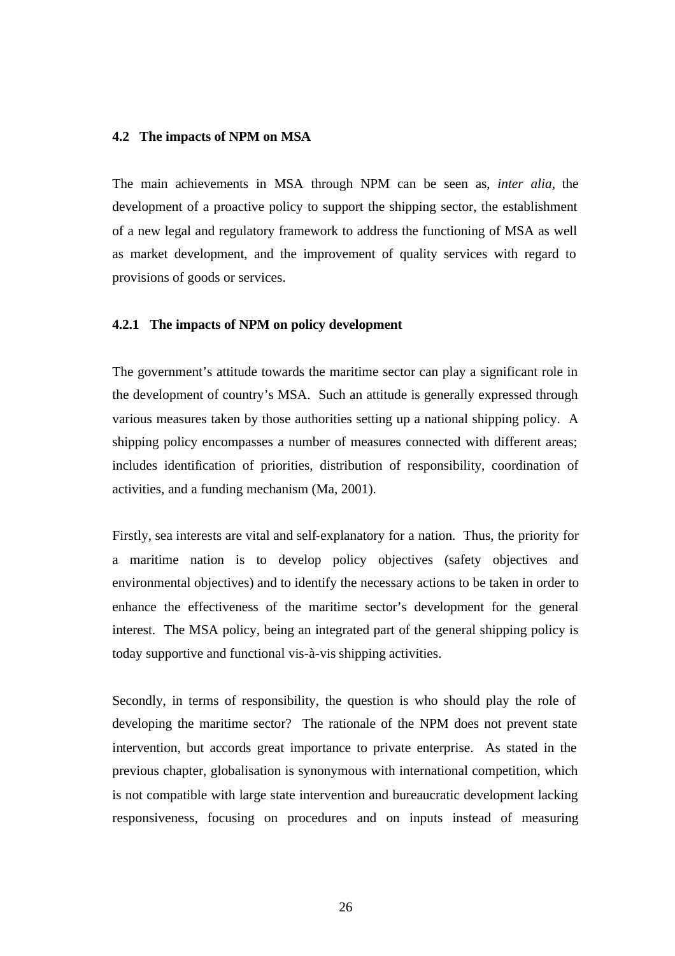#### **4.2 The impacts of NPM on MSA**

The main achievements in MSA through NPM can be seen as, *inter alia,* the development of a proactive policy to support the shipping sector, the establishment of a new legal and regulatory framework to address the functioning of MSA as well as market development, and the improvement of quality services with regard to provisions of goods or services.

#### **4.2.1 The impacts of NPM on policy development**

The government's attitude towards the maritime sector can play a significant role in the development of country's MSA. Such an attitude is generally expressed through various measures taken by those authorities setting up a national shipping policy. A shipping policy encompasses a number of measures connected with different areas; includes identification of priorities, distribution of responsibility, coordination of activities, and a funding mechanism (Ma, 2001).

Firstly, sea interests are vital and self-explanatory for a nation. Thus, the priority for a maritime nation is to develop policy objectives (safety objectives and environmental objectives) and to identify the necessary actions to be taken in order to enhance the effectiveness of the maritime sector's development for the general interest. The MSA policy, being an integrated part of the general shipping policy is today supportive and functional vis-à-vis shipping activities.

Secondly, in terms of responsibility, the question is who should play the role of developing the maritime sector? The rationale of the NPM does not prevent state intervention, but accords great importance to private enterprise. As stated in the previous chapter, globalisation is synonymous with international competition, which is not compatible with large state intervention and bureaucratic development lacking responsiveness, focusing on procedures and on inputs instead of measuring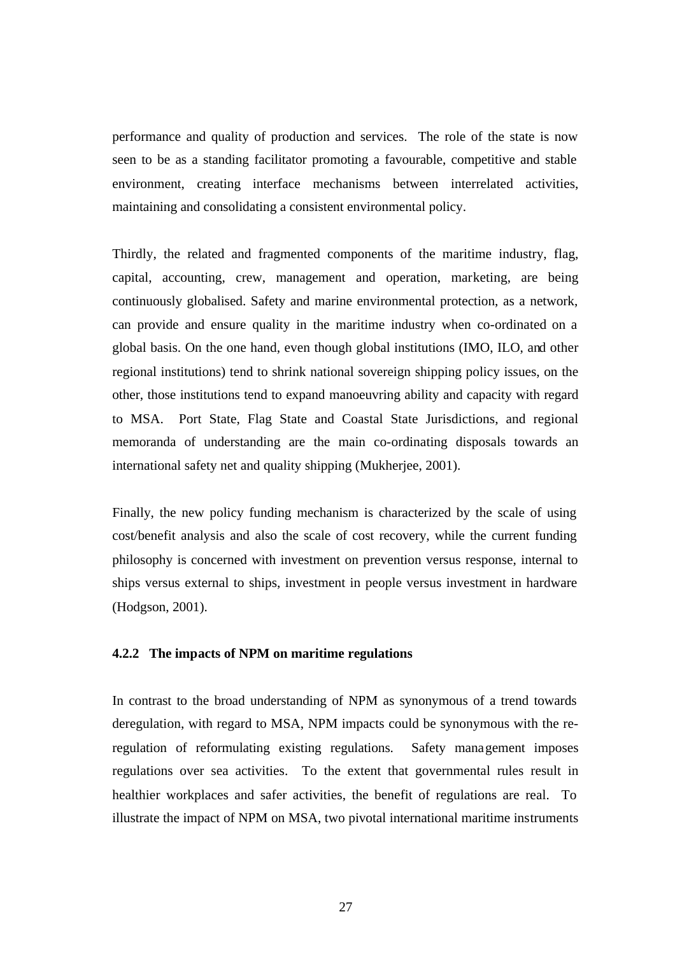performance and quality of production and services. The role of the state is now seen to be as a standing facilitator promoting a favourable, competitive and stable environment, creating interface mechanisms between interrelated activities, maintaining and consolidating a consistent environmental policy.

Thirdly, the related and fragmented components of the maritime industry, flag, capital, accounting, crew, management and operation, marketing, are being continuously globalised. Safety and marine environmental protection, as a network, can provide and ensure quality in the maritime industry when co-ordinated on a global basis. On the one hand, even though global institutions (IMO, ILO, and other regional institutions) tend to shrink national sovereign shipping policy issues, on the other, those institutions tend to expand manoeuvring ability and capacity with regard to MSA. Port State, Flag State and Coastal State Jurisdictions, and regional memoranda of understanding are the main co-ordinating disposals towards an international safety net and quality shipping (Mukherjee, 2001).

Finally, the new policy funding mechanism is characterized by the scale of using cost/benefit analysis and also the scale of cost recovery, while the current funding philosophy is concerned with investment on prevention versus response, internal to ships versus external to ships, investment in people versus investment in hardware (Hodgson, 2001).

#### **4.2.2 The impacts of NPM on maritime regulations**

In contrast to the broad understanding of NPM as synonymous of a trend towards deregulation, with regard to MSA, NPM impacts could be synonymous with the reregulation of reformulating existing regulations. Safety management imposes regulations over sea activities. To the extent that governmental rules result in healthier workplaces and safer activities, the benefit of regulations are real. To illustrate the impact of NPM on MSA, two pivotal international maritime instruments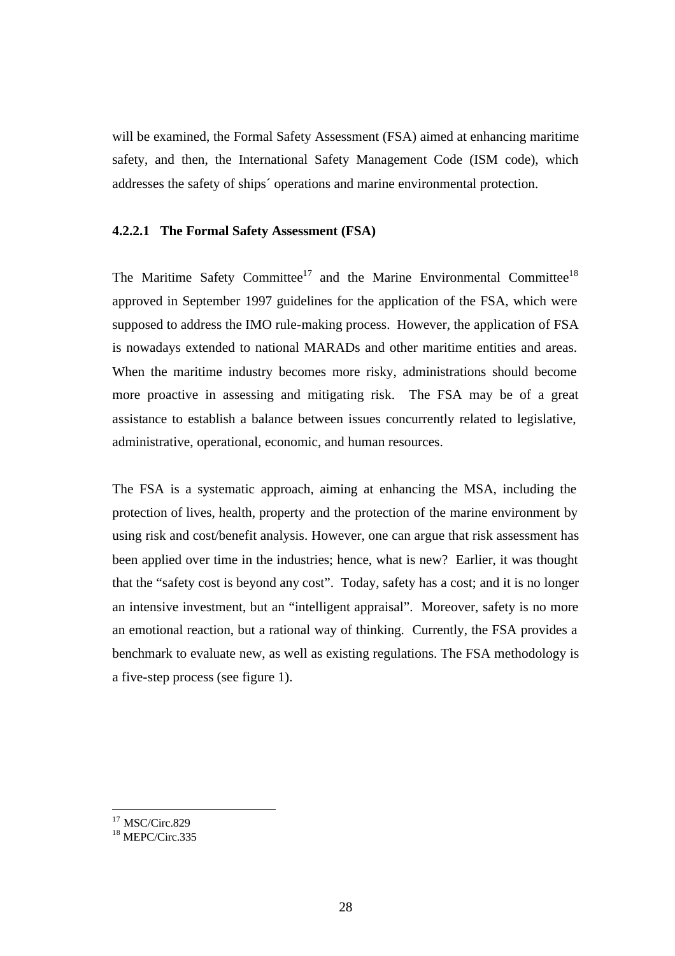will be examined, the Formal Safety Assessment (FSA) aimed at enhancing maritime safety, and then, the International Safety Management Code (ISM code), which addresses the safety of ships´ operations and marine environmental protection.

## **4.2.2.1 The Formal Safety Assessment (FSA)**

The Maritime Safety Committee<sup>17</sup> and the Marine Environmental Committee<sup>18</sup> approved in September 1997 guidelines for the application of the FSA, which were supposed to address the IMO rule-making process. However, the application of FSA is nowadays extended to national MARADs and other maritime entities and areas. When the maritime industry becomes more risky, administrations should become more proactive in assessing and mitigating risk. The FSA may be of a great assistance to establish a balance between issues concurrently related to legislative, administrative, operational, economic, and human resources.

The FSA is a systematic approach, aiming at enhancing the MSA, including the protection of lives, health, property and the protection of the marine environment by using risk and cost/benefit analysis. However, one can argue that risk assessment has been applied over time in the industries; hence, what is new? Earlier, it was thought that the "safety cost is beyond any cost". Today, safety has a cost; and it is no longer an intensive investment, but an "intelligent appraisal". Moreover, safety is no more an emotional reaction, but a rational way of thinking. Currently, the FSA provides a benchmark to evaluate new, as well as existing regulations. The FSA methodology is a five-step process (see figure 1).

 $17$  MSC/Circ.829

 $18$  MEPC/Circ.335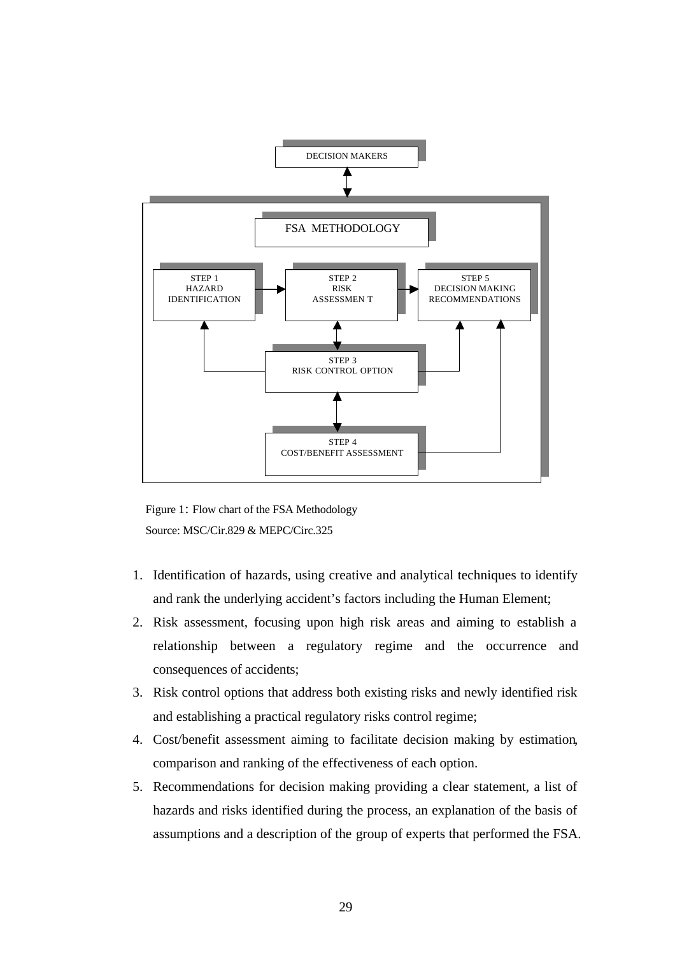

 Figure 1: Flow chart of the FSA Methodology Source: MSC/Cir.829 & MEPC/Circ.325

- 1. Identification of hazards, using creative and analytical techniques to identify and rank the underlying accident's factors including the Human Element;
- 2. Risk assessment, focusing upon high risk areas and aiming to establish a relationship between a regulatory regime and the occurrence and consequences of accidents;
- 3. Risk control options that address both existing risks and newly identified risk and establishing a practical regulatory risks control regime;
- 4. Cost/benefit assessment aiming to facilitate decision making by estimation, comparison and ranking of the effectiveness of each option.
- 5. Recommendations for decision making providing a clear statement, a list of hazards and risks identified during the process, an explanation of the basis of assumptions and a description of the group of experts that performed the FSA.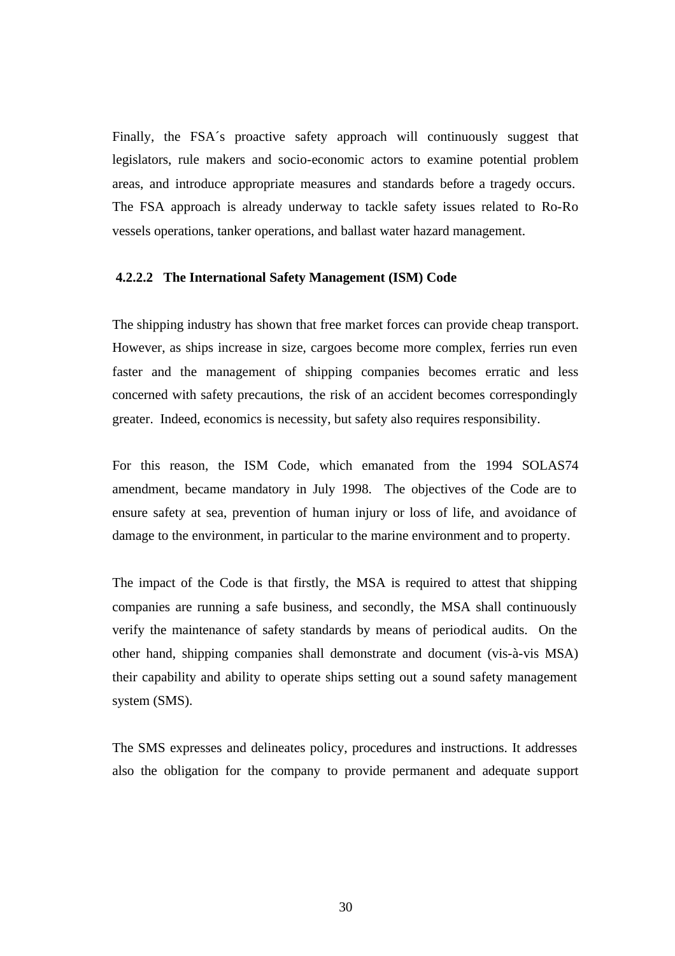Finally, the FSA´s proactive safety approach will continuously suggest that legislators, rule makers and socio-economic actors to examine potential problem areas, and introduce appropriate measures and standards before a tragedy occurs. The FSA approach is already underway to tackle safety issues related to Ro-Ro vessels operations, tanker operations, and ballast water hazard management.

#### **4.2.2.2 The International Safety Management (ISM) Code**

The shipping industry has shown that free market forces can provide cheap transport. However, as ships increase in size, cargoes become more complex, ferries run even faster and the management of shipping companies becomes erratic and less concerned with safety precautions, the risk of an accident becomes correspondingly greater. Indeed, economics is necessity, but safety also requires responsibility.

For this reason, the ISM Code, which emanated from the 1994 SOLAS74 amendment, became mandatory in July 1998. The objectives of the Code are to ensure safety at sea, prevention of human injury or loss of life, and avoidance of damage to the environment, in particular to the marine environment and to property.

The impact of the Code is that firstly, the MSA is required to attest that shipping companies are running a safe business, and secondly, the MSA shall continuously verify the maintenance of safety standards by means of periodical audits. On the other hand, shipping companies shall demonstrate and document (vis-à-vis MSA) their capability and ability to operate ships setting out a sound safety management system (SMS).

The SMS expresses and delineates policy, procedures and instructions. It addresses also the obligation for the company to provide permanent and adequate support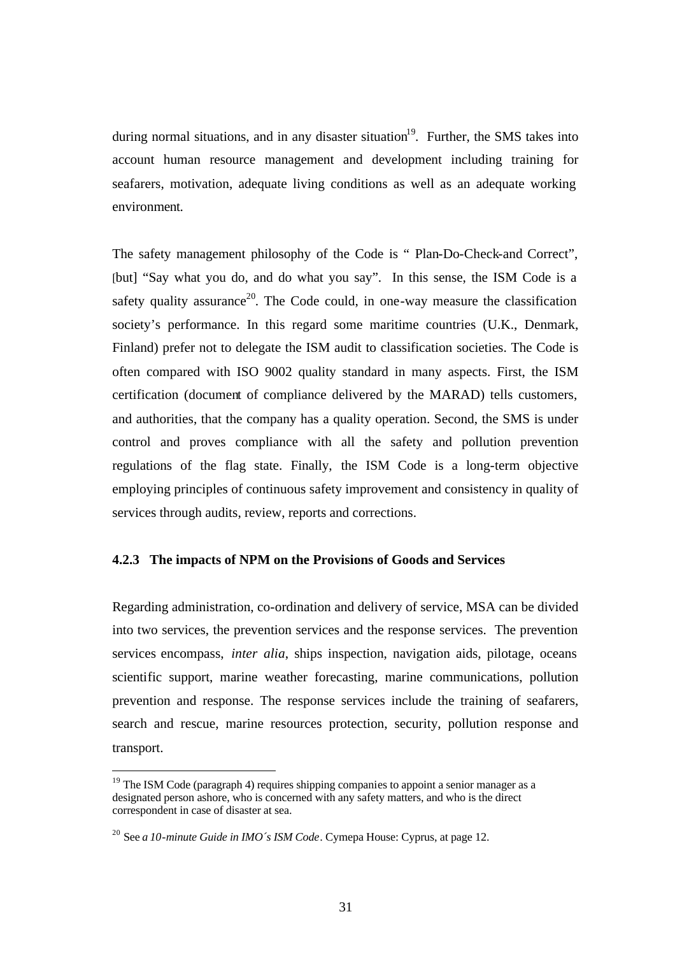during normal situations, and in any disaster situation<sup>19</sup>. Further, the SMS takes into account human resource management and development including training for seafarers, motivation, adequate living conditions as well as an adequate working environment.

The safety management philosophy of the Code is " Plan-Do-Check-and Correct", [but] "Say what you do, and do what you say". In this sense, the ISM Code is a safety quality assurance<sup>20</sup>. The Code could, in one-way measure the classification society's performance. In this regard some maritime countries (U.K., Denmark, Finland) prefer not to delegate the ISM audit to classification societies. The Code is often compared with ISO 9002 quality standard in many aspects. First, the ISM certification (document of compliance delivered by the MARAD) tells customers, and authorities, that the company has a quality operation. Second, the SMS is under control and proves compliance with all the safety and pollution prevention regulations of the flag state. Finally, the ISM Code is a long-term objective employing principles of continuous safety improvement and consistency in quality of services through audits, review, reports and corrections.

## **4.2.3 The impacts of NPM on the Provisions of Goods and Services**

Regarding administration, co-ordination and delivery of service, MSA can be divided into two services, the prevention services and the response services. The prevention services encompass, *inter alia*, ships inspection, navigation aids, pilotage, oceans scientific support, marine weather forecasting, marine communications, pollution prevention and response. The response services include the training of seafarers, search and rescue, marine resources protection, security, pollution response and transport.

 $19$  The ISM Code (paragraph 4) requires shipping companies to appoint a senior manager as a designated person ashore, who is concerned with any safety matters, and who is the direct correspondent in case of disaster at sea.

<sup>20</sup> See *a 10-minute Guide in IMO´s ISM Code*. Cymepa House: Cyprus, at page 12.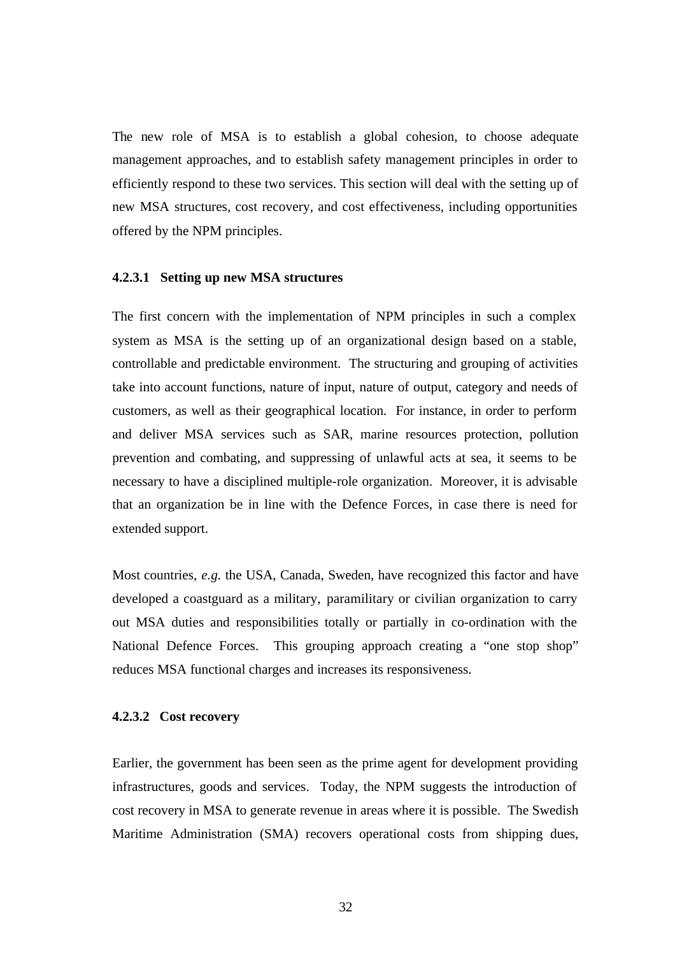The new role of MSA is to establish a global cohesion, to choose adequate management approaches, and to establish safety management principles in order to efficiently respond to these two services. This section will deal with the setting up of new MSA structures, cost recovery, and cost effectiveness, including opportunities offered by the NPM principles.

#### **4.2.3.1 Setting up new MSA structures**

The first concern with the implementation of NPM principles in such a complex system as MSA is the setting up of an organizational design based on a stable, controllable and predictable environment. The structuring and grouping of activities take into account functions, nature of input, nature of output, category and needs of customers, as well as their geographical location. For instance, in order to perform and deliver MSA services such as SAR, marine resources protection, pollution prevention and combating, and suppressing of unlawful acts at sea, it seems to be necessary to have a disciplined multiple-role organization. Moreover, it is advisable that an organization be in line with the Defence Forces, in case there is need for extended support.

Most countries, *e.g.* the USA, Canada, Sweden, have recognized this factor and have developed a coastguard as a military, paramilitary or civilian organization to carry out MSA duties and responsibilities totally or partially in co-ordination with the National Defence Forces. This grouping approach creating a "one stop shop" reduces MSA functional charges and increases its responsiveness.

#### **4.2.3.2 Cost recovery**

Earlier, the government has been seen as the prime agent for development providing infrastructures, goods and services. Today, the NPM suggests the introduction of cost recovery in MSA to generate revenue in areas where it is possible. The Swedish Maritime Administration (SMA) recovers operational costs from shipping dues,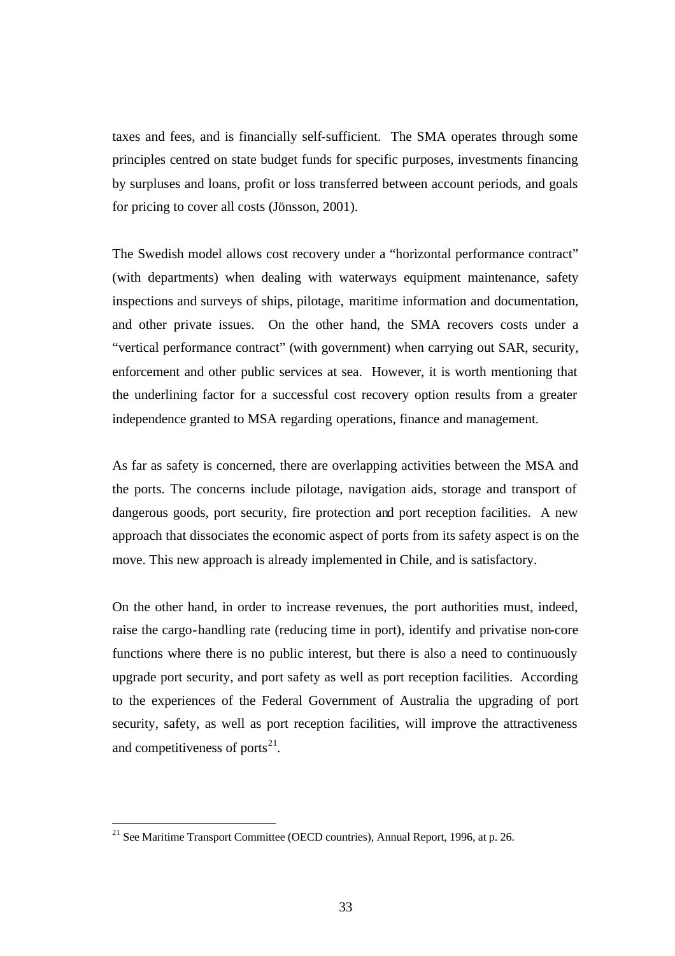taxes and fees, and is financially self-sufficient. The SMA operates through some principles centred on state budget funds for specific purposes, investments financing by surpluses and loans, profit or loss transferred between account periods, and goals for pricing to cover all costs (Jönsson, 2001).

The Swedish model allows cost recovery under a "horizontal performance contract" (with departments) when dealing with waterways equipment maintenance, safety inspections and surveys of ships, pilotage, maritime information and documentation, and other private issues. On the other hand, the SMA recovers costs under a "vertical performance contract" (with government) when carrying out SAR, security, enforcement and other public services at sea. However, it is worth mentioning that the underlining factor for a successful cost recovery option results from a greater independence granted to MSA regarding operations, finance and management.

As far as safety is concerned, there are overlapping activities between the MSA and the ports. The concerns include pilotage, navigation aids, storage and transport of dangerous goods, port security, fire protection and port reception facilities. A new approach that dissociates the economic aspect of ports from its safety aspect is on the move. This new approach is already implemented in Chile, and is satisfactory.

On the other hand, in order to increase revenues, the port authorities must, indeed, raise the cargo-handling rate (reducing time in port), identify and privatise non-core functions where there is no public interest, but there is also a need to continuously upgrade port security, and port safety as well as port reception facilities. According to the experiences of the Federal Government of Australia the upgrading of port security, safety, as well as port reception facilities, will improve the attractiveness and competitiveness of ports $^{21}$ .

<sup>&</sup>lt;sup>21</sup> See Maritime Transport Committee (OECD countries), Annual Report, 1996, at p. 26.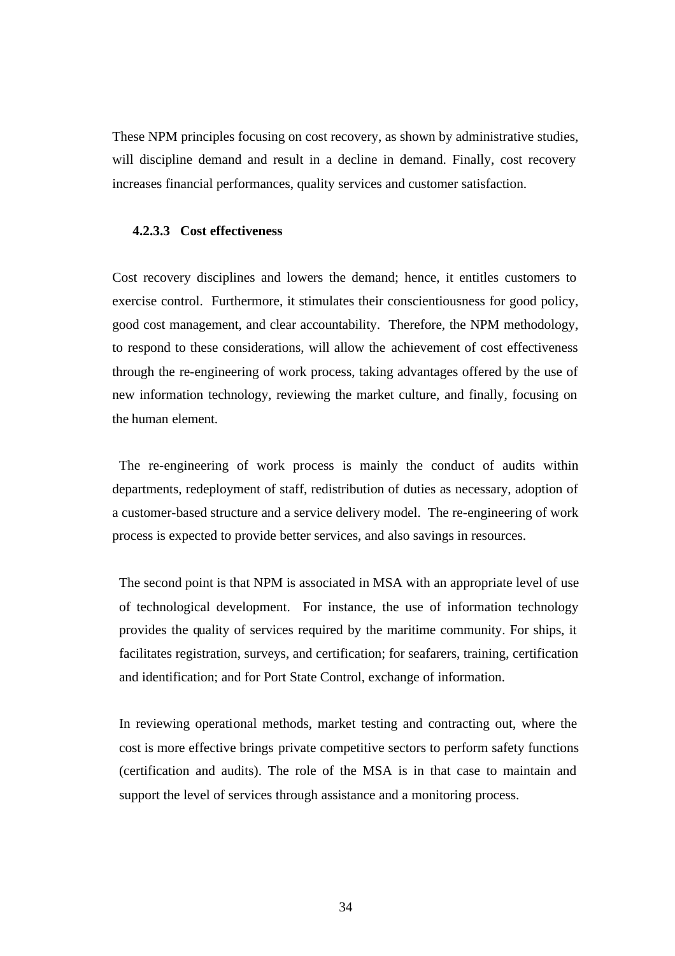These NPM principles focusing on cost recovery, as shown by administrative studies, will discipline demand and result in a decline in demand. Finally, cost recovery increases financial performances, quality services and customer satisfaction.

## **4.2.3.3 Cost effectiveness**

Cost recovery disciplines and lowers the demand; hence, it entitles customers to exercise control. Furthermore, it stimulates their conscientiousness for good policy, good cost management, and clear accountability. Therefore, the NPM methodology, to respond to these considerations, will allow the achievement of cost effectiveness through the re-engineering of work process, taking advantages offered by the use of new information technology, reviewing the market culture, and finally, focusing on the human element.

The re-engineering of work process is mainly the conduct of audits within departments, redeployment of staff, redistribution of duties as necessary, adoption of a customer-based structure and a service delivery model. The re-engineering of work process is expected to provide better services, and also savings in resources.

The second point is that NPM is associated in MSA with an appropriate level of use of technological development. For instance, the use of information technology provides the quality of services required by the maritime community. For ships, it facilitates registration, surveys, and certification; for seafarers, training, certification and identification; and for Port State Control, exchange of information.

In reviewing operational methods, market testing and contracting out, where the cost is more effective brings private competitive sectors to perform safety functions (certification and audits). The role of the MSA is in that case to maintain and support the level of services through assistance and a monitoring process.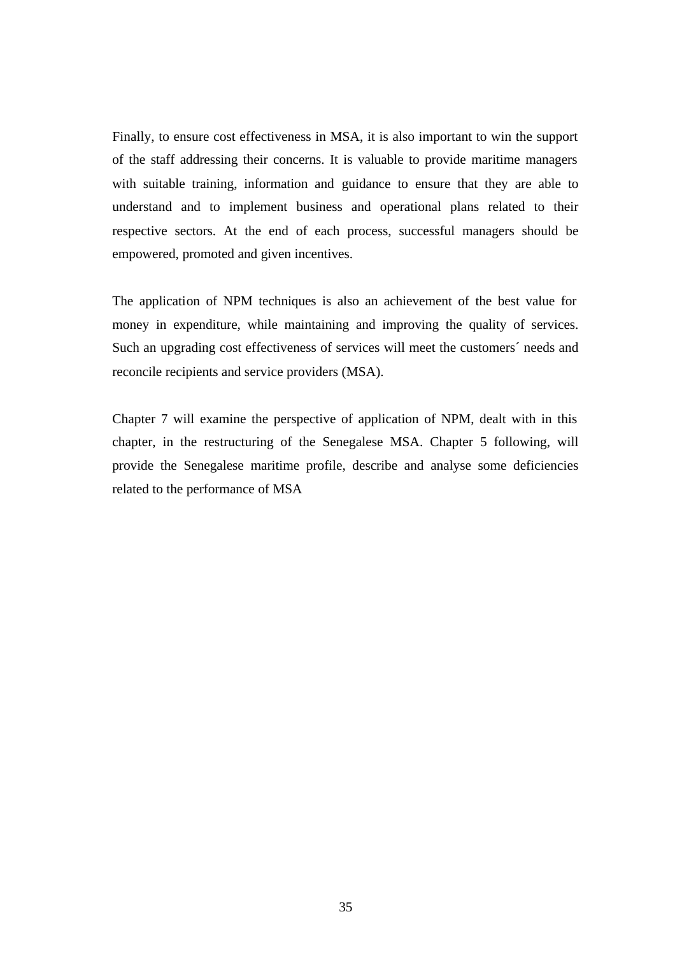Finally, to ensure cost effectiveness in MSA, it is also important to win the support of the staff addressing their concerns. It is valuable to provide maritime managers with suitable training, information and guidance to ensure that they are able to understand and to implement business and operational plans related to their respective sectors. At the end of each process, successful managers should be empowered, promoted and given incentives.

The application of NPM techniques is also an achievement of the best value for money in expenditure, while maintaining and improving the quality of services. Such an upgrading cost effectiveness of services will meet the customers´ needs and reconcile recipients and service providers (MSA).

Chapter 7 will examine the perspective of application of NPM, dealt with in this chapter, in the restructuring of the Senegalese MSA. Chapter 5 following, will provide the Senegalese maritime profile, describe and analyse some deficiencies related to the performance of MSA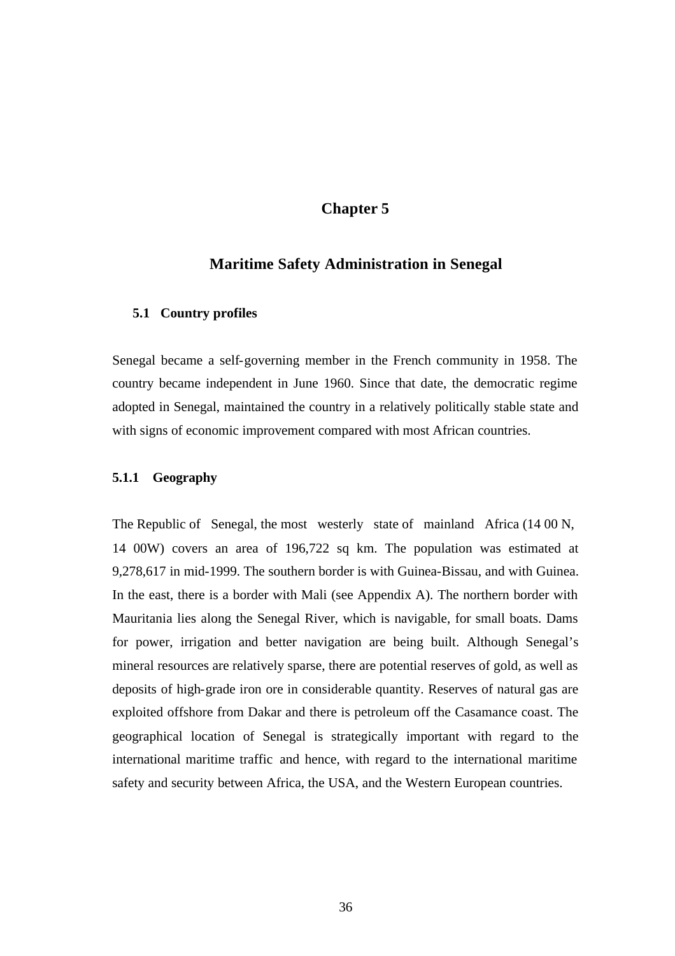# **Chapter 5**

## **Maritime Safety Administration in Senegal**

#### **5.1 Country profiles**

Senegal became a self-governing member in the French community in 1958. The country became independent in June 1960. Since that date, the democratic regime adopted in Senegal, maintained the country in a relatively politically stable state and with signs of economic improvement compared with most African countries.

#### **5.1.1 Geography**

The Republic of Senegal, the most westerly state of mainland Africa (14 00 N, 14 00W) covers an area of 196,722 sq km. The population was estimated at 9,278,617 in mid-1999. The southern border is with Guinea-Bissau, and with Guinea. In the east, there is a border with Mali (see Appendix A). The northern border with Mauritania lies along the Senegal River, which is navigable, for small boats. Dams for power, irrigation and better navigation are being built. Although Senegal's mineral resources are relatively sparse, there are potential reserves of gold, as well as deposits of high-grade iron ore in considerable quantity. Reserves of natural gas are exploited offshore from Dakar and there is petroleum off the Casamance coast. The geographical location of Senegal is strategically important with regard to the international maritime traffic and hence, with regard to the international maritime safety and security between Africa, the USA, and the Western European countries.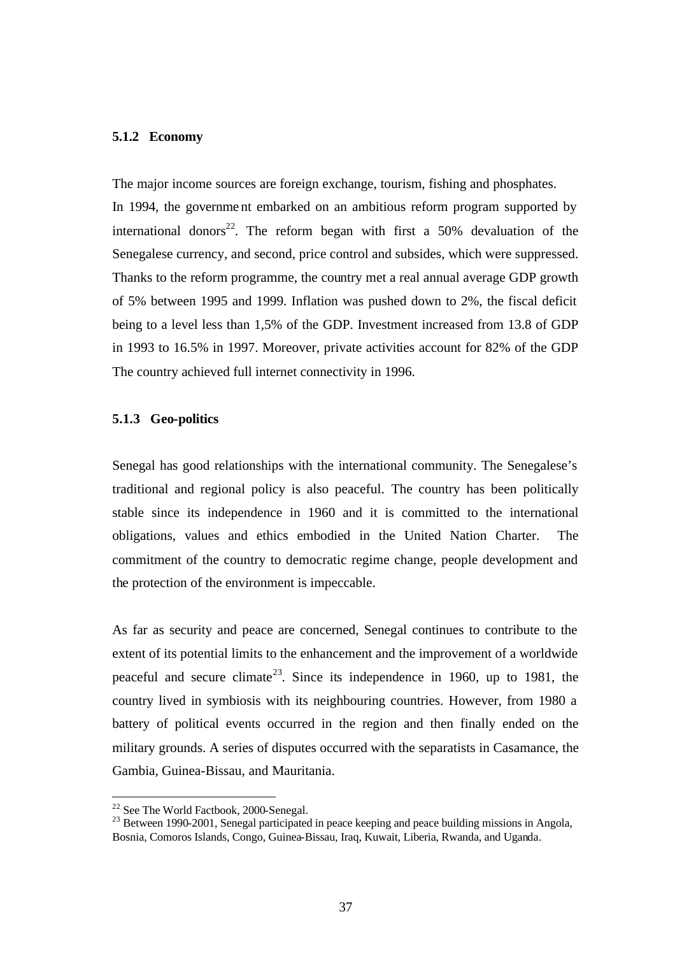#### **5.1.2 Economy**

The major income sources are foreign exchange, tourism, fishing and phosphates. In 1994, the governme nt embarked on an ambitious reform program supported by international donors<sup>22</sup>. The reform began with first a 50% devaluation of the Senegalese currency, and second, price control and subsides, which were suppressed. Thanks to the reform programme, the country met a real annual average GDP growth of 5% between 1995 and 1999. Inflation was pushed down to 2%, the fiscal deficit being to a level less than 1,5% of the GDP. Investment increased from 13.8 of GDP in 1993 to 16.5% in 1997. Moreover, private activities account for 82% of the GDP The country achieved full internet connectivity in 1996.

#### **5.1.3 Geo-politics**

Senegal has good relationships with the international community. The Senegalese's traditional and regional policy is also peaceful. The country has been politically stable since its independence in 1960 and it is committed to the international obligations, values and ethics embodied in the United Nation Charter. The commitment of the country to democratic regime change, people development and the protection of the environment is impeccable.

As far as security and peace are concerned, Senegal continues to contribute to the extent of its potential limits to the enhancement and the improvement of a worldwide peaceful and secure climate<sup>23</sup>. Since its independence in 1960, up to 1981, the country lived in symbiosis with its neighbouring countries. However, from 1980 a battery of political events occurred in the region and then finally ended on the military grounds. A series of disputes occurred with the separatists in Casamance, the Gambia, Guinea-Bissau, and Mauritania.

<sup>&</sup>lt;sup>22</sup> See The World Factbook, 2000-Senegal.

 $^{23}$  Between 1990-2001, Senegal participated in peace keeping and peace building missions in Angola, Bosnia, Comoros Islands, Congo, Guinea-Bissau, Iraq, Kuwait, Liberia, Rwanda, and Uganda.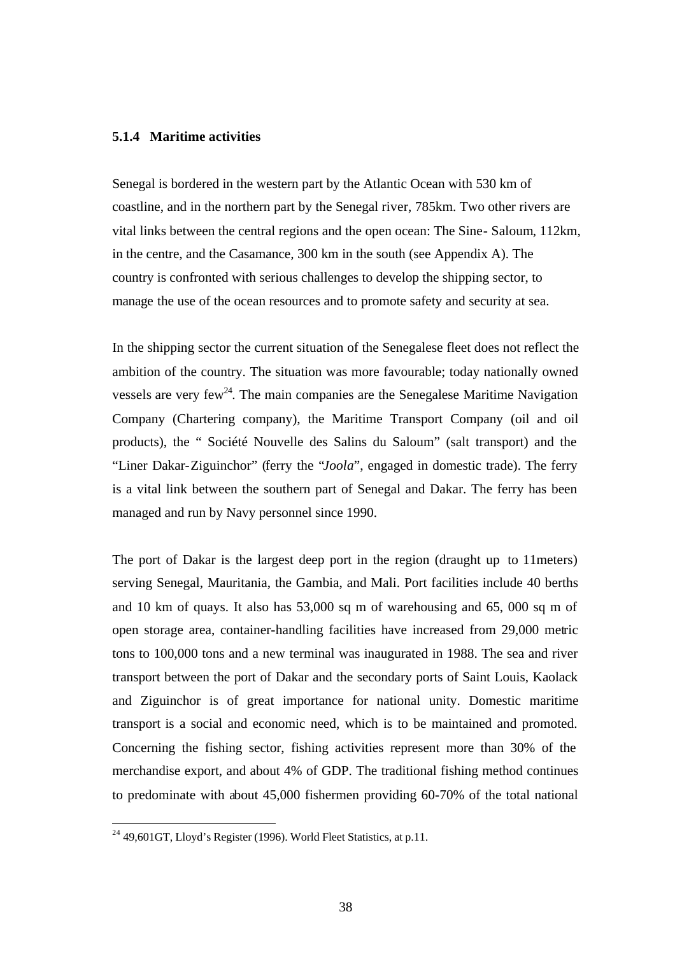#### **5.1.4 Maritime activities**

Senegal is bordered in the western part by the Atlantic Ocean with 530 km of coastline, and in the northern part by the Senegal river, 785km. Two other rivers are vital links between the central regions and the open ocean: The Sine- Saloum*,* 112km, in the centre, and the Casamance*,* 300 km in the south (see Appendix A). The country is confronted with serious challenges to develop the shipping sector, to manage the use of the ocean resources and to promote safety and security at sea.

In the shipping sector the current situation of the Senegalese fleet does not reflect the ambition of the country. The situation was more favourable; today nationally owned vessels are very few<sup>24</sup>. The main companies are the Senegalese Maritime Navigation Company (Chartering company), the Maritime Transport Company (oil and oil products), the " Société Nouvelle des Salins du Saloum" (salt transport) and the "Liner Dakar-Ziguinchor" (ferry the "*Joola*", engaged in domestic trade). The ferry is a vital link between the southern part of Senegal and Dakar. The ferry has been managed and run by Navy personnel since 1990.

The port of Dakar is the largest deep port in the region (draught up to 11meters) serving Senegal, Mauritania, the Gambia, and Mali. Port facilities include 40 berths and 10 km of quays. It also has 53,000 sq m of warehousing and 65, 000 sq m of open storage area, container-handling facilities have increased from 29,000 metric tons to 100,000 tons and a new terminal was inaugurated in 1988. The sea and river transport between the port of Dakar and the secondary ports of Saint Louis, Kaolack and Ziguinchor is of great importance for national unity. Domestic maritime transport is a social and economic need, which is to be maintained and promoted. Concerning the fishing sector, fishing activities represent more than 30% of the merchandise export, and about 4% of GDP. The traditional fishing method continues to predominate with about 45,000 fishermen providing 60-70% of the total national

 $^{24}$  49,601GT, Lloyd's Register (1996). World Fleet Statistics, at p.11.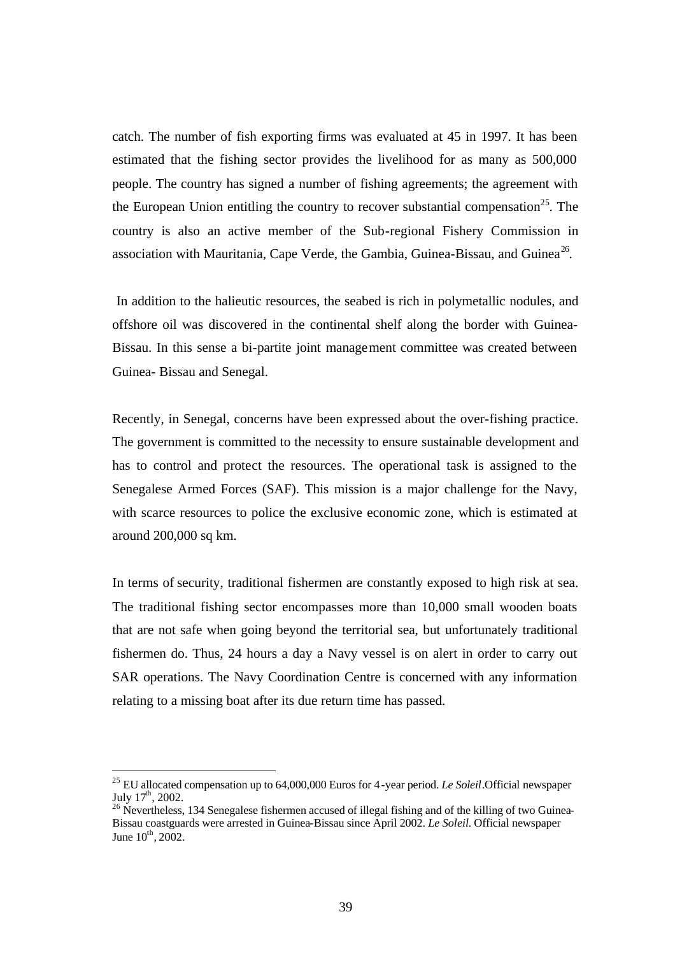catch. The number of fish exporting firms was evaluated at 45 in 1997. It has been estimated that the fishing sector provides the livelihood for as many as 500,000 people. The country has signed a number of fishing agreements; the agreement with the European Union entitling the country to recover substantial compensation<sup>25</sup>. The country is also an active member of the Sub-regional Fishery Commission in association with Mauritania, Cape Verde, the Gambia, Guinea-Bissau, and Guinea<sup>26</sup>.

 In addition to the halieutic resources, the seabed is rich in polymetallic nodules, and offshore oil was discovered in the continental shelf along the border with Guinea-Bissau. In this sense a bi-partite joint management committee was created between Guinea- Bissau and Senegal.

Recently, in Senegal, concerns have been expressed about the over-fishing practice. The government is committed to the necessity to ensure sustainable development and has to control and protect the resources. The operational task is assigned to the Senegalese Armed Forces (SAF). This mission is a major challenge for the Navy, with scarce resources to police the exclusive economic zone, which is estimated at around 200,000 sq km.

In terms of security, traditional fishermen are constantly exposed to high risk at sea. The traditional fishing sector encompasses more than 10,000 small wooden boats that are not safe when going beyond the territorial sea, but unfortunately traditional fishermen do. Thus, 24 hours a day a Navy vessel is on alert in order to carry out SAR operations. The Navy Coordination Centre is concerned with any information relating to a missing boat after its due return time has passed.

<sup>25</sup> EU allocated compensation up to 64,000,000 Euros for 4-year period. *Le Soleil*.Official newspaper July  $17^{\text{th}}$ , 2002.

<sup>&</sup>lt;sup>26</sup> Nevertheless, 134 Senegalese fishermen accused of illegal fishing and of the killing of two Guinea-Bissau coastguards were arrested in Guinea-Bissau since April 2002. *Le Soleil.* Official newspaper June  $10^{th}$ , 2002.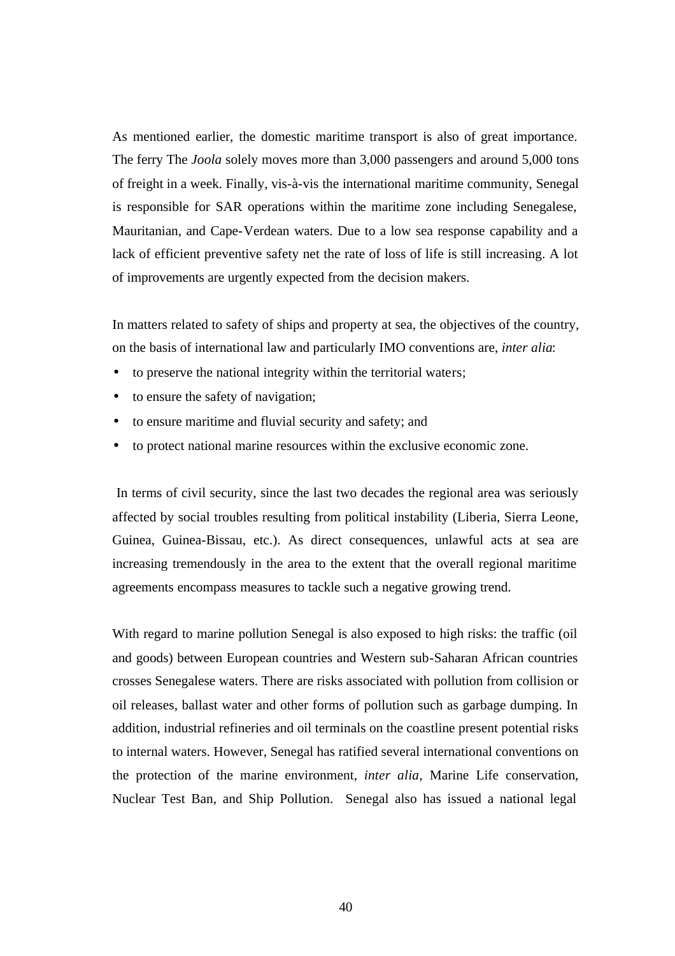As mentioned earlier, the domestic maritime transport is also of great importance. The ferry The *Joola* solely moves more than 3,000 passengers and around 5,000 tons of freight in a week. Finally, vis-à-vis the international maritime community, Senegal is responsible for SAR operations within the maritime zone including Senegalese, Mauritanian, and Cape-Verdean waters. Due to a low sea response capability and a lack of efficient preventive safety net the rate of loss of life is still increasing. A lot of improvements are urgently expected from the decision makers.

In matters related to safety of ships and property at sea, the objectives of the country, on the basis of international law and particularly IMO conventions are, *inter alia*:

- to preserve the national integrity within the territorial waters;
- to ensure the safety of navigation;
- to ensure maritime and fluvial security and safety; and
- to protect national marine resources within the exclusive economic zone.

 In terms of civil security, since the last two decades the regional area was seriously affected by social troubles resulting from political instability (Liberia, Sierra Leone, Guinea, Guinea-Bissau, etc.). As direct consequences, unlawful acts at sea are increasing tremendously in the area to the extent that the overall regional maritime agreements encompass measures to tackle such a negative growing trend.

With regard to marine pollution Senegal is also exposed to high risks: the traffic (oil and goods) between European countries and Western sub-Saharan African countries crosses Senegalese waters. There are risks associated with pollution from collision or oil releases, ballast water and other forms of pollution such as garbage dumping. In addition, industrial refineries and oil terminals on the coastline present potential risks to internal waters. However, Senegal has ratified several international conventions on the protection of the marine environment, *inter alia*, Marine Life conservation, Nuclear Test Ban, and Ship Pollution. Senegal also has issued a national legal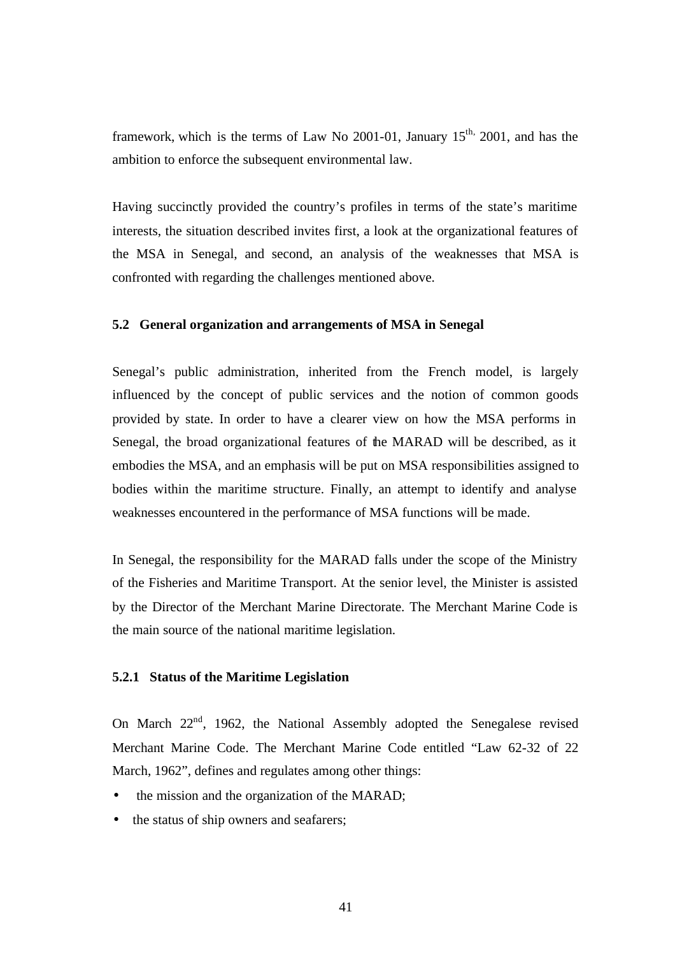framework, which is the terms of Law No 2001-01, January  $15<sup>th</sup>$ , 2001, and has the ambition to enforce the subsequent environmental law.

Having succinctly provided the country's profiles in terms of the state's maritime interests, the situation described invites first, a look at the organizational features of the MSA in Senegal, and second, an analysis of the weaknesses that MSA is confronted with regarding the challenges mentioned above.

#### **5.2 General organization and arrangements of MSA in Senegal**

Senegal's public administration, inherited from the French model, is largely influenced by the concept of public services and the notion of common goods provided by state. In order to have a clearer view on how the MSA performs in Senegal, the broad organizational features of the MARAD will be described, as it embodies the MSA, and an emphasis will be put on MSA responsibilities assigned to bodies within the maritime structure. Finally, an attempt to identify and analyse weaknesses encountered in the performance of MSA functions will be made.

In Senegal, the responsibility for the MARAD falls under the scope of the Ministry of the Fisheries and Maritime Transport. At the senior level, the Minister is assisted by the Director of the Merchant Marine Directorate. The Merchant Marine Code is the main source of the national maritime legislation.

#### **5.2.1 Status of the Maritime Legislation**

On March  $22<sup>nd</sup>$ , 1962, the National Assembly adopted the Senegalese revised Merchant Marine Code. The Merchant Marine Code entitled "Law 62-32 of 22 March, 1962", defines and regulates among other things:

- the mission and the organization of the MARAD;
- the status of ship owners and seafarers;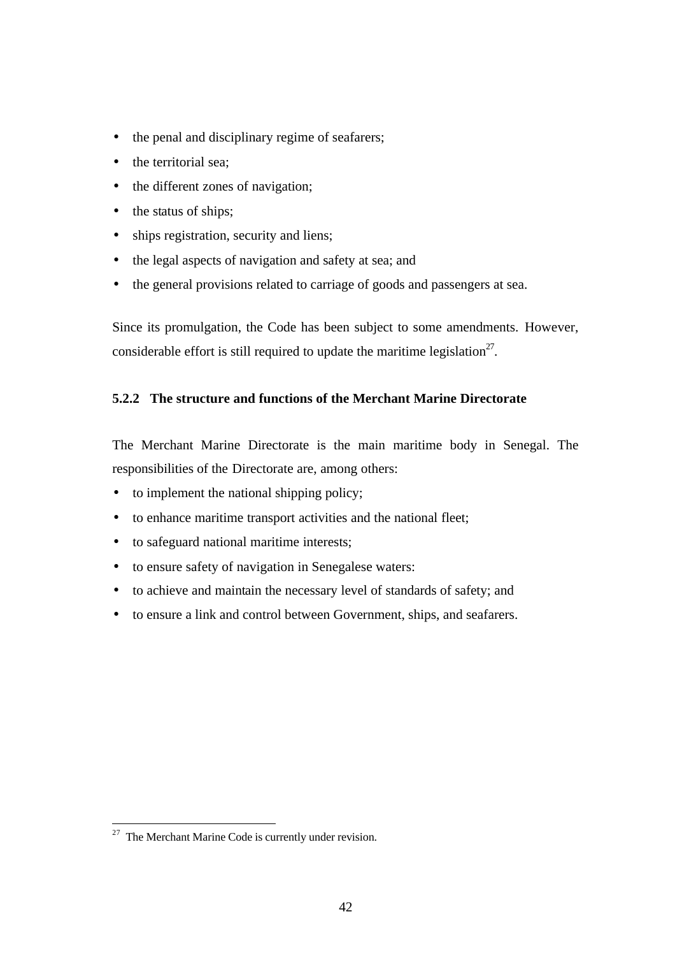- the penal and disciplinary regime of seafarers;
- the territorial sea;
- the different zones of navigation;
- the status of ships;
- ships registration, security and liens;
- the legal aspects of navigation and safety at sea; and
- the general provisions related to carriage of goods and passengers at sea.

Since its promulgation, the Code has been subject to some amendments. However, considerable effort is still required to update the maritime legislation<sup>27</sup>.

## **5.2.2 The structure and functions of the Merchant Marine Directorate**

The Merchant Marine Directorate is the main maritime body in Senegal. The responsibilities of the Directorate are, among others:

- to implement the national shipping policy;
- to enhance maritime transport activities and the national fleet;
- to safeguard national maritime interests;
- to ensure safety of navigation in Senegalese waters:
- to achieve and maintain the necessary level of standards of safety; and
- to ensure a link and control between Government, ships, and seafarers.

 $27$  The Merchant Marine Code is currently under revision.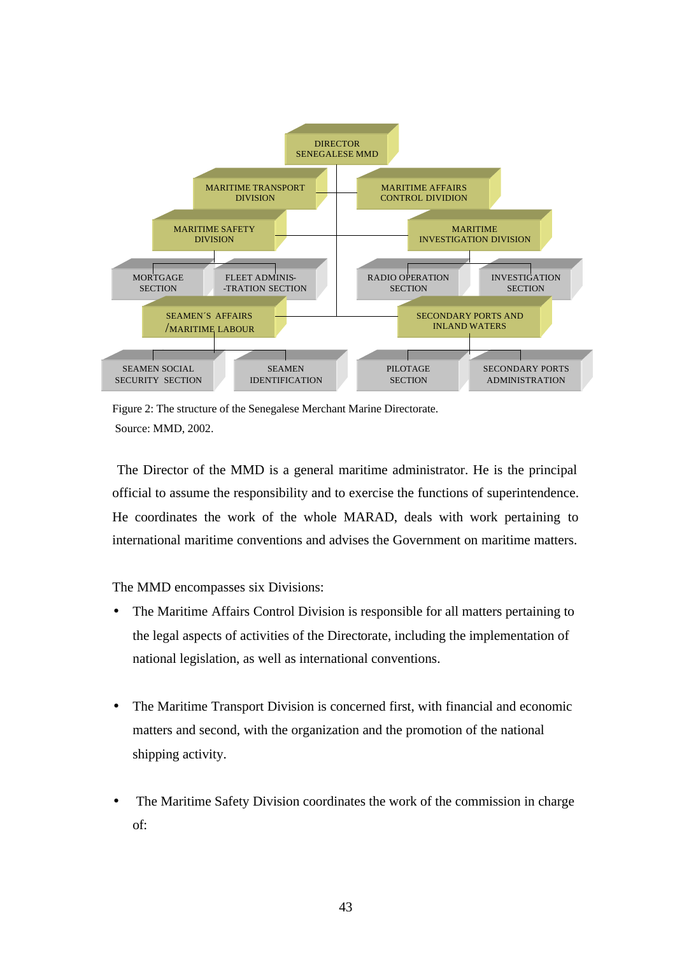

Figure 2: The structure of the Senegalese Merchant Marine Directorate. Source: MMD, 2002.

 The Director of the MMD is a general maritime administrator. He is the principal official to assume the responsibility and to exercise the functions of superintendence. He coordinates the work of the whole MARAD, deals with work pertaining to international maritime conventions and advises the Government on maritime matters.

The MMD encompasses six Divisions:

- The Maritime Affairs Control Division is responsible for all matters pertaining to the legal aspects of activities of the Directorate, including the implementation of national legislation, as well as international conventions.
- The Maritime Transport Division is concerned first, with financial and economic matters and second, with the organization and the promotion of the national shipping activity.
- The Maritime Safety Division coordinates the work of the commission in charge of: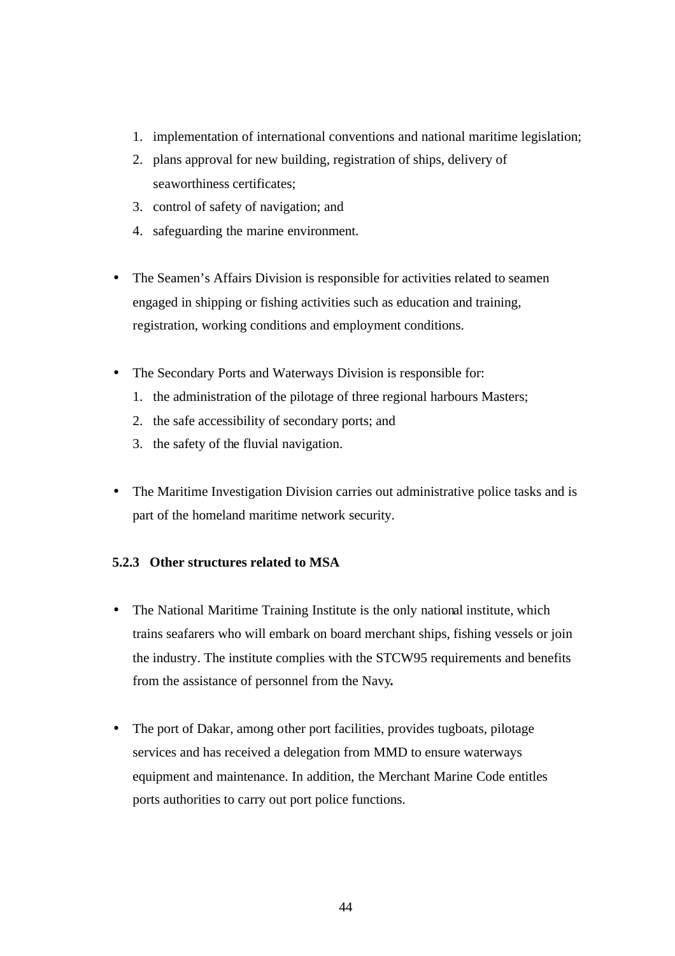- 1. implementation of international conventions and national maritime legislation;
- 2. plans approval for new building, registration of ships, delivery of seaworthiness certificates;
- 3. control of safety of navigation; and
- 4. safeguarding the marine environment.
- The Seamen's Affairs Division is responsible for activities related to seamen engaged in shipping or fishing activities such as education and training, registration, working conditions and employment conditions.
- The Secondary Ports and Waterways Division is responsible for:
	- 1. the administration of the pilotage of three regional harbours Masters;
	- 2. the safe accessibility of secondary ports; and
	- 3. the safety of the fluvial navigation.
- The Maritime Investigation Division carries out administrative police tasks and is part of the homeland maritime network security.

## **5.2.3 Other structures related to MSA**

- The National Maritime Training Institute is the only national institute, which trains seafarers who will embark on board merchant ships, fishing vessels or join the industry. The institute complies with the STCW95 requirements and benefits from the assistance of personnel from the Navy**.**
- The port of Dakar, among other port facilities, provides tugboats, pilotage services and has received a delegation from MMD to ensure waterways equipment and maintenance. In addition, the Merchant Marine Code entitles ports authorities to carry out port police functions.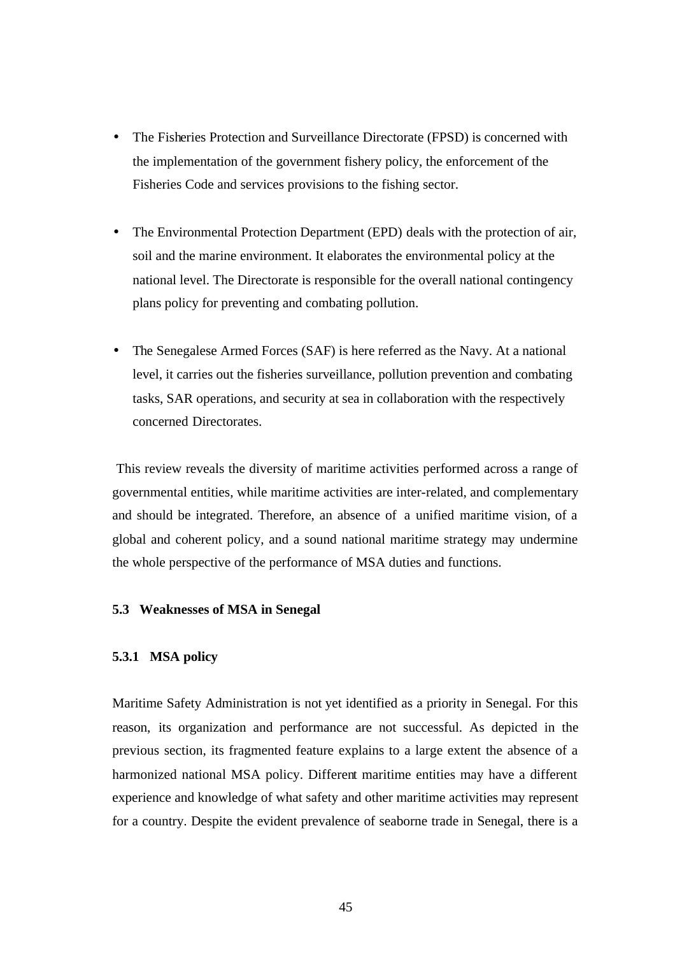- The Fisheries Protection and Surveillance Directorate (FPSD) is concerned with the implementation of the government fishery policy, the enforcement of the Fisheries Code and services provisions to the fishing sector.
- The Environmental Protection Department (EPD) deals with the protection of air, soil and the marine environment. It elaborates the environmental policy at the national level. The Directorate is responsible for the overall national contingency plans policy for preventing and combating pollution.
- The Senegalese Armed Forces (SAF) is here referred as the Navy. At a national level, it carries out the fisheries surveillance, pollution prevention and combating tasks, SAR operations, and security at sea in collaboration with the respectively concerned Directorates.

 This review reveals the diversity of maritime activities performed across a range of governmental entities, while maritime activities are inter-related, and complementary and should be integrated. Therefore, an absence of a unified maritime vision, of a global and coherent policy, and a sound national maritime strategy may undermine the whole perspective of the performance of MSA duties and functions.

#### **5.3 Weaknesses of MSA in Senegal**

## **5.3.1 MSA policy**

Maritime Safety Administration is not yet identified as a priority in Senegal. For this reason, its organization and performance are not successful. As depicted in the previous section, its fragmented feature explains to a large extent the absence of a harmonized national MSA policy. Different maritime entities may have a different experience and knowledge of what safety and other maritime activities may represent for a country. Despite the evident prevalence of seaborne trade in Senegal, there is a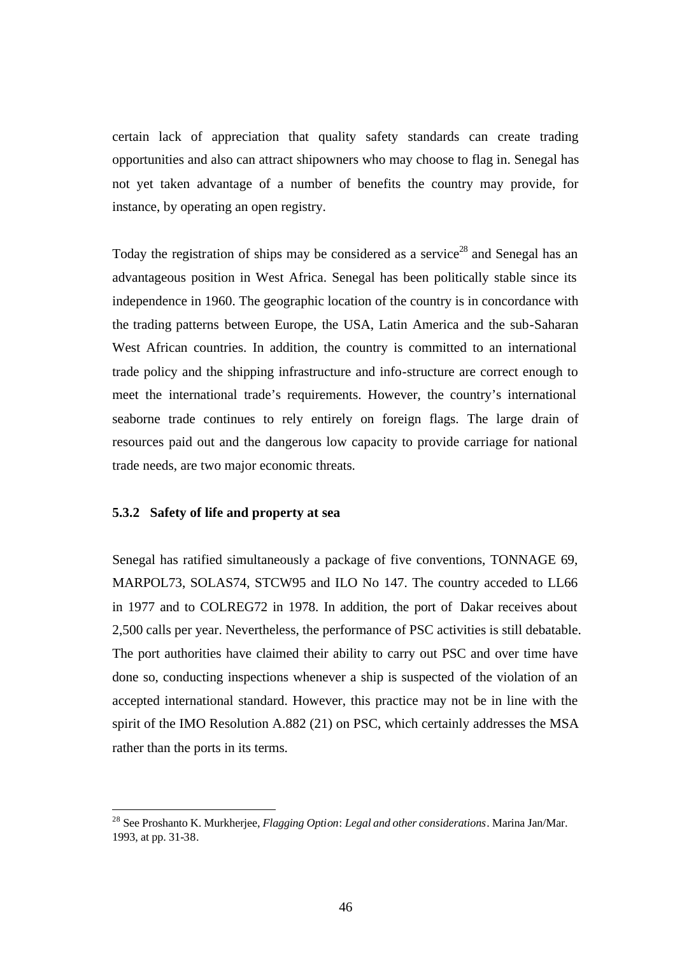certain lack of appreciation that quality safety standards can create trading opportunities and also can attract shipowners who may choose to flag in. Senegal has not yet taken advantage of a number of benefits the country may provide, for instance, by operating an open registry.

Today the registration of ships may be considered as a service<sup>28</sup> and Senegal has an advantageous position in West Africa. Senegal has been politically stable since its independence in 1960. The geographic location of the country is in concordance with the trading patterns between Europe, the USA, Latin America and the sub-Saharan West African countries. In addition, the country is committed to an international trade policy and the shipping infrastructure and info-structure are correct enough to meet the international trade's requirements. However, the country's international seaborne trade continues to rely entirely on foreign flags. The large drain of resources paid out and the dangerous low capacity to provide carriage for national trade needs, are two major economic threats.

#### **5.3.2 Safety of life and property at sea**

 $\overline{a}$ 

Senegal has ratified simultaneously a package of five conventions, TONNAGE 69, MARPOL73, SOLAS74, STCW95 and ILO No 147. The country acceded to LL66 in 1977 and to COLREG72 in 1978. In addition, the port of Dakar receives about 2,500 calls per year. Nevertheless, the performance of PSC activities is still debatable. The port authorities have claimed their ability to carry out PSC and over time have done so, conducting inspections whenever a ship is suspected of the violation of an accepted international standard. However, this practice may not be in line with the spirit of the IMO Resolution A.882 (21) on PSC, which certainly addresses the MSA rather than the ports in its terms.

<sup>28</sup> See Proshanto K. Murkherjee, *Flagging Option*: *Legal and other considerations*. Marina Jan/Mar. 1993, at pp. 31-38.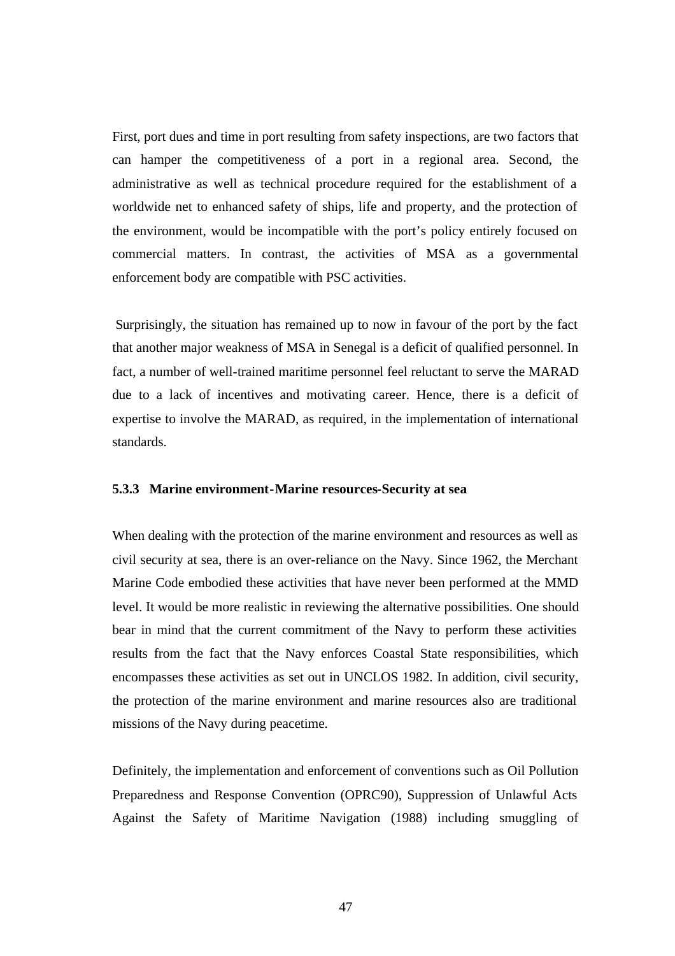First, port dues and time in port resulting from safety inspections, are two factors that can hamper the competitiveness of a port in a regional area. Second, the administrative as well as technical procedure required for the establishment of a worldwide net to enhanced safety of ships, life and property, and the protection of the environment, would be incompatible with the port's policy entirely focused on commercial matters. In contrast, the activities of MSA as a governmental enforcement body are compatible with PSC activities.

 Surprisingly, the situation has remained up to now in favour of the port by the fact that another major weakness of MSA in Senegal is a deficit of qualified personnel. In fact, a number of well-trained maritime personnel feel reluctant to serve the MARAD due to a lack of incentives and motivating career. Hence, there is a deficit of expertise to involve the MARAD, as required, in the implementation of international standards.

#### **5.3.3 Marine environment-Marine resources-Security at sea**

When dealing with the protection of the marine environment and resources as well as civil security at sea, there is an over-reliance on the Navy. Since 1962, the Merchant Marine Code embodied these activities that have never been performed at the MMD level. It would be more realistic in reviewing the alternative possibilities. One should bear in mind that the current commitment of the Navy to perform these activities results from the fact that the Navy enforces Coastal State responsibilities, which encompasses these activities as set out in UNCLOS 1982. In addition, civil security, the protection of the marine environment and marine resources also are traditional missions of the Navy during peacetime.

Definitely, the implementation and enforcement of conventions such as Oil Pollution Preparedness and Response Convention (OPRC90), Suppression of Unlawful Acts Against the Safety of Maritime Navigation (1988) including smuggling of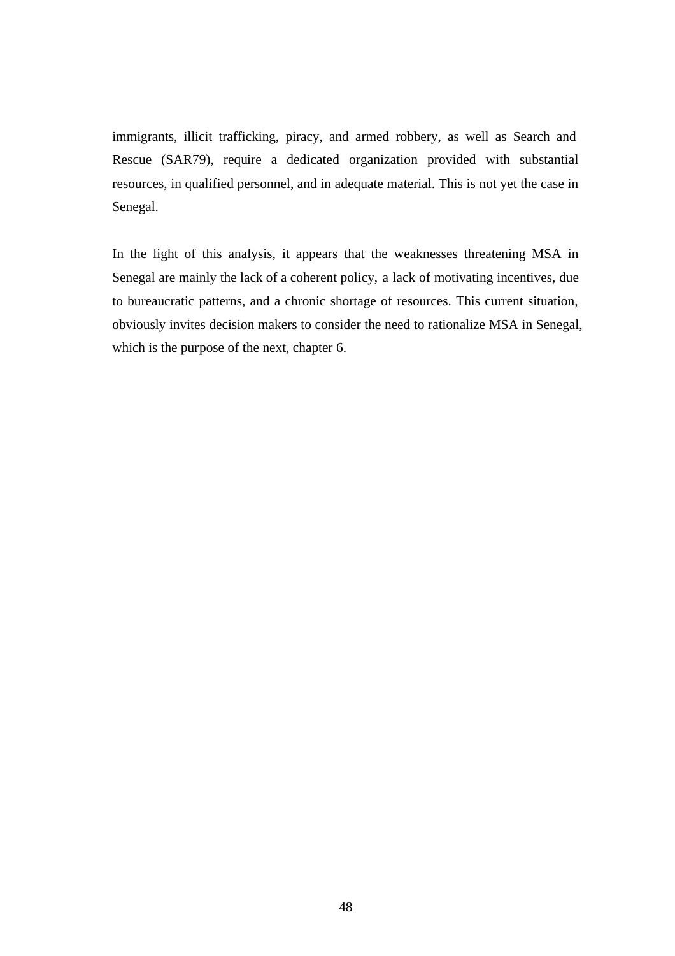immigrants, illicit trafficking, piracy, and armed robbery, as well as Search and Rescue (SAR79), require a dedicated organization provided with substantial resources, in qualified personnel, and in adequate material. This is not yet the case in Senegal.

In the light of this analysis, it appears that the weaknesses threatening MSA in Senegal are mainly the lack of a coherent policy, a lack of motivating incentives, due to bureaucratic patterns, and a chronic shortage of resources. This current situation, obviously invites decision makers to consider the need to rationalize MSA in Senegal, which is the purpose of the next, chapter 6.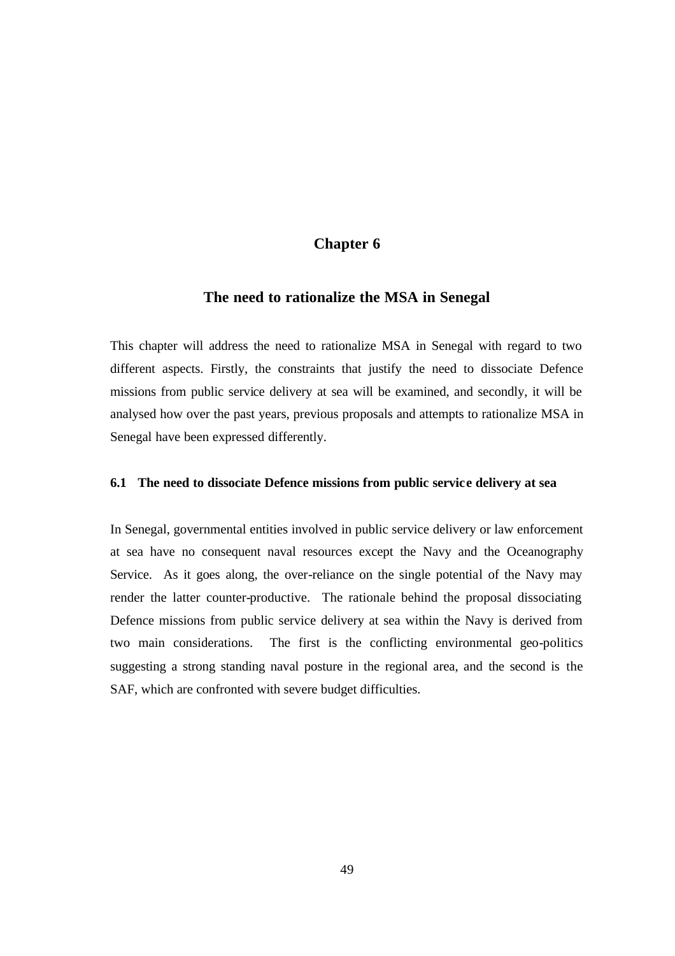# **Chapter 6**

## **The need to rationalize the MSA in Senegal**

This chapter will address the need to rationalize MSA in Senegal with regard to two different aspects. Firstly, the constraints that justify the need to dissociate Defence missions from public service delivery at sea will be examined, and secondly, it will be analysed how over the past years, previous proposals and attempts to rationalize MSA in Senegal have been expressed differently.

#### **6.1 The need to dissociate Defence missions from public service delivery at sea**

In Senegal, governmental entities involved in public service delivery or law enforcement at sea have no consequent naval resources except the Navy and the Oceanography Service. As it goes along, the over-reliance on the single potential of the Navy may render the latter counter-productive. The rationale behind the proposal dissociating Defence missions from public service delivery at sea within the Navy is derived from two main considerations. The first is the conflicting environmental geo-politics suggesting a strong standing naval posture in the regional area, and the second is the SAF, which are confronted with severe budget difficulties.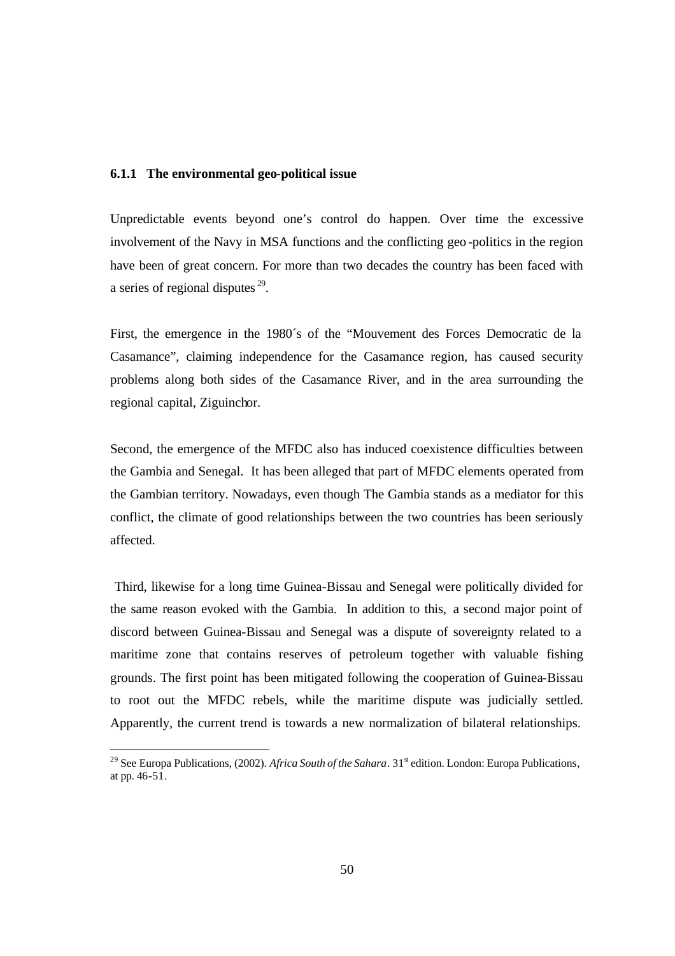#### **6.1.1 The environmental geo-political issue**

Unpredictable events beyond one's control do happen. Over time the excessive involvement of the Navy in MSA functions and the conflicting geo -politics in the region have been of great concern. For more than two decades the country has been faced with a series of regional disputes  $29$ .

First, the emergence in the 1980´s of the "Mouvement des Forces Democratic de la Casamance", claiming independence for the Casamance region, has caused security problems along both sides of the Casamance River, and in the area surrounding the regional capital, Ziguinchor.

Second, the emergence of the MFDC also has induced coexistence difficulties between the Gambia and Senegal. It has been alleged that part of MFDC elements operated from the Gambian territory. Nowadays, even though The Gambia stands as a mediator for this conflict, the climate of good relationships between the two countries has been seriously affected.

 Third, likewise for a long time Guinea-Bissau and Senegal were politically divided for the same reason evoked with the Gambia. In addition to this, a second major point of discord between Guinea-Bissau and Senegal was a dispute of sovereignty related to a maritime zone that contains reserves of petroleum together with valuable fishing grounds. The first point has been mitigated following the cooperation of Guinea-Bissau to root out the MFDC rebels, while the maritime dispute was judicially settled. Apparently, the current trend is towards a new normalization of bilateral relationships.

<sup>&</sup>lt;sup>29</sup> See Europa Publications, (2002). *Africa South of the Sahara*.  $31^{\text{st}}$  edition. London: Europa Publications, at pp.  $46 - 51$ .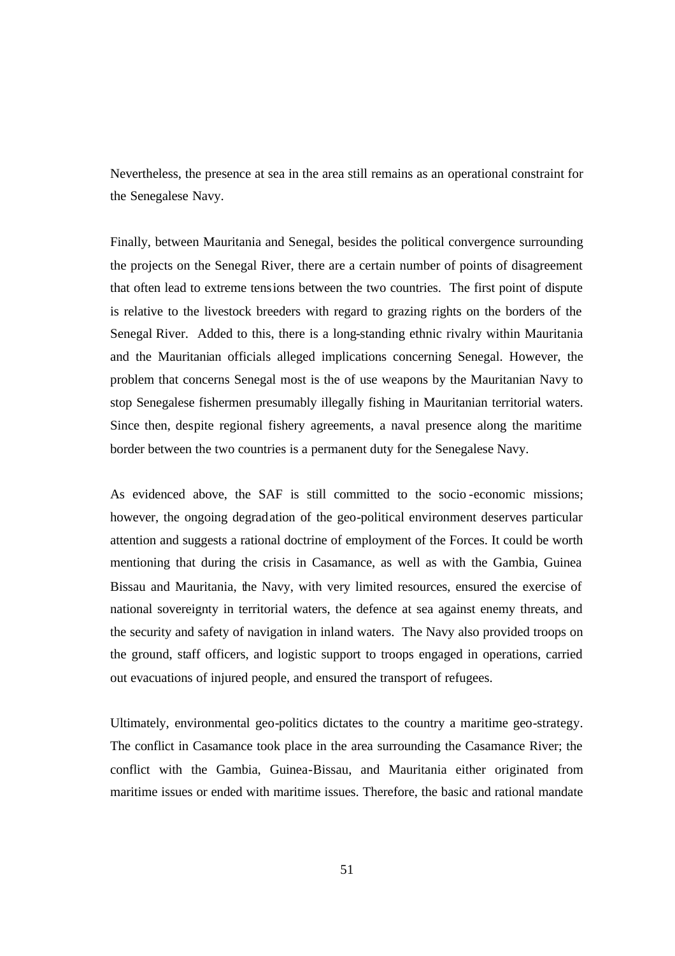Nevertheless, the presence at sea in the area still remains as an operational constraint for the Senegalese Navy.

Finally, between Mauritania and Senegal, besides the political convergence surrounding the projects on the Senegal River, there are a certain number of points of disagreement that often lead to extreme tensions between the two countries. The first point of dispute is relative to the livestock breeders with regard to grazing rights on the borders of the Senegal River. Added to this, there is a long-standing ethnic rivalry within Mauritania and the Mauritanian officials alleged implications concerning Senegal. However, the problem that concerns Senegal most is the of use weapons by the Mauritanian Navy to stop Senegalese fishermen presumably illegally fishing in Mauritanian territorial waters. Since then, despite regional fishery agreements, a naval presence along the maritime border between the two countries is a permanent duty for the Senegalese Navy.

As evidenced above, the SAF is still committed to the socio -economic missions; however, the ongoing degradation of the geo-political environment deserves particular attention and suggests a rational doctrine of employment of the Forces. It could be worth mentioning that during the crisis in Casamance, as well as with the Gambia, Guinea Bissau and Mauritania, the Navy, with very limited resources, ensured the exercise of national sovereignty in territorial waters, the defence at sea against enemy threats, and the security and safety of navigation in inland waters. The Navy also provided troops on the ground, staff officers, and logistic support to troops engaged in operations, carried out evacuations of injured people, and ensured the transport of refugees.

Ultimately, environmental geo-politics dictates to the country a maritime geo-strategy. The conflict in Casamance took place in the area surrounding the Casamance River; the conflict with the Gambia, Guinea-Bissau, and Mauritania either originated from maritime issues or ended with maritime issues. Therefore, the basic and rational mandate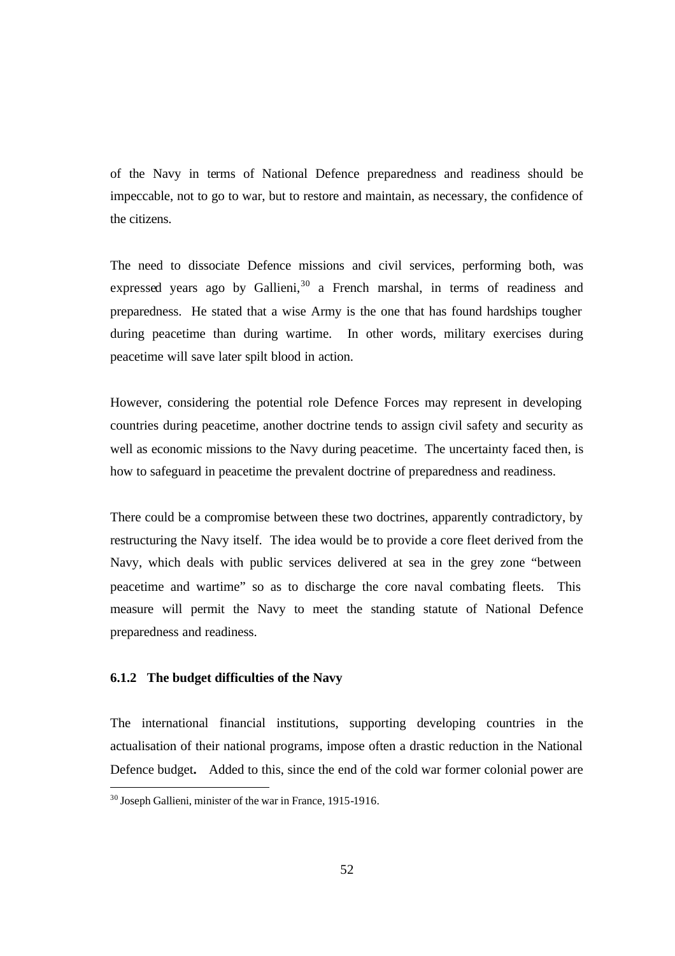of the Navy in terms of National Defence preparedness and readiness should be impeccable, not to go to war, but to restore and maintain, as necessary, the confidence of the citizens.

The need to dissociate Defence missions and civil services, performing both, was expressed years ago by Gallieni,<sup>30</sup> a French marshal, in terms of readiness and preparedness. He stated that a wise Army is the one that has found hardships tougher during peacetime than during wartime. In other words, military exercises during peacetime will save later spilt blood in action.

However, considering the potential role Defence Forces may represent in developing countries during peacetime, another doctrine tends to assign civil safety and security as well as economic missions to the Navy during peacetime. The uncertainty faced then, is how to safeguard in peacetime the prevalent doctrine of preparedness and readiness.

There could be a compromise between these two doctrines, apparently contradictory, by restructuring the Navy itself. The idea would be to provide a core fleet derived from the Navy, which deals with public services delivered at sea in the grey zone "between peacetime and wartime" so as to discharge the core naval combating fleets. This measure will permit the Navy to meet the standing statute of National Defence preparedness and readiness.

## **6.1.2 The budget difficulties of the Navy**

 $\overline{a}$ 

The international financial institutions, supporting developing countries in the actualisation of their national programs, impose often a drastic reduction in the National Defence budget**.** Added to this, since the end of the cold war former colonial power are

 $30$  Joseph Gallieni, minister of the war in France, 1915-1916.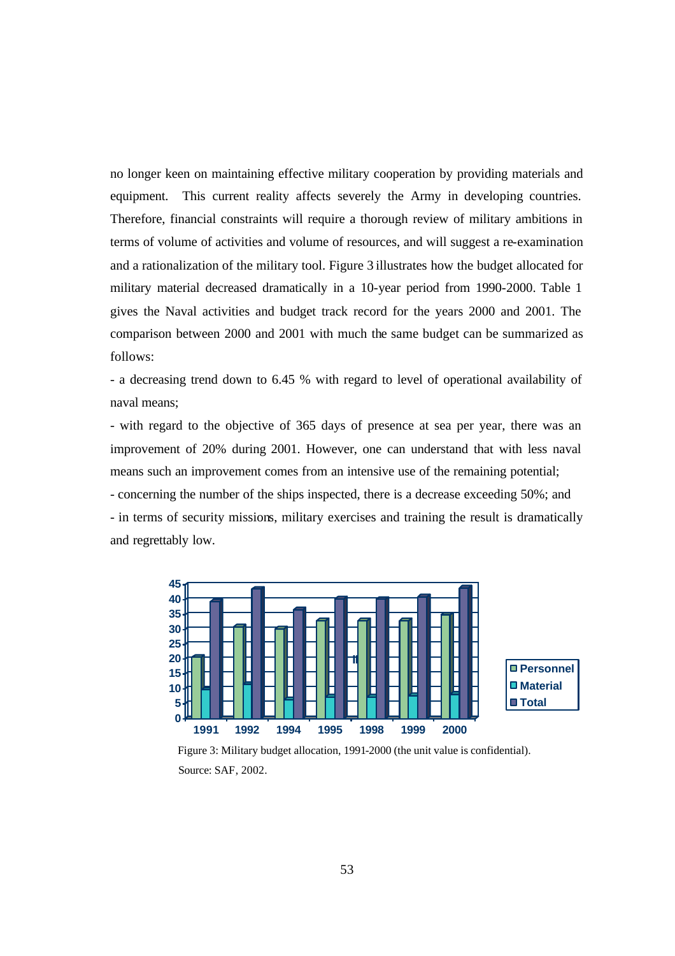no longer keen on maintaining effective military cooperation by providing materials and equipment. This current reality affects severely the Army in developing countries. Therefore, financial constraints will require a thorough review of military ambitions in terms of volume of activities and volume of resources, and will suggest a re-examination and a rationalization of the military tool. Figure 3 illustrates how the budget allocated for military material decreased dramatically in a 10-year period from 1990-2000. Table 1 gives the Naval activities and budget track record for the years 2000 and 2001. The comparison between 2000 and 2001 with much the same budget can be summarized as follows:

- a decreasing trend down to 6.45 % with regard to level of operational availability of naval means;

- with regard to the objective of 365 days of presence at sea per year, there was an improvement of 20% during 2001. However, one can understand that with less naval means such an improvement comes from an intensive use of the remaining potential;

- concerning the number of the ships inspected, there is a decrease exceeding 50%; and - in terms of security missions, military exercises and training the result is dramatically and regrettably low.



 Figure 3: Military budget allocation, 1991-2000 (the unit value is confidential). Source: SAF, 2002.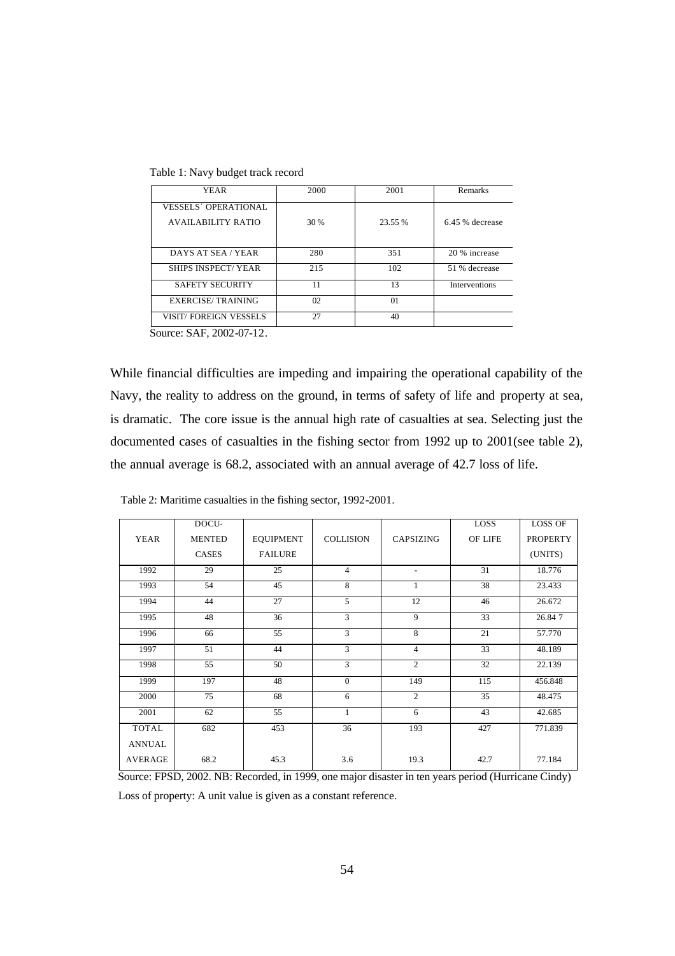Table 1: Navy budget track record

| 2000 | 2001    | Remarks              |
|------|---------|----------------------|
|      |         |                      |
| 30 % | 23.55 % | 6.45 % decrease      |
|      |         |                      |
| 280  | 351     | 20 % increase        |
| 215  | 102     | 51 % decrease        |
| 11   | 13      | <b>Interventions</b> |
| 02   | 01      |                      |
| 27   | 40      |                      |
|      |         |                      |

Source: SAF, 2002-07-12.

While financial difficulties are impeding and impairing the operational capability of the Navy, the reality to address on the ground, in terms of safety of life and property at sea, is dramatic. The core issue is the annual high rate of casualties at sea. Selecting just the documented cases of casualties in the fishing sector from 1992 up to 2001(see table 2), the annual average is 68.2, associated with an annual average of 42.7 loss of life.

| Table 2: Maritime casualties in the fishing sector, 1992-2001. |  |  |  |
|----------------------------------------------------------------|--|--|--|
|----------------------------------------------------------------|--|--|--|

|                | DOCU-         |                  |                  |                          | LOSS            | <b>LOSS OF</b>  |
|----------------|---------------|------------------|------------------|--------------------------|-----------------|-----------------|
| <b>YEAR</b>    | <b>MENTED</b> | <b>EQUIPMENT</b> | <b>COLLISION</b> | <b>CAPSIZING</b>         | OF LIFE         | <b>PROPERTY</b> |
|                | <b>CASES</b>  | <b>FAILURE</b>   |                  |                          |                 | (UNITS)         |
| 1992           | 29            | 25               | $\overline{4}$   | $\overline{\phantom{a}}$ | 31              | 18.776          |
| 1993           | 54            | 45               | 8                | 1                        | 38              | 23.433          |
| 1994           | 44            | $\overline{27}$  | $\overline{5}$   | $\overline{12}$          | 46              | 26.672          |
| 1995           | 48            | 36               | $\overline{3}$   | 9                        | $\overline{33}$ | 26.847          |
| 1996           | 66            | 55               | 3                | 8                        | 21              | 57.770          |
| 1997           | 51            | 44               | $\overline{3}$   | $\overline{4}$           | 33              | 48.189          |
| 1998           | 55            | 50               | $\overline{3}$   | $\overline{2}$           | 32              | 22.139          |
| 1999           | 197           | 48               | $\theta$         | 149                      | 115             | 456.848         |
| 2000           | 75            | 68               | 6                | $\overline{2}$           | 35              | 48.475          |
| 2001           | 62            | 55               | $\mathbf{1}$     | 6                        | 43              | 42.685          |
| <b>TOTAL</b>   | 682           | 453              | 36               | 193                      | 427             | 771.839         |
| <b>ANNUAL</b>  |               |                  |                  |                          |                 |                 |
| <b>AVERAGE</b> | 68.2          | 45.3             | 3.6              | 19.3                     | 42.7            | 77.184          |

 Source: FPSD, 2002. NB: Recorded, in 1999, one major disaster in ten years period (Hurricane Cindy) Loss of property: A unit value is given as a constant reference.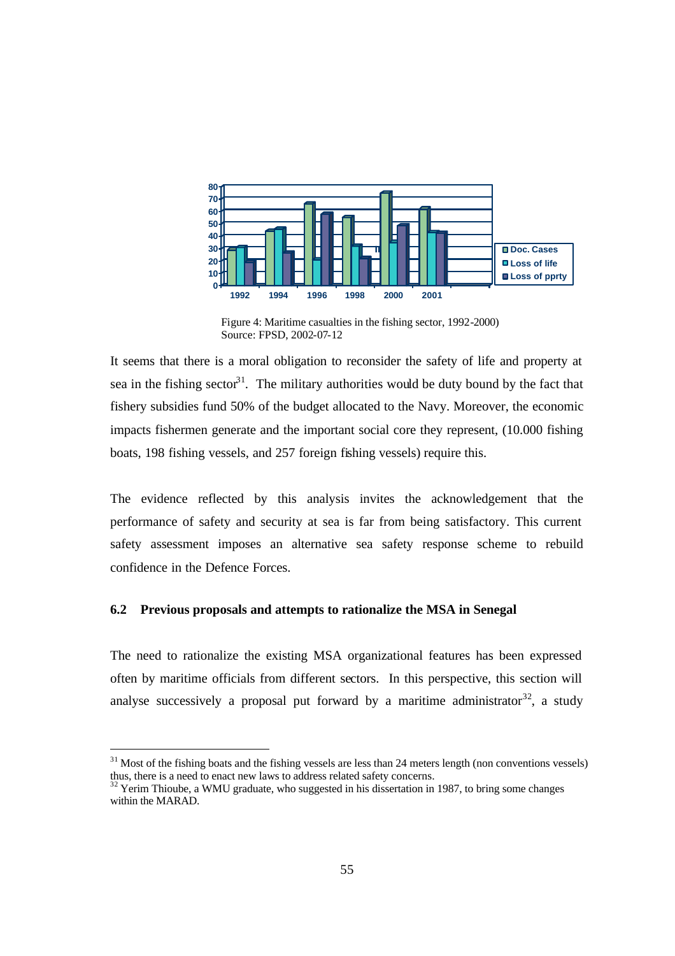

 Figure 4: Maritime casualties in the fishing sector, 1992-2000) Source: FPSD, 2002-07-12

It seems that there is a moral obligation to reconsider the safety of life and property at sea in the fishing sector<sup>31</sup>. The military authorities would be duty bound by the fact that fishery subsidies fund 50% of the budget allocated to the Navy. Moreover, the economic impacts fishermen generate and the important social core they represent, (10.000 fishing boats, 198 fishing vessels, and 257 foreign fishing vessels) require this.

The evidence reflected by this analysis invites the acknowledgement that the performance of safety and security at sea is far from being satisfactory. This current safety assessment imposes an alternative sea safety response scheme to rebuild confidence in the Defence Forces.

#### **6.2 Previous proposals and attempts to rationalize the MSA in Senegal**

The need to rationalize the existing MSA organizational features has been expressed often by maritime officials from different sectors. In this perspective, this section will analyse successively a proposal put forward by a maritime administrator  $32$ , a study

 $31$  Most of the fishing boats and the fishing vessels are less than 24 meters length (non conventions vessels) thus, there is a need to enact new laws to address related safety concerns.

 $32$  Yerim Thioube, a WMU graduate, who suggested in his dissertation in 1987, to bring some changes within the MARAD.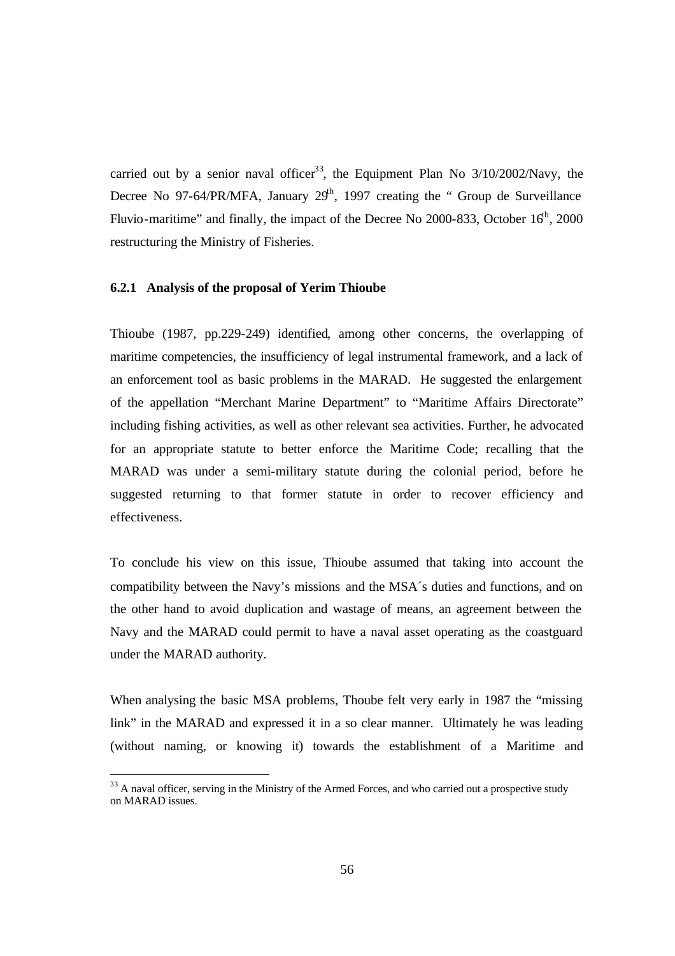carried out by a senior naval officer<sup>33</sup>, the Equipment Plan No  $3/10/2002/\text{Navy}$ , the Decree No 97-64/PR/MFA, January  $29<sup>th</sup>$ , 1997 creating the " Group de Surveillance Fluvio-maritime" and finally, the impact of the Decree No 2000-833, October  $16<sup>th</sup>$ , 2000 restructuring the Ministry of Fisheries.

#### **6.2.1 Analysis of the proposal of Yerim Thioube**

Thioube (1987, pp.229-249) identified, among other concerns, the overlapping of maritime competencies, the insufficiency of legal instrumental framework, and a lack of an enforcement tool as basic problems in the MARAD. He suggested the enlargement of the appellation "Merchant Marine Department" to "Maritime Affairs Directorate" including fishing activities, as well as other relevant sea activities. Further, he advocated for an appropriate statute to better enforce the Maritime Code; recalling that the MARAD was under a semi-military statute during the colonial period, before he suggested returning to that former statute in order to recover efficiency and effectiveness.

To conclude his view on this issue, Thioube assumed that taking into account the compatibility between the Navy's missions and the MSA´s duties and functions, and on the other hand to avoid duplication and wastage of means, an agreement between the Navy and the MARAD could permit to have a naval asset operating as the coastguard under the MARAD authority.

When analysing the basic MSA problems, Thoube felt very early in 1987 the "missing link" in the MARAD and expressed it in a so clear manner. Ultimately he was leading (without naming, or knowing it) towards the establishment of a Maritime and

 $33$  A naval officer, serving in the Ministry of the Armed Forces, and who carried out a prospective study on MARAD issues.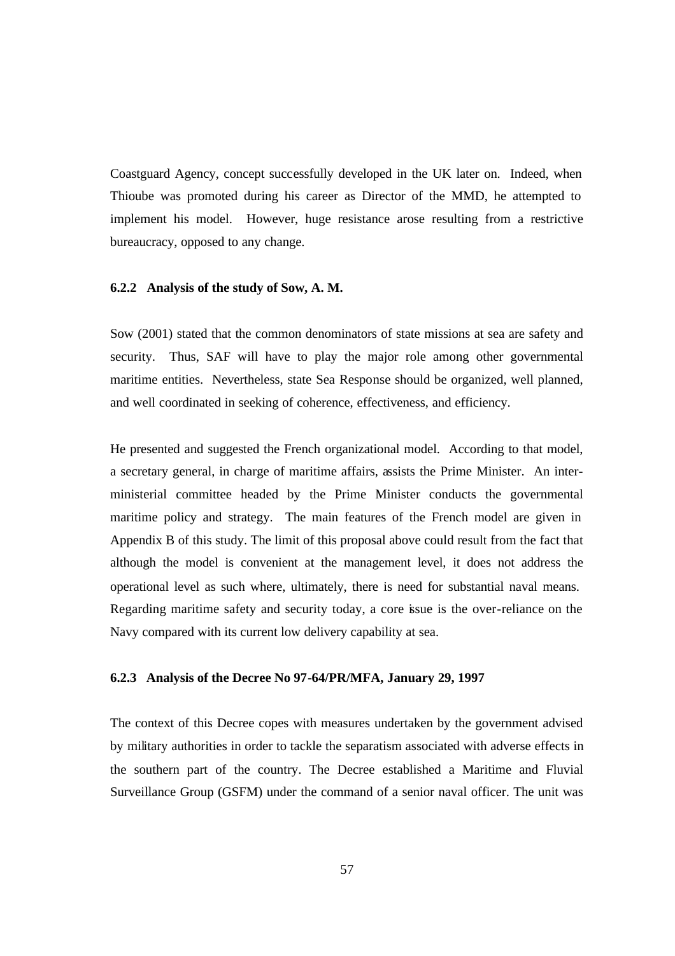Coastguard Agency, concept successfully developed in the UK later on. Indeed, when Thioube was promoted during his career as Director of the MMD, he attempted to implement his model. However, huge resistance arose resulting from a restrictive bureaucracy, opposed to any change.

#### **6.2.2 Analysis of the study of Sow, A. M.**

Sow (2001) stated that the common denominators of state missions at sea are safety and security. Thus, SAF will have to play the major role among other governmental maritime entities. Nevertheless, state Sea Response should be organized, well planned, and well coordinated in seeking of coherence, effectiveness, and efficiency.

He presented and suggested the French organizational model. According to that model, a secretary general, in charge of maritime affairs, assists the Prime Minister. An interministerial committee headed by the Prime Minister conducts the governmental maritime policy and strategy. The main features of the French model are given in Appendix B of this study. The limit of this proposal above could result from the fact that although the model is convenient at the management level, it does not address the operational level as such where, ultimately, there is need for substantial naval means. Regarding maritime safety and security today, a core issue is the over-reliance on the Navy compared with its current low delivery capability at sea.

#### **6.2.3 Analysis of the Decree No 97-64/PR/MFA, January 29, 1997**

The context of this Decree copes with measures undertaken by the government advised by military authorities in order to tackle the separatism associated with adverse effects in the southern part of the country. The Decree established a Maritime and Fluvial Surveillance Group (GSFM) under the command of a senior naval officer. The unit was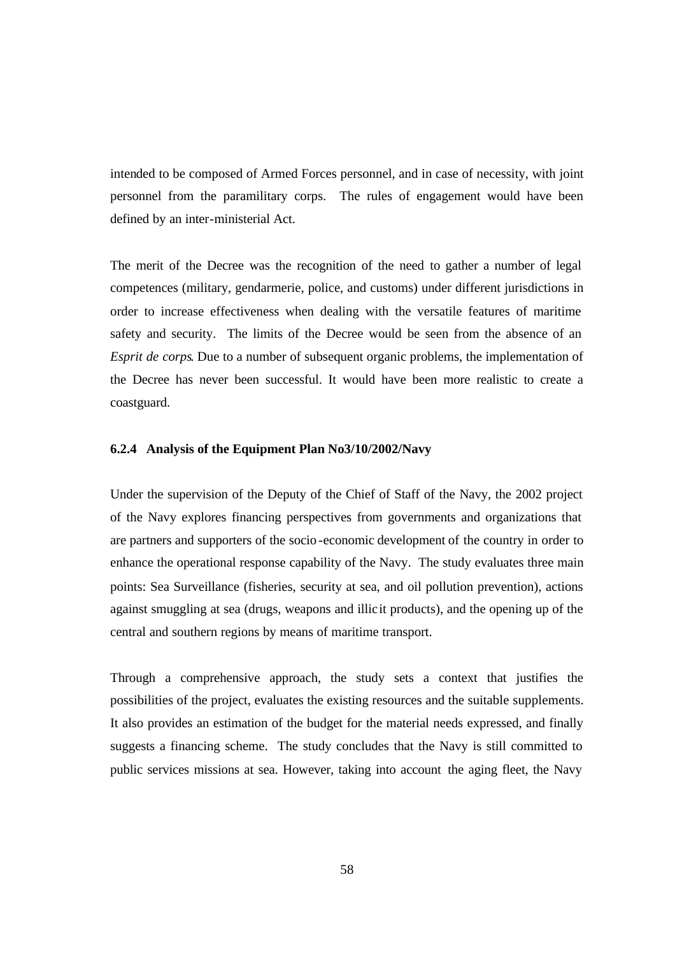intended to be composed of Armed Forces personnel, and in case of necessity, with joint personnel from the paramilitary corps. The rules of engagement would have been defined by an inter-ministerial Act.

The merit of the Decree was the recognition of the need to gather a number of legal competences (military, gendarmerie, police, and customs) under different jurisdictions in order to increase effectiveness when dealing with the versatile features of maritime safety and security. The limits of the Decree would be seen from the absence of an *Esprit de corps*. Due to a number of subsequent organic problems, the implementation of the Decree has never been successful. It would have been more realistic to create a coastguard.

#### **6.2.4 Analysis of the Equipment Plan No3/10/2002/Navy**

Under the supervision of the Deputy of the Chief of Staff of the Navy, the 2002 project of the Navy explores financing perspectives from governments and organizations that are partners and supporters of the socio -economic development of the country in order to enhance the operational response capability of the Navy. The study evaluates three main points: Sea Surveillance (fisheries, security at sea, and oil pollution prevention), actions against smuggling at sea (drugs, weapons and illicit products), and the opening up of the central and southern regions by means of maritime transport.

Through a comprehensive approach, the study sets a context that justifies the possibilities of the project, evaluates the existing resources and the suitable supplements. It also provides an estimation of the budget for the material needs expressed, and finally suggests a financing scheme. The study concludes that the Navy is still committed to public services missions at sea. However, taking into account the aging fleet, the Navy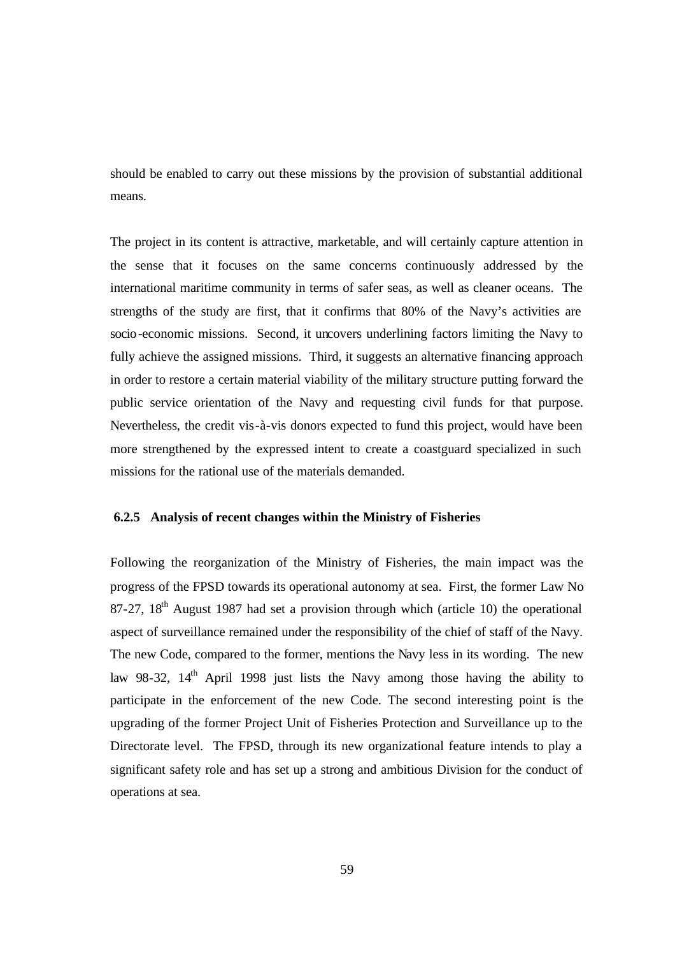should be enabled to carry out these missions by the provision of substantial additional means.

The project in its content is attractive, marketable, and will certainly capture attention in the sense that it focuses on the same concerns continuously addressed by the international maritime community in terms of safer seas, as well as cleaner oceans. The strengths of the study are first, that it confirms that 80% of the Navy's activities are socio-economic missions. Second, it uncovers underlining factors limiting the Navy to fully achieve the assigned missions. Third, it suggests an alternative financing approach in order to restore a certain material viability of the military structure putting forward the public service orientation of the Navy and requesting civil funds for that purpose. Nevertheless, the credit vis-à-vis donors expected to fund this project, would have been more strengthened by the expressed intent to create a coastguard specialized in such missions for the rational use of the materials demanded.

#### **6.2.5 Analysis of recent changes within the Ministry of Fisheries**

Following the reorganization of the Ministry of Fisheries, the main impact was the progress of the FPSD towards its operational autonomy at sea. First, the former Law No 87-27,  $18<sup>th</sup>$  August 1987 had set a provision through which (article 10) the operational aspect of surveillance remained under the responsibility of the chief of staff of the Navy. The new Code, compared to the former, mentions the Navy less in its wording. The new law 98-32,  $14<sup>th</sup>$  April 1998 just lists the Navy among those having the ability to participate in the enforcement of the new Code. The second interesting point is the upgrading of the former Project Unit of Fisheries Protection and Surveillance up to the Directorate level. The FPSD, through its new organizational feature intends to play a significant safety role and has set up a strong and ambitious Division for the conduct of operations at sea.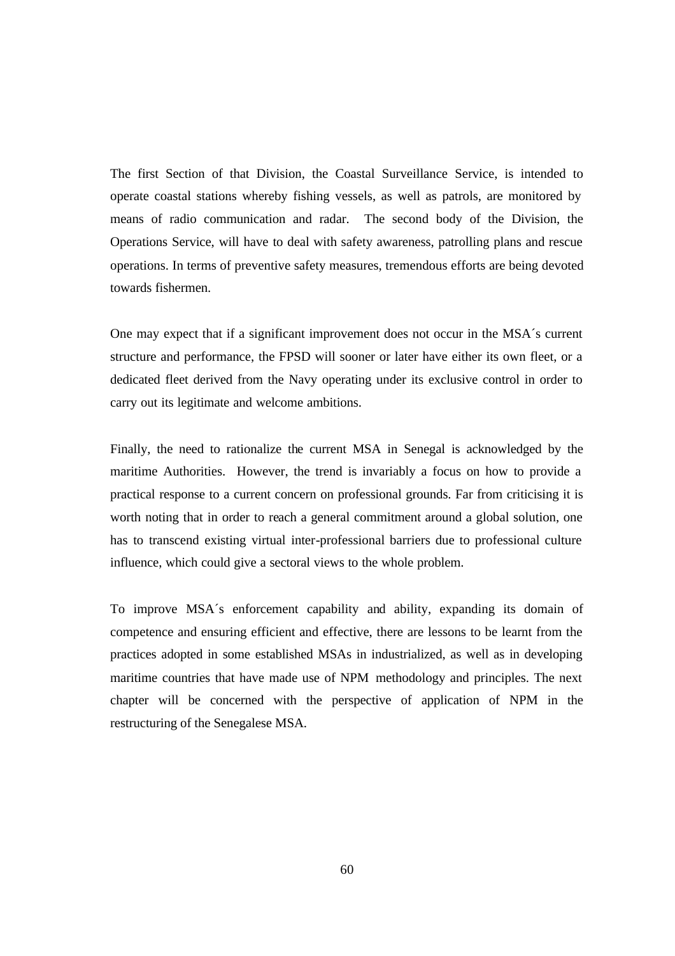The first Section of that Division, the Coastal Surveillance Service, is intended to operate coastal stations whereby fishing vessels, as well as patrols, are monitored by means of radio communication and radar. The second body of the Division, the Operations Service, will have to deal with safety awareness, patrolling plans and rescue operations. In terms of preventive safety measures, tremendous efforts are being devoted towards fishermen.

One may expect that if a significant improvement does not occur in the MSA´s current structure and performance, the FPSD will sooner or later have either its own fleet, or a dedicated fleet derived from the Navy operating under its exclusive control in order to carry out its legitimate and welcome ambitions.

Finally, the need to rationalize the current MSA in Senegal is acknowledged by the maritime Authorities. However, the trend is invariably a focus on how to provide a practical response to a current concern on professional grounds. Far from criticising it is worth noting that in order to reach a general commitment around a global solution, one has to transcend existing virtual inter-professional barriers due to professional culture influence, which could give a sectoral views to the whole problem.

To improve MSA´s enforcement capability and ability, expanding its domain of competence and ensuring efficient and effective, there are lessons to be learnt from the practices adopted in some established MSAs in industrialized, as well as in developing maritime countries that have made use of NPM methodology and principles. The next chapter will be concerned with the perspective of application of NPM in the restructuring of the Senegalese MSA.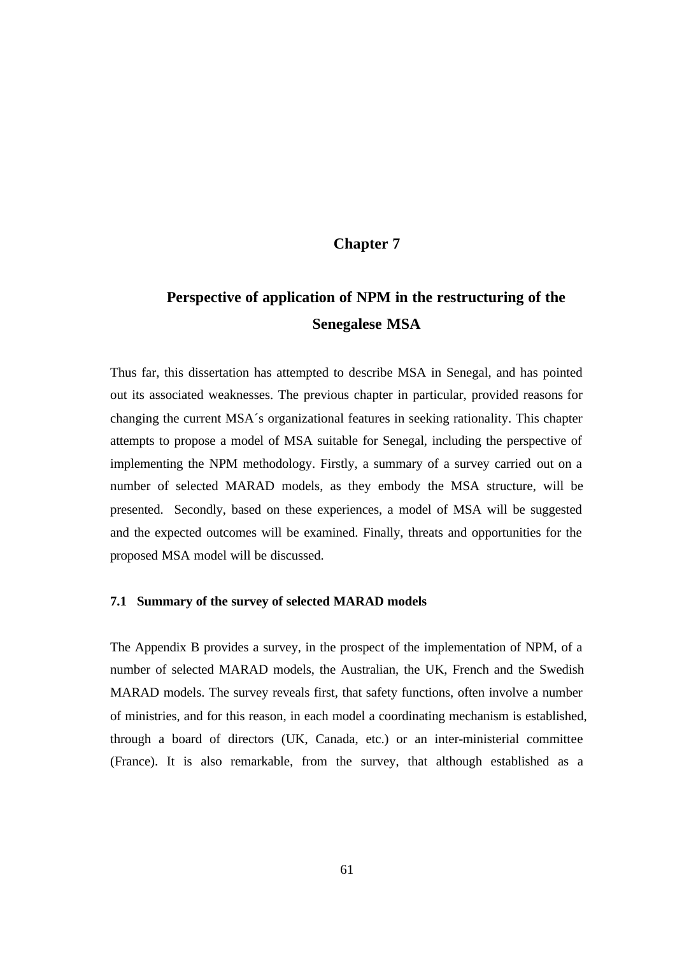# **Chapter 7**

# **Perspective of application of NPM in the restructuring of the Senegalese MSA**

Thus far, this dissertation has attempted to describe MSA in Senegal, and has pointed out its associated weaknesses. The previous chapter in particular, provided reasons for changing the current MSA´s organizational features in seeking rationality. This chapter attempts to propose a model of MSA suitable for Senegal, including the perspective of implementing the NPM methodology. Firstly, a summary of a survey carried out on a number of selected MARAD models, as they embody the MSA structure, will be presented. Secondly, based on these experiences, a model of MSA will be suggested and the expected outcomes will be examined. Finally, threats and opportunities for the proposed MSA model will be discussed.

#### **7.1 Summary of the survey of selected MARAD models**

The Appendix B provides a survey, in the prospect of the implementation of NPM, of a number of selected MARAD models, the Australian, the UK, French and the Swedish MARAD models. The survey reveals first, that safety functions, often involve a number of ministries, and for this reason, in each model a coordinating mechanism is established, through a board of directors (UK, Canada, etc.) or an inter-ministerial committee (France). It is also remarkable, from the survey, that although established as a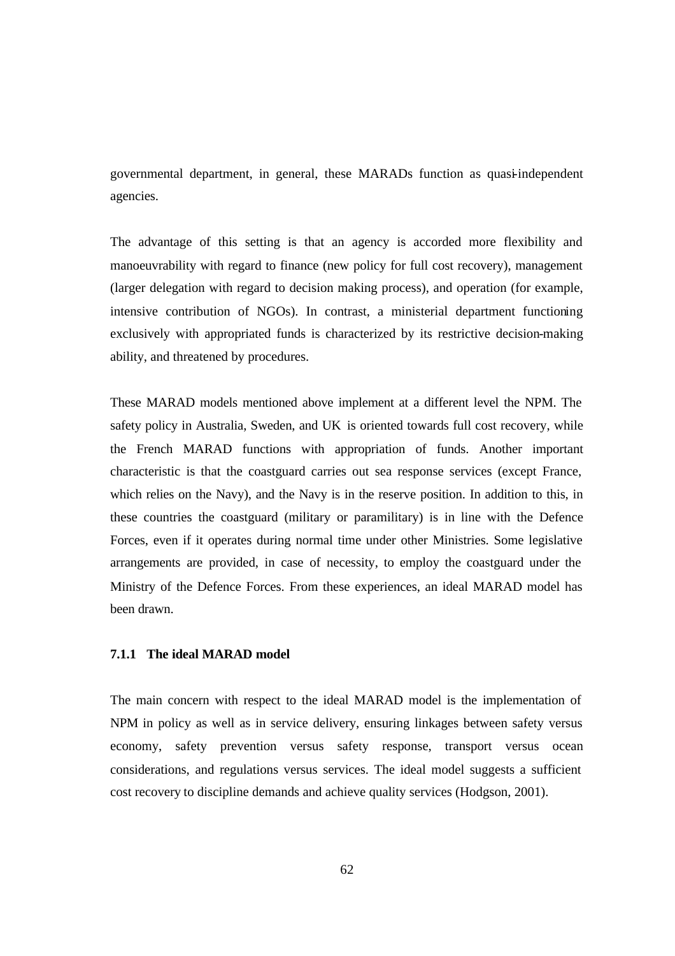governmental department, in general, these MARADs function as quasi-independent agencies.

The advantage of this setting is that an agency is accorded more flexibility and manoeuvrability with regard to finance (new policy for full cost recovery), management (larger delegation with regard to decision making process), and operation (for example, intensive contribution of NGOs). In contrast, a ministerial department functioning exclusively with appropriated funds is characterized by its restrictive decision-making ability, and threatened by procedures.

These MARAD models mentioned above implement at a different level the NPM. The safety policy in Australia, Sweden, and UK is oriented towards full cost recovery, while the French MARAD functions with appropriation of funds. Another important characteristic is that the coastguard carries out sea response services (except France, which relies on the Navy), and the Navy is in the reserve position. In addition to this, in these countries the coastguard (military or paramilitary) is in line with the Defence Forces, even if it operates during normal time under other Ministries. Some legislative arrangements are provided, in case of necessity, to employ the coastguard under the Ministry of the Defence Forces. From these experiences, an ideal MARAD model has been drawn.

## **7.1.1 The ideal MARAD model**

The main concern with respect to the ideal MARAD model is the implementation of NPM in policy as well as in service delivery, ensuring linkages between safety versus economy, safety prevention versus safety response, transport versus ocean considerations, and regulations versus services. The ideal model suggests a sufficient cost recovery to discipline demands and achieve quality services (Hodgson, 2001).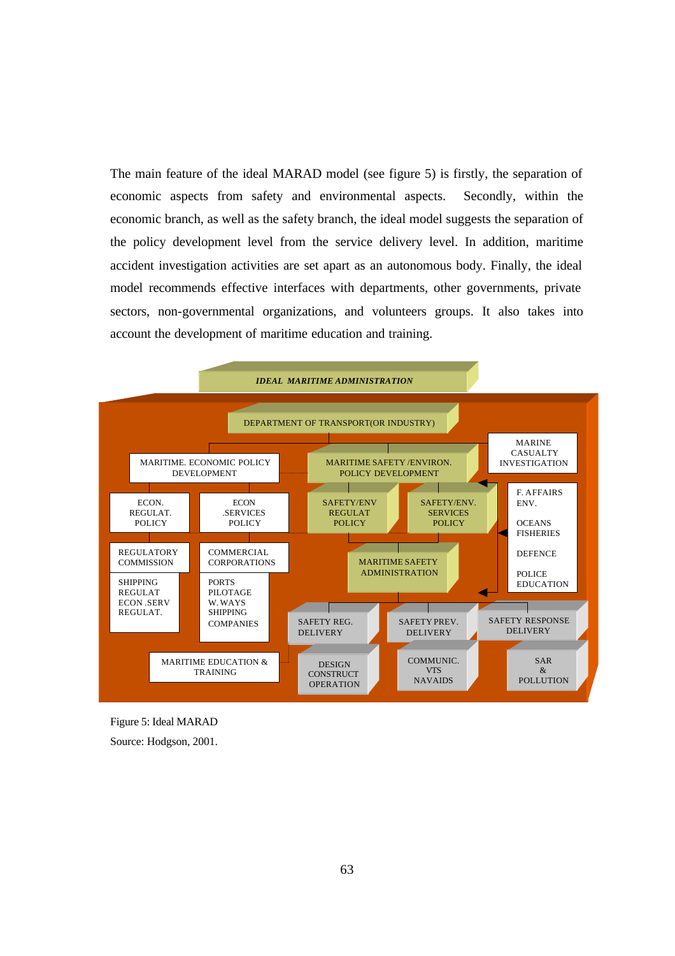The main feature of the ideal MARAD model (see figure 5) is firstly, the separation of economic aspects from safety and environmental aspects. Secondly, within the economic branch, as well as the safety branch, the ideal model suggests the separation of the policy development level from the service delivery level. In addition, maritime accident investigation activities are set apart as an autonomous body. Finally, the ideal model recommends effective interfaces with departments, other governments, private sectors, non-governmental organizations, and volunteers groups. It also takes into account the development of maritime education and training.



Figure 5: Ideal MARAD

Source: Hodgson, 2001.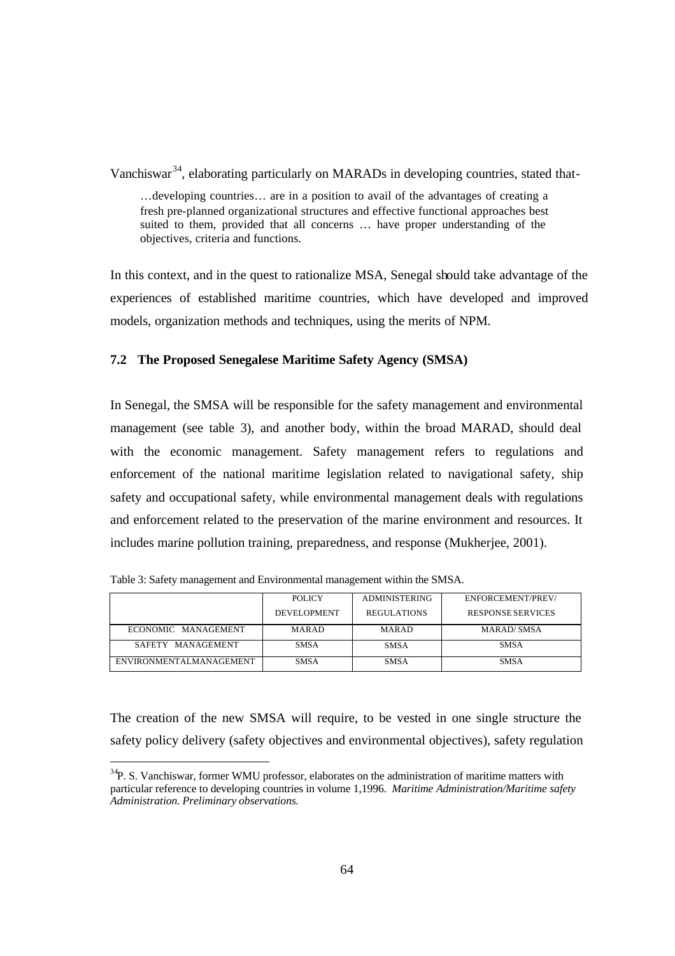Vanchiswar<sup>34</sup>, elaborating particularly on MARADs in developing countries, stated that-

…developing countries… are in a position to avail of the advantages of creating a fresh pre-planned organizational structures and effective functional approaches best suited to them, provided that all concerns … have proper understanding of the objectives, criteria and functions.

In this context, and in the quest to rationalize MSA, Senegal should take advantage of the experiences of established maritime countries, which have developed and improved models, organization methods and techniques, using the merits of NPM.

## **7.2 The Proposed Senegalese Maritime Safety Agency (SMSA)**

In Senegal, the SMSA will be responsible for the safety management and environmental management (see table 3), and another body, within the broad MARAD, should deal with the economic management. Safety management refers to regulations and enforcement of the national maritime legislation related to navigational safety, ship safety and occupational safety, while environmental management deals with regulations and enforcement related to the preservation of the marine environment and resources. It includes marine pollution training, preparedness, and response (Mukherjee, 2001).

|                         | POLICY      | <b>ADMINISTERING</b> | ENFORCEMENT/PREV/        |
|-------------------------|-------------|----------------------|--------------------------|
|                         | DEVELOPMENT | <b>REGULATIONS</b>   | <b>RESPONSE SERVICES</b> |
| ECONOMIC MANAGEMENT     | MARAD       | MARAD                | MARAD/SMSA               |
| SAFETY MANAGEMENT       | <b>SMSA</b> | <b>SMSA</b>          | <b>SMSA</b>              |
| ENVIRONMENTALMANAGEMENT | <b>SMSA</b> | <b>SMSA</b>          | <b>SMSA</b>              |

Table 3: Safety management and Environmental management within the SMSA.

l

The creation of the new SMSA will require, to be vested in one single structure the safety policy delivery (safety objectives and environmental objectives), safety regulation

 $34P$ . S. Vanchiswar, former WMU professor, elaborates on the administration of maritime matters with particular reference to developing countries in volume 1,1996. *Maritime Administration/Maritime safety Administration. Preliminary observations.*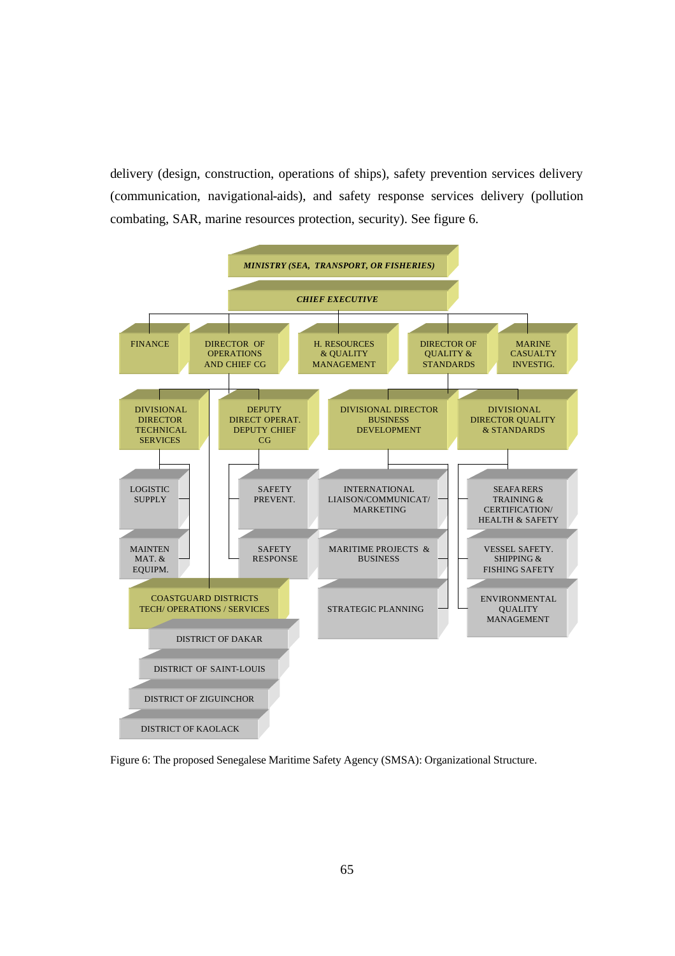delivery (design, construction, operations of ships), safety prevention services delivery (communication, navigational-aids), and safety response services delivery (pollution combating, SAR, marine resources protection, security). See figure 6.



Figure 6: The proposed Senegalese Maritime Safety Agency (SMSA): Organizational Structure.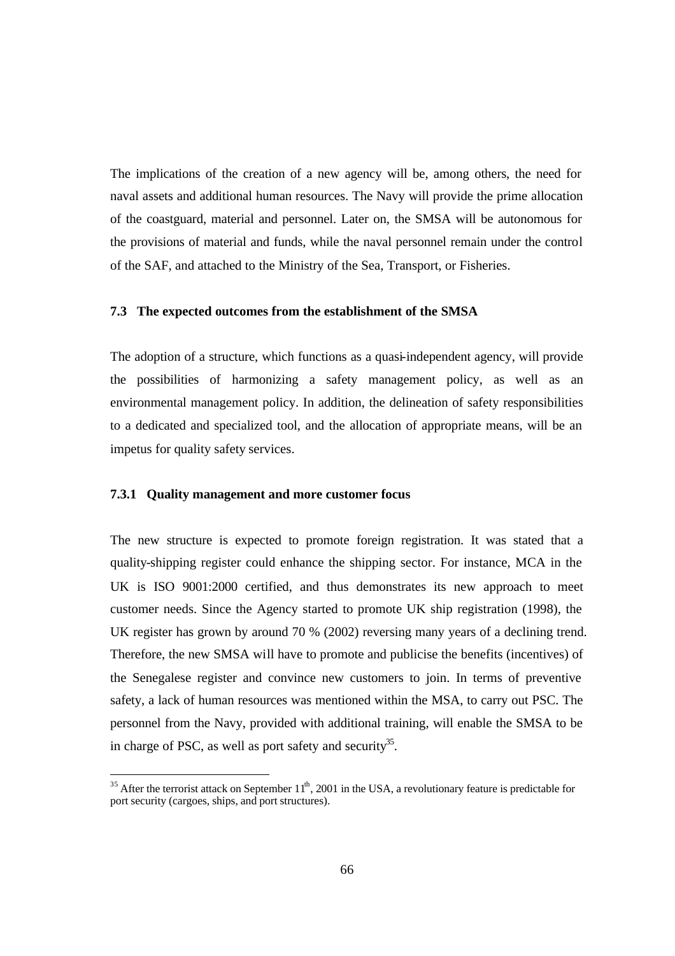The implications of the creation of a new agency will be, among others, the need for naval assets and additional human resources. The Navy will provide the prime allocation of the coastguard, material and personnel. Later on, the SMSA will be autonomous for the provisions of material and funds, while the naval personnel remain under the control of the SAF, and attached to the Ministry of the Sea, Transport, or Fisheries.

#### **7.3 The expected outcomes from the establishment of the SMSA**

The adoption of a structure, which functions as a quasi-independent agency, will provide the possibilities of harmonizing a safety management policy, as well as an environmental management policy. In addition, the delineation of safety responsibilities to a dedicated and specialized tool, and the allocation of appropriate means, will be an impetus for quality safety services.

#### **7.3.1 Quality management and more customer focus**

The new structure is expected to promote foreign registration. It was stated that a quality-shipping register could enhance the shipping sector. For instance, MCA in the UK is ISO 9001:2000 certified, and thus demonstrates its new approach to meet customer needs. Since the Agency started to promote UK ship registration (1998), the UK register has grown by around 70 % (2002) reversing many years of a declining trend. Therefore, the new SMSA will have to promote and publicise the benefits (incentives) of the Senegalese register and convince new customers to join. In terms of preventive safety, a lack of human resources was mentioned within the MSA, to carry out PSC. The personnel from the Navy, provided with additional training, will enable the SMSA to be in charge of PSC, as well as port safety and security<sup>35</sup>.

<sup>&</sup>lt;sup>35</sup> After the terrorist attack on September  $11<sup>th</sup>$ , 2001 in the USA, a revolutionary feature is predictable for port security (cargoes, ships, and port structures).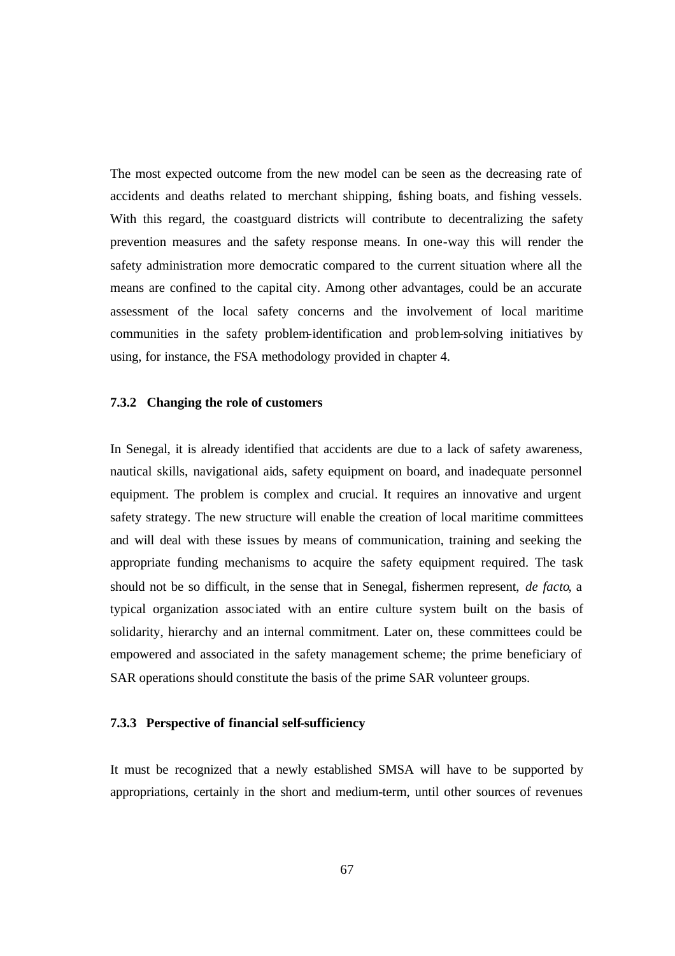The most expected outcome from the new model can be seen as the decreasing rate of accidents and deaths related to merchant shipping, fishing boats, and fishing vessels. With this regard, the coastguard districts will contribute to decentralizing the safety prevention measures and the safety response means. In one-way this will render the safety administration more democratic compared to the current situation where all the means are confined to the capital city. Among other advantages, could be an accurate assessment of the local safety concerns and the involvement of local maritime communities in the safety problem-identification and problem-solving initiatives by using, for instance, the FSA methodology provided in chapter 4.

#### **7.3.2 Changing the role of customers**

In Senegal, it is already identified that accidents are due to a lack of safety awareness, nautical skills, navigational aids, safety equipment on board, and inadequate personnel equipment. The problem is complex and crucial. It requires an innovative and urgent safety strategy. The new structure will enable the creation of local maritime committees and will deal with these issues by means of communication, training and seeking the appropriate funding mechanisms to acquire the safety equipment required. The task should not be so difficult, in the sense that in Senegal, fishermen represent, *de facto*, a typical organization associated with an entire culture system built on the basis of solidarity, hierarchy and an internal commitment. Later on, these committees could be empowered and associated in the safety management scheme; the prime beneficiary of SAR operations should constitute the basis of the prime SAR volunteer groups.

#### **7.3.3 Perspective of financial self-sufficiency**

It must be recognized that a newly established SMSA will have to be supported by appropriations, certainly in the short and medium-term, until other sources of revenues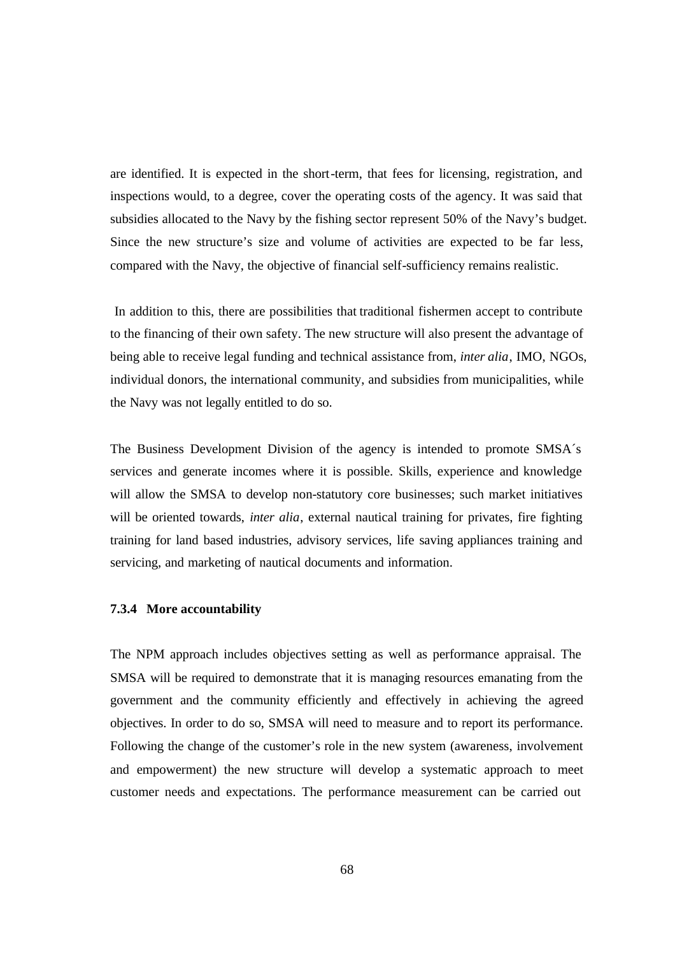are identified. It is expected in the short-term, that fees for licensing, registration, and inspections would, to a degree, cover the operating costs of the agency. It was said that subsidies allocated to the Navy by the fishing sector represent 50% of the Navy's budget. Since the new structure's size and volume of activities are expected to be far less, compared with the Navy, the objective of financial self-sufficiency remains realistic.

 In addition to this, there are possibilities that traditional fishermen accept to contribute to the financing of their own safety. The new structure will also present the advantage of being able to receive legal funding and technical assistance from, *inter alia*, IMO, NGOs, individual donors, the international community, and subsidies from municipalities, while the Navy was not legally entitled to do so.

The Business Development Division of the agency is intended to promote SMSA´s services and generate incomes where it is possible. Skills, experience and knowledge will allow the SMSA to develop non-statutory core businesses; such market initiatives will be oriented towards, *inter alia*, external nautical training for privates, fire fighting training for land based industries, advisory services, life saving appliances training and servicing, and marketing of nautical documents and information.

#### **7.3.4 More accountability**

The NPM approach includes objectives setting as well as performance appraisal. The SMSA will be required to demonstrate that it is managing resources emanating from the government and the community efficiently and effectively in achieving the agreed objectives. In order to do so, SMSA will need to measure and to report its performance. Following the change of the customer's role in the new system (awareness, involvement and empowerment) the new structure will develop a systematic approach to meet customer needs and expectations. The performance measurement can be carried out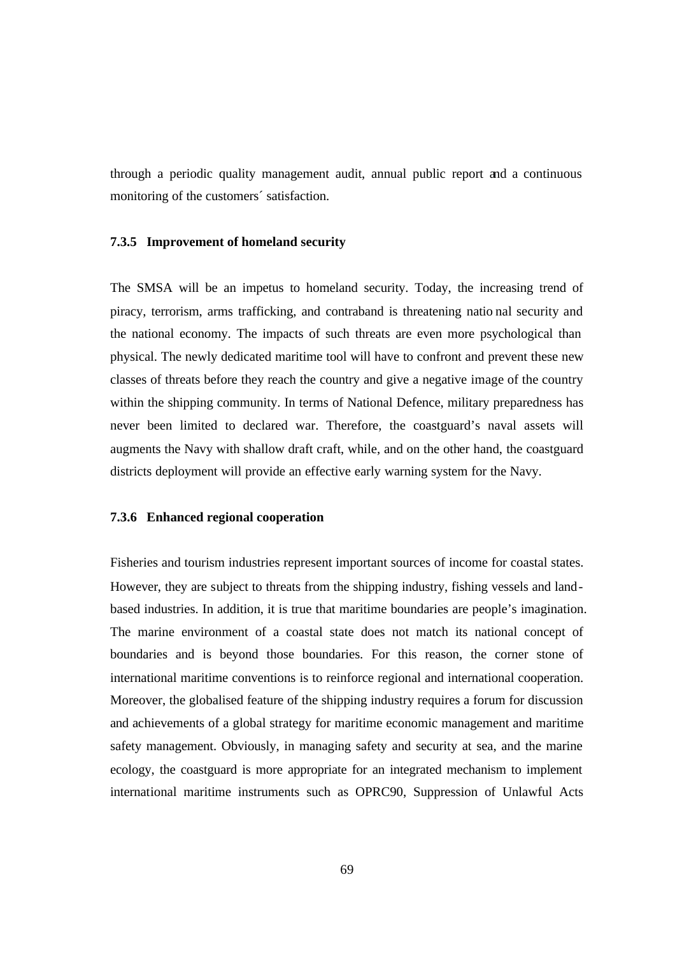through a periodic quality management audit, annual public report and a continuous monitoring of the customers´ satisfaction.

#### **7.3.5 Improvement of homeland security**

The SMSA will be an impetus to homeland security. Today, the increasing trend of piracy, terrorism, arms trafficking, and contraband is threatening natio nal security and the national economy. The impacts of such threats are even more psychological than physical. The newly dedicated maritime tool will have to confront and prevent these new classes of threats before they reach the country and give a negative image of the country within the shipping community. In terms of National Defence, military preparedness has never been limited to declared war. Therefore, the coastguard's naval assets will augments the Navy with shallow draft craft, while, and on the other hand, the coastguard districts deployment will provide an effective early warning system for the Navy.

#### **7.3.6 Enhanced regional cooperation**

Fisheries and tourism industries represent important sources of income for coastal states. However, they are subject to threats from the shipping industry, fishing vessels and landbased industries. In addition, it is true that maritime boundaries are people's imagination. The marine environment of a coastal state does not match its national concept of boundaries and is beyond those boundaries. For this reason, the corner stone of international maritime conventions is to reinforce regional and international cooperation. Moreover, the globalised feature of the shipping industry requires a forum for discussion and achievements of a global strategy for maritime economic management and maritime safety management. Obviously, in managing safety and security at sea, and the marine ecology, the coastguard is more appropriate for an integrated mechanism to implement international maritime instruments such as OPRC90, Suppression of Unlawful Acts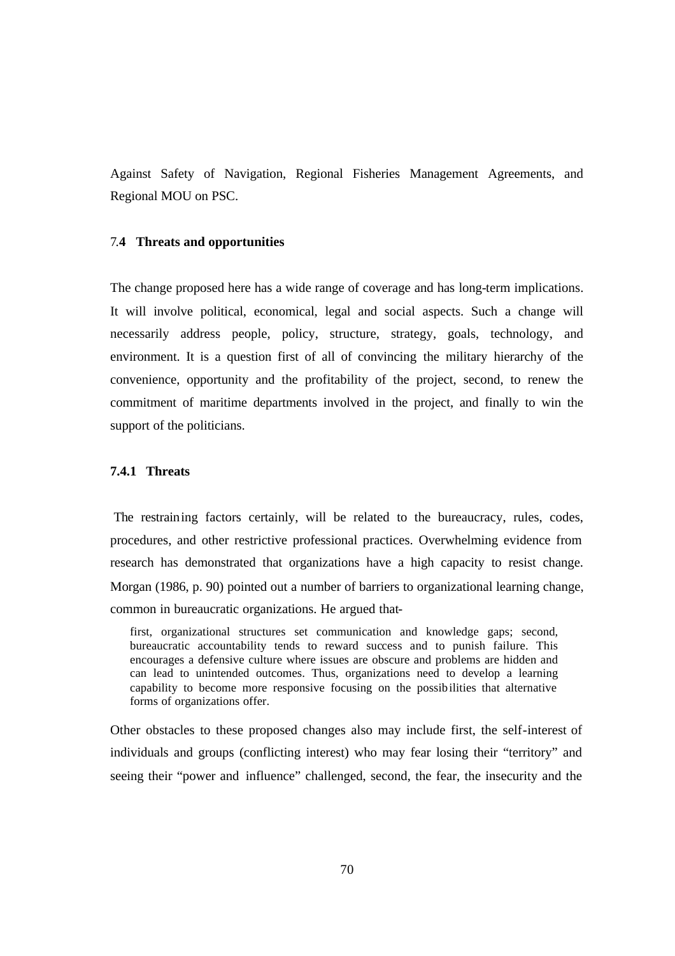Against Safety of Navigation, Regional Fisheries Management Agreements, and Regional MOU on PSC.

#### 7.**4 Threats and opportunities**

The change proposed here has a wide range of coverage and has long-term implications. It will involve political, economical, legal and social aspects. Such a change will necessarily address people, policy, structure, strategy, goals, technology, and environment. It is a question first of all of convincing the military hierarchy of the convenience, opportunity and the profitability of the project, second, to renew the commitment of maritime departments involved in the project, and finally to win the support of the politicians.

## **7.4.1 Threats**

 The restraining factors certainly, will be related to the bureaucracy, rules, codes, procedures, and other restrictive professional practices. Overwhelming evidence from research has demonstrated that organizations have a high capacity to resist change. Morgan (1986, p. 90) pointed out a number of barriers to organizational learning change, common in bureaucratic organizations. He argued that-

first, organizational structures set communication and knowledge gaps; second, bureaucratic accountability tends to reward success and to punish failure. This encourages a defensive culture where issues are obscure and problems are hidden and can lead to unintended outcomes. Thus, organizations need to develop a learning capability to become more responsive focusing on the possibilities that alternative forms of organizations offer.

Other obstacles to these proposed changes also may include first, the self-interest of individuals and groups (conflicting interest) who may fear losing their "territory" and seeing their "power and influence" challenged, second, the fear, the insecurity and the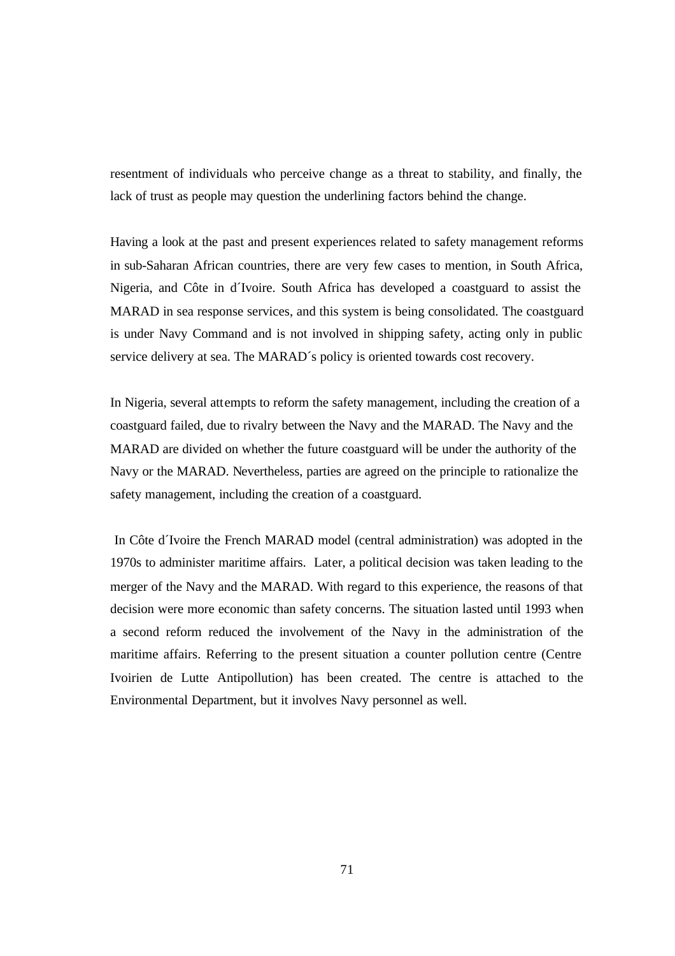resentment of individuals who perceive change as a threat to stability, and finally, the lack of trust as people may question the underlining factors behind the change.

Having a look at the past and present experiences related to safety management reforms in sub-Saharan African countries, there are very few cases to mention, in South Africa, Nigeria, and Côte in d´Ivoire. South Africa has developed a coastguard to assist the MARAD in sea response services, and this system is being consolidated. The coastguard is under Navy Command and is not involved in shipping safety, acting only in public service delivery at sea. The MARAD´s policy is oriented towards cost recovery.

In Nigeria, several attempts to reform the safety management, including the creation of a coastguard failed, due to rivalry between the Navy and the MARAD. The Navy and the MARAD are divided on whether the future coastguard will be under the authority of the Navy or the MARAD. Nevertheless, parties are agreed on the principle to rationalize the safety management, including the creation of a coastguard.

 In Côte d´Ivoire the French MARAD model (central administration) was adopted in the 1970s to administer maritime affairs. Later, a political decision was taken leading to the merger of the Navy and the MARAD. With regard to this experience, the reasons of that decision were more economic than safety concerns. The situation lasted until 1993 when a second reform reduced the involvement of the Navy in the administration of the maritime affairs. Referring to the present situation a counter pollution centre (Centre Ivoirien de Lutte Antipollution) has been created. The centre is attached to the Environmental Department, but it involves Navy personnel as well.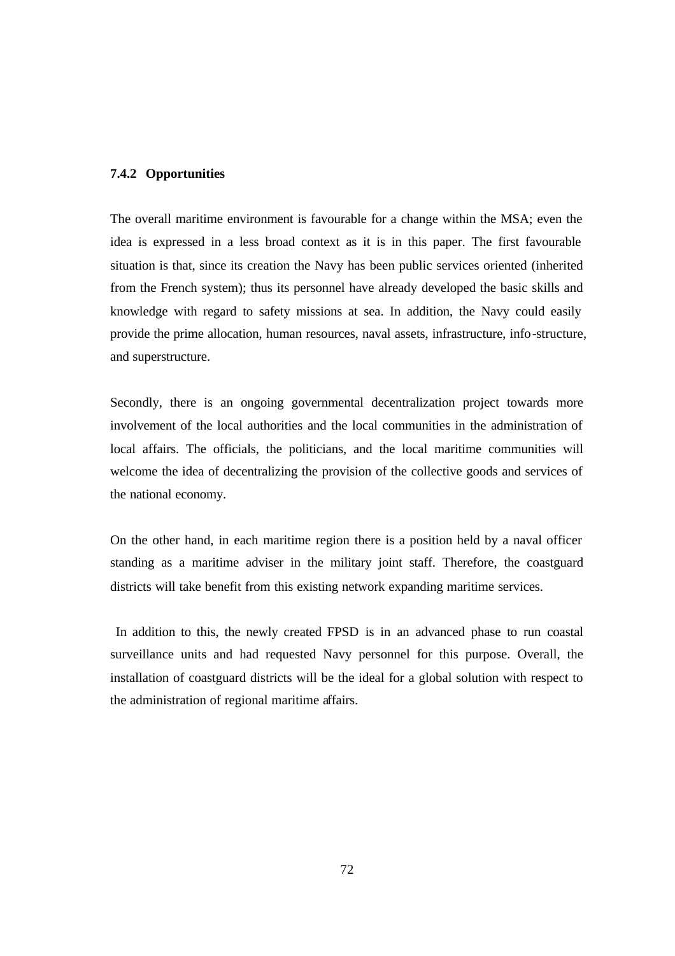#### **7.4.2 Opportunities**

The overall maritime environment is favourable for a change within the MSA; even the idea is expressed in a less broad context as it is in this paper. The first favourable situation is that, since its creation the Navy has been public services oriented (inherited from the French system); thus its personnel have already developed the basic skills and knowledge with regard to safety missions at sea. In addition, the Navy could easily provide the prime allocation, human resources, naval assets, infrastructure, info-structure, and superstructure.

Secondly, there is an ongoing governmental decentralization project towards more involvement of the local authorities and the local communities in the administration of local affairs. The officials, the politicians, and the local maritime communities will welcome the idea of decentralizing the provision of the collective goods and services of the national economy.

On the other hand, in each maritime region there is a position held by a naval officer standing as a maritime adviser in the military joint staff. Therefore, the coastguard districts will take benefit from this existing network expanding maritime services.

 In addition to this, the newly created FPSD is in an advanced phase to run coastal surveillance units and had requested Navy personnel for this purpose. Overall, the installation of coastguard districts will be the ideal for a global solution with respect to the administration of regional maritime affairs.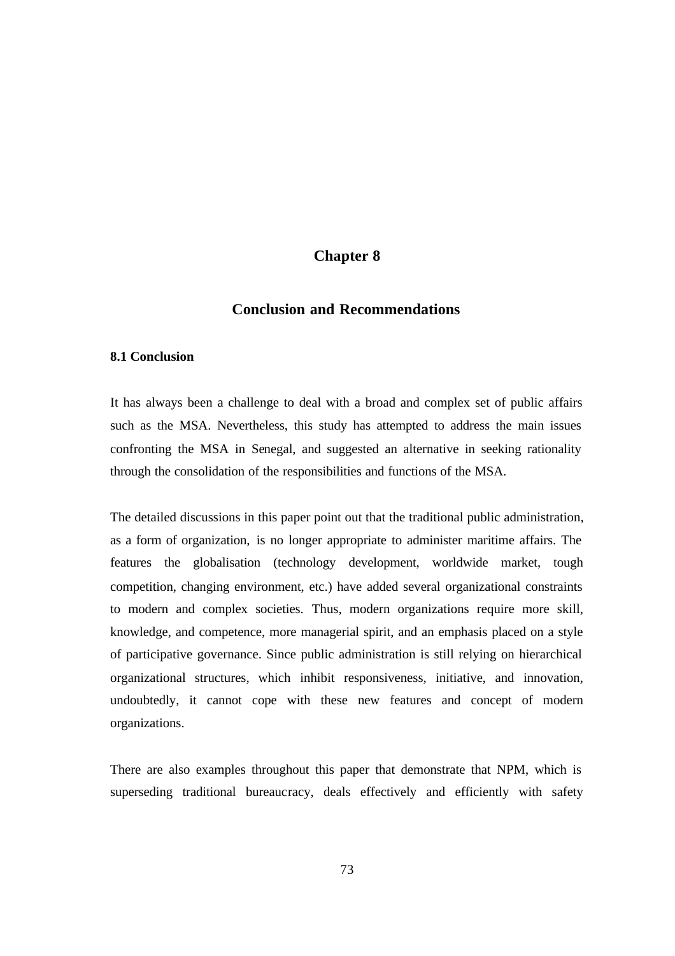# **Chapter 8**

# **Conclusion and Recommendations**

#### **8.1 Conclusion**

It has always been a challenge to deal with a broad and complex set of public affairs such as the MSA. Nevertheless, this study has attempted to address the main issues confronting the MSA in Senegal, and suggested an alternative in seeking rationality through the consolidation of the responsibilities and functions of the MSA.

The detailed discussions in this paper point out that the traditional public administration, as a form of organization, is no longer appropriate to administer maritime affairs. The features the globalisation (technology development, worldwide market, tough competition, changing environment, etc.) have added several organizational constraints to modern and complex societies. Thus, modern organizations require more skill, knowledge, and competence, more managerial spirit, and an emphasis placed on a style of participative governance. Since public administration is still relying on hierarchical organizational structures, which inhibit responsiveness, initiative, and innovation, undoubtedly, it cannot cope with these new features and concept of modern organizations.

There are also examples throughout this paper that demonstrate that NPM, which is superseding traditional bureaucracy, deals effectively and efficiently with safety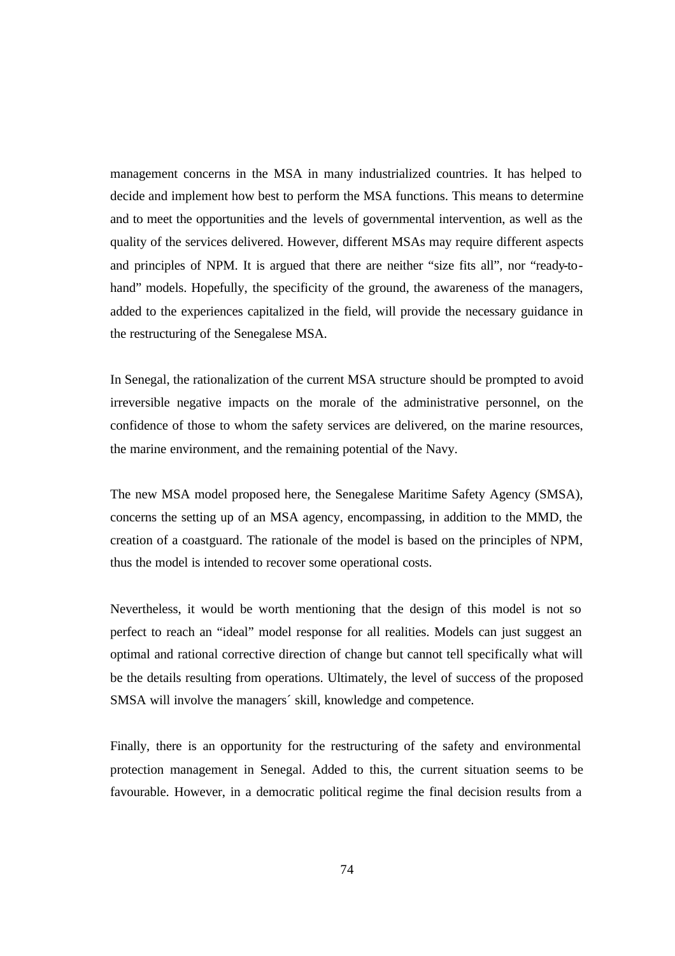management concerns in the MSA in many industrialized countries. It has helped to decide and implement how best to perform the MSA functions. This means to determine and to meet the opportunities and the levels of governmental intervention, as well as the quality of the services delivered. However, different MSAs may require different aspects and principles of NPM. It is argued that there are neither "size fits all", nor "ready-tohand" models. Hopefully, the specificity of the ground, the awareness of the managers, added to the experiences capitalized in the field, will provide the necessary guidance in the restructuring of the Senegalese MSA.

In Senegal, the rationalization of the current MSA structure should be prompted to avoid irreversible negative impacts on the morale of the administrative personnel, on the confidence of those to whom the safety services are delivered, on the marine resources, the marine environment, and the remaining potential of the Navy.

The new MSA model proposed here, the Senegalese Maritime Safety Agency (SMSA), concerns the setting up of an MSA agency, encompassing, in addition to the MMD, the creation of a coastguard. The rationale of the model is based on the principles of NPM, thus the model is intended to recover some operational costs.

Nevertheless, it would be worth mentioning that the design of this model is not so perfect to reach an "ideal" model response for all realities. Models can just suggest an optimal and rational corrective direction of change but cannot tell specifically what will be the details resulting from operations. Ultimately, the level of success of the proposed SMSA will involve the managers´ skill, knowledge and competence.

Finally, there is an opportunity for the restructuring of the safety and environmental protection management in Senegal. Added to this, the current situation seems to be favourable. However, in a democratic political regime the final decision results from a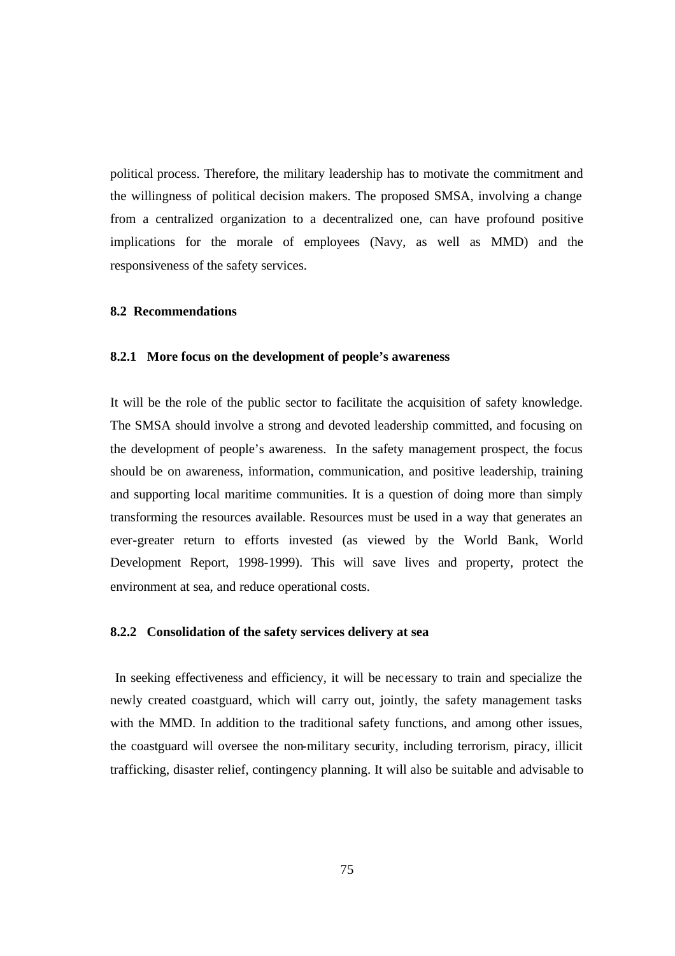political process. Therefore, the military leadership has to motivate the commitment and the willingness of political decision makers. The proposed SMSA, involving a change from a centralized organization to a decentralized one, can have profound positive implications for the morale of employees (Navy, as well as MMD) and the responsiveness of the safety services.

#### **8.2 Recommendations**

#### **8.2.1 More focus on the development of people's awareness**

It will be the role of the public sector to facilitate the acquisition of safety knowledge. The SMSA should involve a strong and devoted leadership committed, and focusing on the development of people's awareness. In the safety management prospect, the focus should be on awareness, information, communication, and positive leadership, training and supporting local maritime communities. It is a question of doing more than simply transforming the resources available. Resources must be used in a way that generates an ever-greater return to efforts invested (as viewed by the World Bank, World Development Report, 1998-1999). This will save lives and property, protect the environment at sea, and reduce operational costs.

#### **8.2.2 Consolidation of the safety services delivery at sea**

 In seeking effectiveness and efficiency, it will be necessary to train and specialize the newly created coastguard, which will carry out, jointly, the safety management tasks with the MMD. In addition to the traditional safety functions, and among other issues, the coastguard will oversee the non-military security, including terrorism, piracy, illicit trafficking, disaster relief, contingency planning. It will also be suitable and advisable to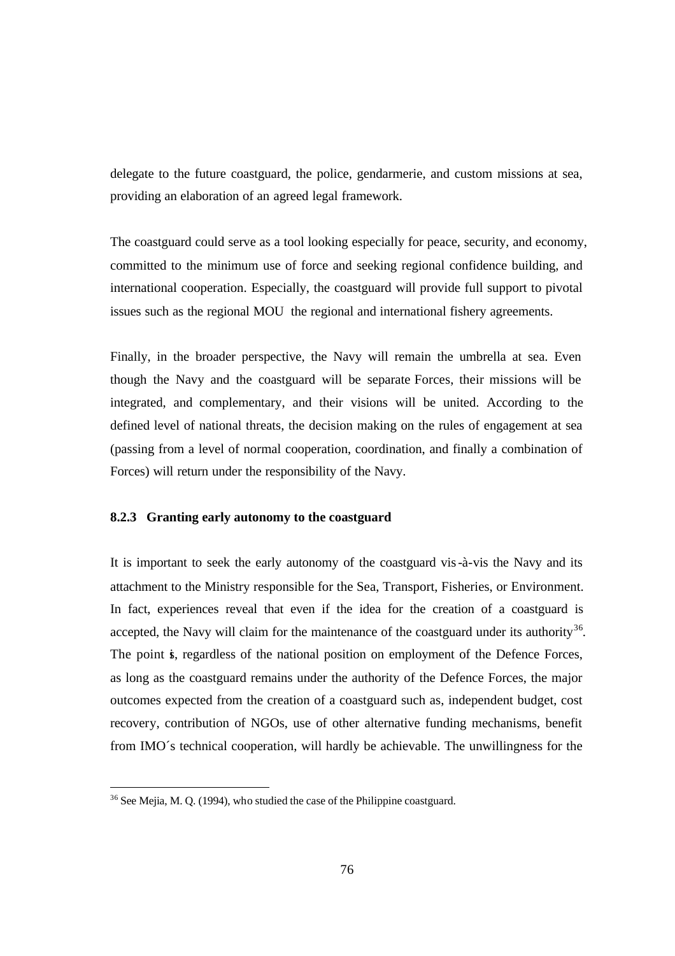delegate to the future coastguard, the police, gendarmerie, and custom missions at sea, providing an elaboration of an agreed legal framework.

The coastguard could serve as a tool looking especially for peace, security, and economy, committed to the minimum use of force and seeking regional confidence building, and international cooperation. Especially, the coastguard will provide full support to pivotal issues such as the regional MOU, the regional and international fishery agreements.

Finally, in the broader perspective, the Navy will remain the umbrella at sea. Even though the Navy and the coastguard will be separate Forces, their missions will be integrated, and complementary, and their visions will be united. According to the defined level of national threats, the decision making on the rules of engagement at sea (passing from a level of normal cooperation, coordination, and finally a combination of Forces) will return under the responsibility of the Navy.

#### **8.2.3 Granting early autonomy to the coastguard**

It is important to seek the early autonomy of the coastguard vis-à-vis the Navy and its attachment to the Ministry responsible for the Sea, Transport, Fisheries, or Environment. In fact, experiences reveal that even if the idea for the creation of a coastguard is accepted, the Navy will claim for the maintenance of the coastguard under its authority<sup>36</sup>. The point is, regardless of the national position on employment of the Defence Forces, as long as the coastguard remains under the authority of the Defence Forces, the major outcomes expected from the creation of a coastguard such as, independent budget, cost recovery, contribution of NGOs, use of other alternative funding mechanisms, benefit from IMO´s technical cooperation, will hardly be achievable. The unwillingness for the

 $\overline{a}$ 

 $36$  See Mejia, M. Q. (1994), who studied the case of the Philippine coastguard.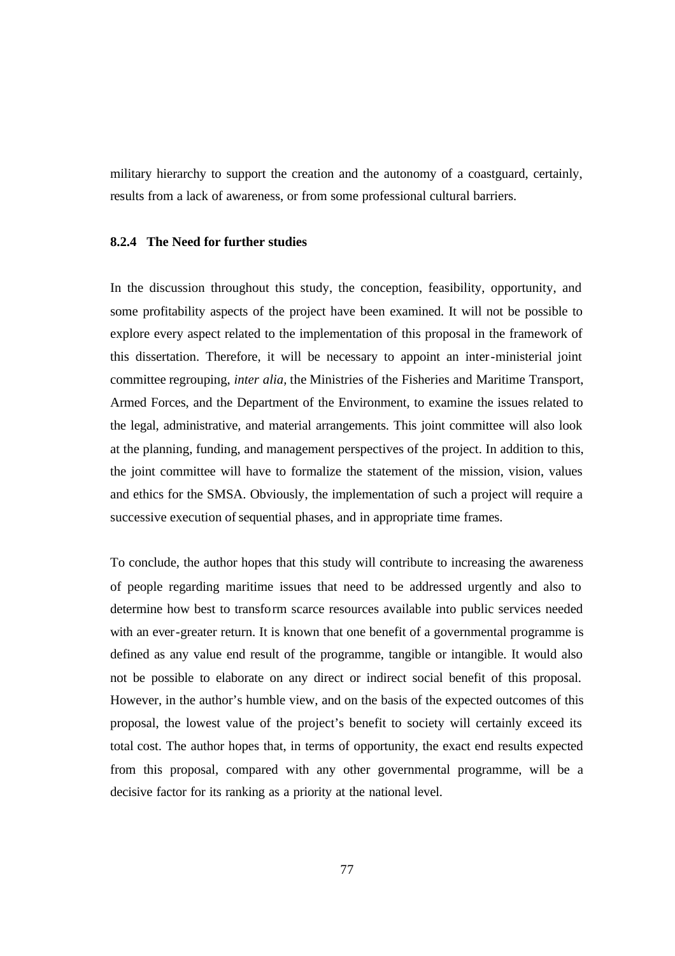military hierarchy to support the creation and the autonomy of a coastguard, certainly, results from a lack of awareness, or from some professional cultural barriers.

#### **8.2.4 The Need for further studies**

In the discussion throughout this study, the conception, feasibility, opportunity, and some profitability aspects of the project have been examined. It will not be possible to explore every aspect related to the implementation of this proposal in the framework of this dissertation. Therefore, it will be necessary to appoint an inter-ministerial joint committee regrouping, *inter alia,* the Ministries of the Fisheries and Maritime Transport, Armed Forces, and the Department of the Environment, to examine the issues related to the legal, administrative, and material arrangements. This joint committee will also look at the planning, funding, and management perspectives of the project. In addition to this, the joint committee will have to formalize the statement of the mission, vision, values and ethics for the SMSA. Obviously, the implementation of such a project will require a successive execution of sequential phases, and in appropriate time frames.

To conclude, the author hopes that this study will contribute to increasing the awareness of people regarding maritime issues that need to be addressed urgently and also to determine how best to transform scarce resources available into public services needed with an ever-greater return. It is known that one benefit of a governmental programme is defined as any value end result of the programme, tangible or intangible. It would also not be possible to elaborate on any direct or indirect social benefit of this proposal. However, in the author's humble view, and on the basis of the expected outcomes of this proposal, the lowest value of the project's benefit to society will certainly exceed its total cost. The author hopes that, in terms of opportunity, the exact end results expected from this proposal, compared with any other governmental programme, will be a decisive factor for its ranking as a priority at the national level.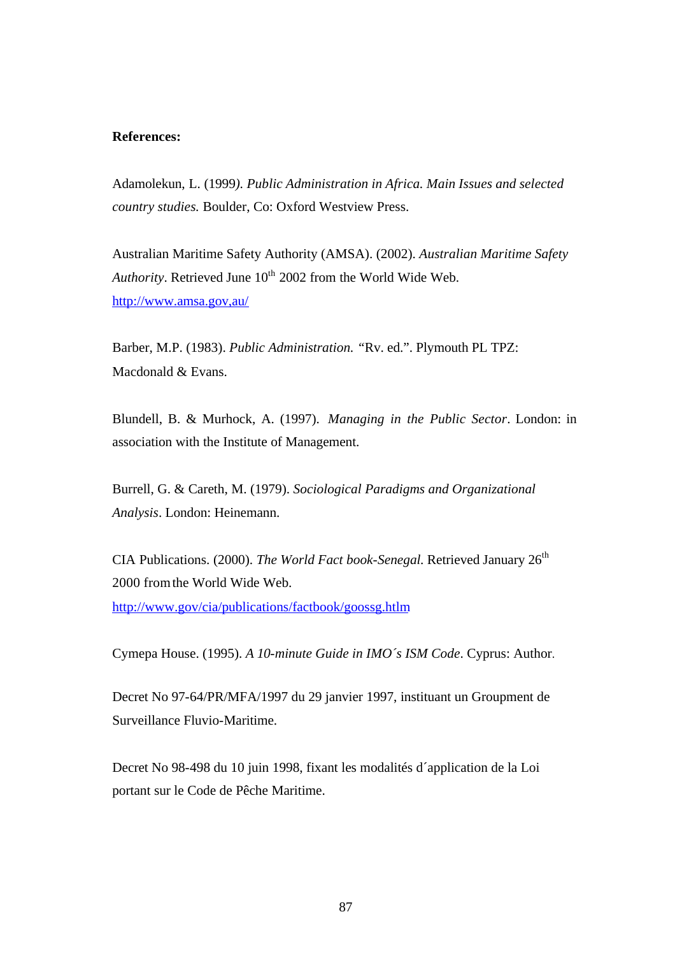## **References:**

Adamolekun, L. (1999*). Public Administration in Africa. Main Issues and selected country studies.* Boulder, Co: Oxford Westview Press.

Australian Maritime Safety Authority (AMSA). (2002). *Australian Maritime Safety*  Authority. Retrieved June  $10^{th}$  2002 from the World Wide Web. http://www.amsa.gov,au/

Barber, M.P. (1983). *Public Administration. "*Rv. ed.". Plymouth PL TPZ: Macdonald & Evans.

Blundell, B. & Murhock, A. (1997). *Managing in the Public Sector*. London: in association with the Institute of Management.

Burrell, G. & Careth, M. (1979). *Sociological Paradigms and Organizational Analysis*. London: Heinemann.

CIA Publications. (2000). *The World Fact book-Senegal*. Retrieved January 26<sup>th</sup> 2000 from the World Wide Web. http://www.gov/cia/publications/factbook/goossg.htlm

Cymepa House. (1995). *A 10-minute Guide in IMO´s ISM Code*. Cyprus: Author.

Decret No 97-64/PR/MFA/1997 du 29 janvier 1997, instituant un Groupment de Surveillance Fluvio-Maritime.

Decret No 98-498 du 10 juin 1998, fixant les modalités d´application de la Loi portant sur le Code de Pêche Maritime.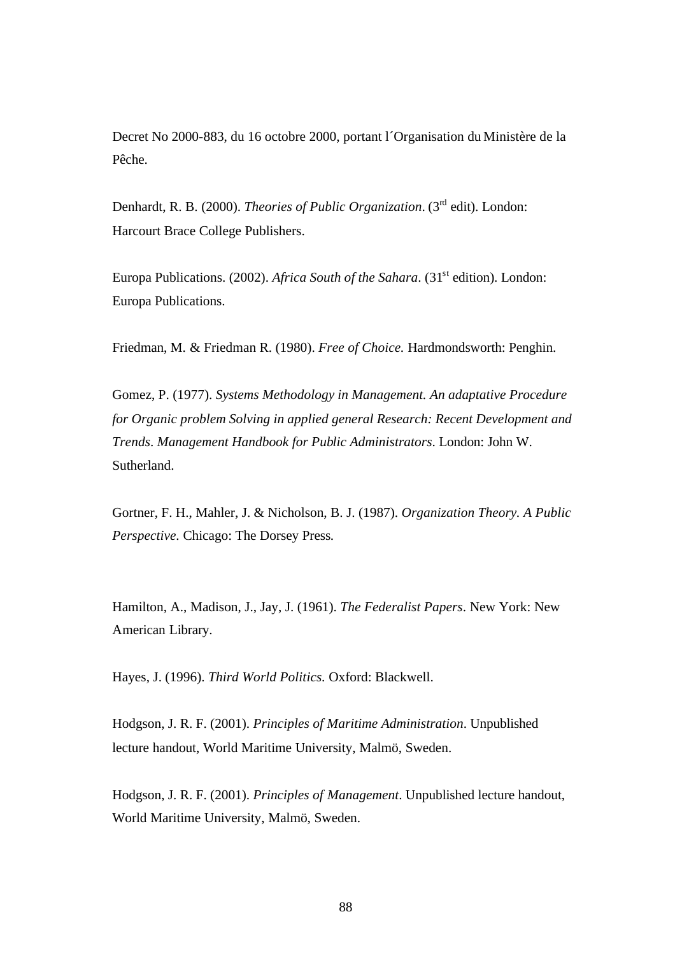Decret No 2000-883, du 16 octobre 2000, portant l´Organisation du Ministère de la Pêche.

Denhardt, R. B. (2000). *Theories of Public Organization*. (3rd edit). London: Harcourt Brace College Publishers.

Europa Publications. (2002). *Africa South of the Sahara*. (31<sup>st</sup> edition). London: Europa Publications.

Friedman, M. & Friedman R. (1980). *Free of Choice.* Hardmondsworth: Penghin.

Gomez, P. (1977). *Systems Methodology in Management. An adaptative Procedure for Organic problem Solving in applied general Research: Recent Development and Trends*. *Management Handbook for Public Administrators*. London: John W. Sutherland.

Gortner, F. H., Mahler, J. & Nicholson, B. J. (1987). *Organization Theory. A Public Perspective.* Chicago: The Dorsey Press*.*

Hamilton, A., Madison, J., Jay, J. (1961). *The Federalist Papers*. New York: New American Library.

Hayes, J. (1996). *Third World Politics.* Oxford: Blackwell.

Hodgson, J. R. F. (2001). *Principles of Maritime Administration*. Unpublished lecture handout, World Maritime University, Malmö, Sweden.

Hodgson, J. R. F. (2001). *Principles of Management*. Unpublished lecture handout, World Maritime University, Malmö, Sweden.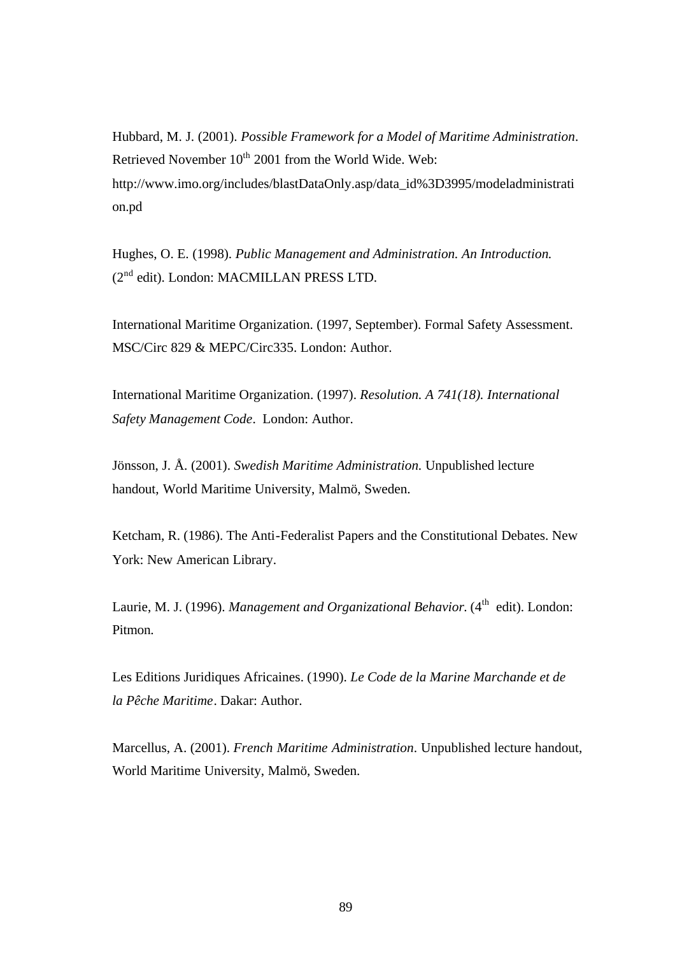Hubbard, M. J. (2001). *Possible Framework for a Model of Maritime Administration*. Retrieved November 10<sup>th</sup> 2001 from the World Wide. Web: http://www.imo.org/includes/blastDataOnly.asp/data\_id%3D3995/modeladministrati on.pd

Hughes, O. E. (1998). *Public Management and Administration. An Introduction.* (2nd edit). London: MACMILLAN PRESS LTD.

International Maritime Organization. (1997, September). Formal Safety Assessment. MSC/Circ 829 & MEPC/Circ335. London: Author.

International Maritime Organization. (1997). *Resolution. A 741(18). International Safety Management Code*. London: Author.

Jönsson, J. Å. (2001). *Swedish Maritime Administration.* Unpublished lecture handout, World Maritime University, Malmö, Sweden.

Ketcham, R. (1986). The Anti-Federalist Papers and the Constitutional Debates. New York: New American Library.

Laurie, M. J. (1996). *Management and Organizational Behavior*. (4<sup>th</sup> edit). London: Pitmon.

Les Editions Juridiques Africaines. (1990). *Le Code de la Marine Marchande et de la Pêche Maritime*. Dakar: Author.

Marcellus, A. (2001). *French Maritime Administration*. Unpublished lecture handout, World Maritime University, Malmö, Sweden.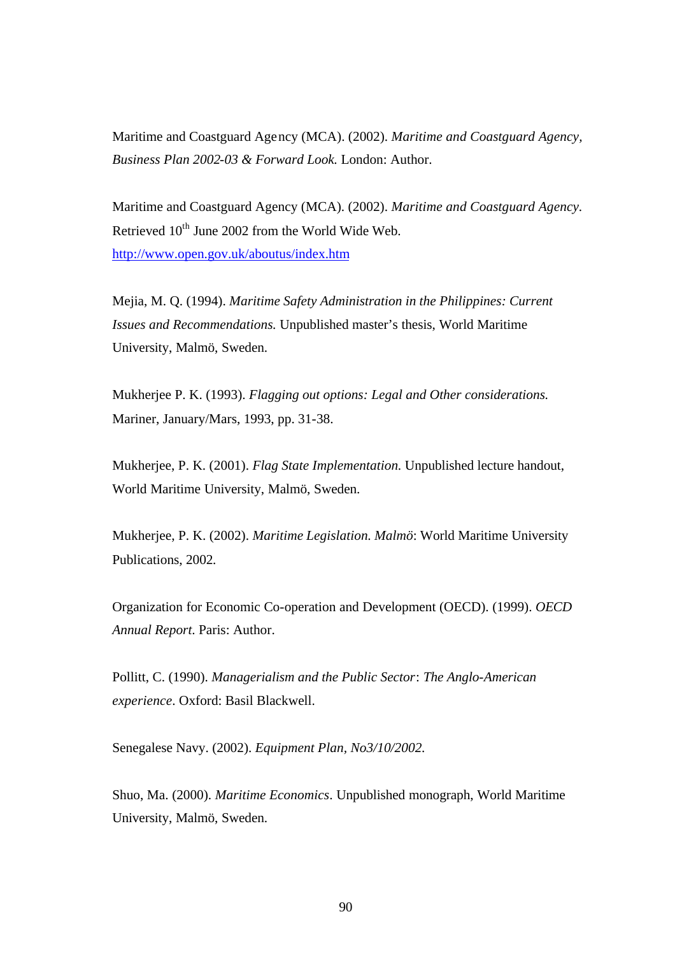Maritime and Coastguard Agency (MCA). (2002). *Maritime and Coastguard Agency, Business Plan 2002-03 & Forward Look.* London: Author.

Maritime and Coastguard Agency (MCA). (2002). *Maritime and Coastguard Agency.*  Retrieved  $10^{th}$  June 2002 from the World Wide Web. http://www.open.gov.uk/aboutus/index.htm

Mejia, M. Q. (1994). *Maritime Safety Administration in the Philippines: Current Issues and Recommendations.* Unpublished master's thesis, World Maritime University, Malmö, Sweden.

Mukherjee P. K. (1993). *Flagging out options: Legal and Other considerations.* Mariner, January/Mars, 1993, pp. 31-38.

Mukherjee, P. K. (2001). *Flag State Implementation.* Unpublished lecture handout, World Maritime University, Malmö, Sweden.

Mukherjee, P. K. (2002). *Maritime Legislation. Malmö*: World Maritime University Publications, 2002*.*

Organization for Economic Co-operation and Development (OECD). (1999). *OECD Annual Report*. Paris: Author.

Pollitt, C. (1990). *Managerialism and the Public Sector*: *The Anglo-American experience*. Oxford: Basil Blackwell.

Senegalese Navy. (2002). *Equipment Plan, No3/10/2002.*

Shuo, Ma. (2000). *Maritime Economics*. Unpublished monograph, World Maritime University, Malmö, Sweden.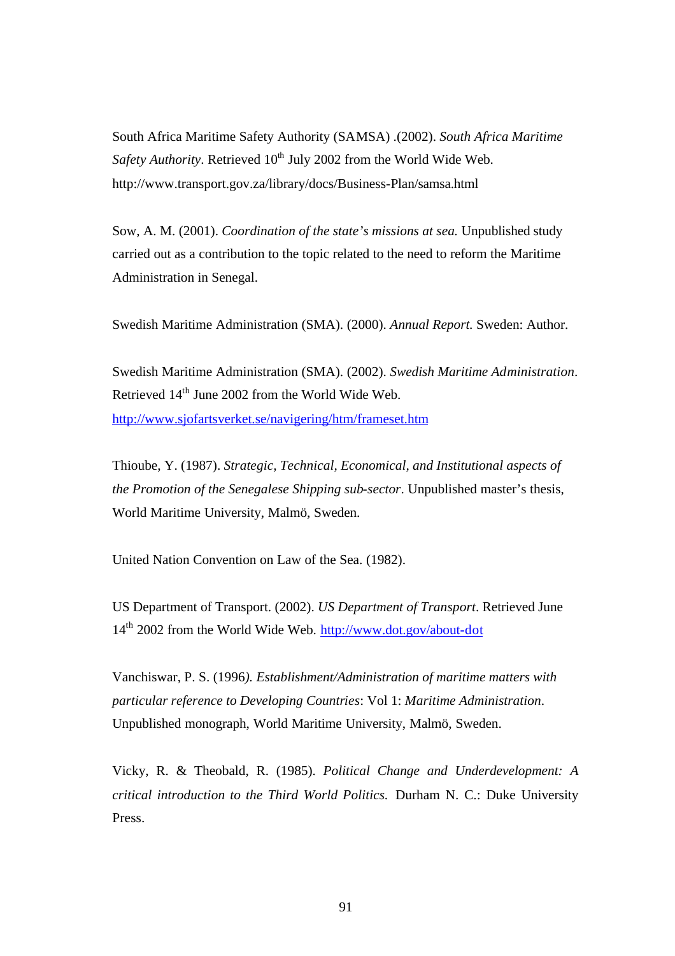South Africa Maritime Safety Authority (SAMSA) .(2002). *South Africa Maritime Safety Authority*. Retrieved 10<sup>th</sup> July 2002 from the World Wide Web. http://www.transport.gov.za/library/docs/Business-Plan/samsa.html

Sow, A. M. (2001). *Coordination of the state's missions at sea.* Unpublished study carried out as a contribution to the topic related to the need to reform the Maritime Administration in Senegal.

Swedish Maritime Administration (SMA). (2000). *Annual Report.* Sweden: Author.

Swedish Maritime Administration (SMA). (2002). *Swedish Maritime Administration*. Retrieved 14th June 2002 from the World Wide Web. http://www.sjofartsverket.se/navigering/htm/frameset.htm

Thioube, Y. (1987). *Strategic, Technical, Economical, and Institutional aspects of the Promotion of the Senegalese Shipping sub-sector*. Unpublished master's thesis, World Maritime University, Malmö, Sweden.

United Nation Convention on Law of the Sea. (1982).

US Department of Transport. (2002). *US Department of Transport*. Retrieved June 14<sup>th</sup> 2002 from the World Wide Web. http://www.dot.gov/about-dot

Vanchiswar, P. S. (1996*). Establishment/Administration of maritime matters with particular reference to Developing Countries*: Vol 1: *Maritime Administration*. Unpublished monograph, World Maritime University, Malmö, Sweden.

Vicky, R. & Theobald, R. (1985). *Political Change and Underdevelopment: A critical introduction to the Third World Politics.* Durham N. C.: Duke University Press.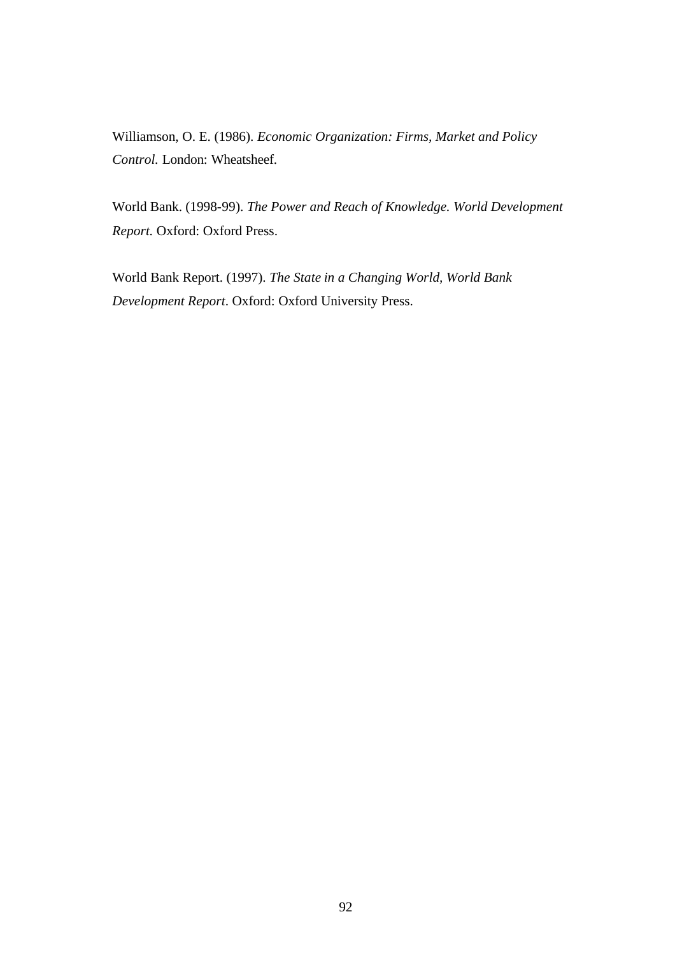Williamson, O. E. (1986). *Economic Organization: Firms, Market and Policy Control.* London: Wheatsheef.

World Bank. (1998-99). *The Power and Reach of Knowledge. World Development Report.* Oxford: Oxford Press.

World Bank Report. (1997). *The State in a Changing World, World Bank Development Report*. Oxford: Oxford University Press.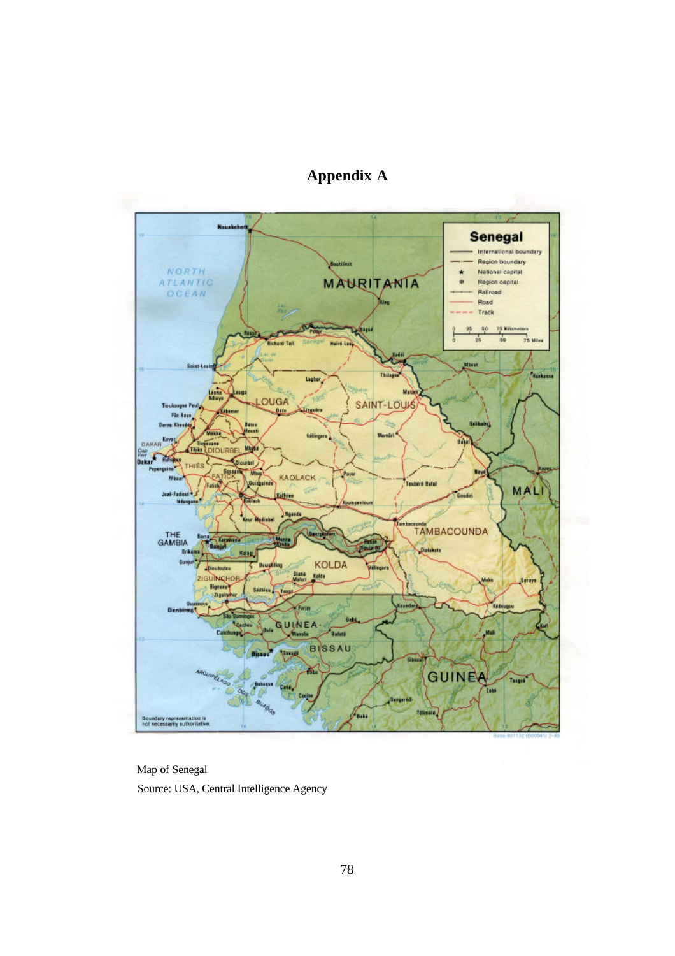

**Appendix A**

Map of Senegal Source: USA, Central Intelligence Agency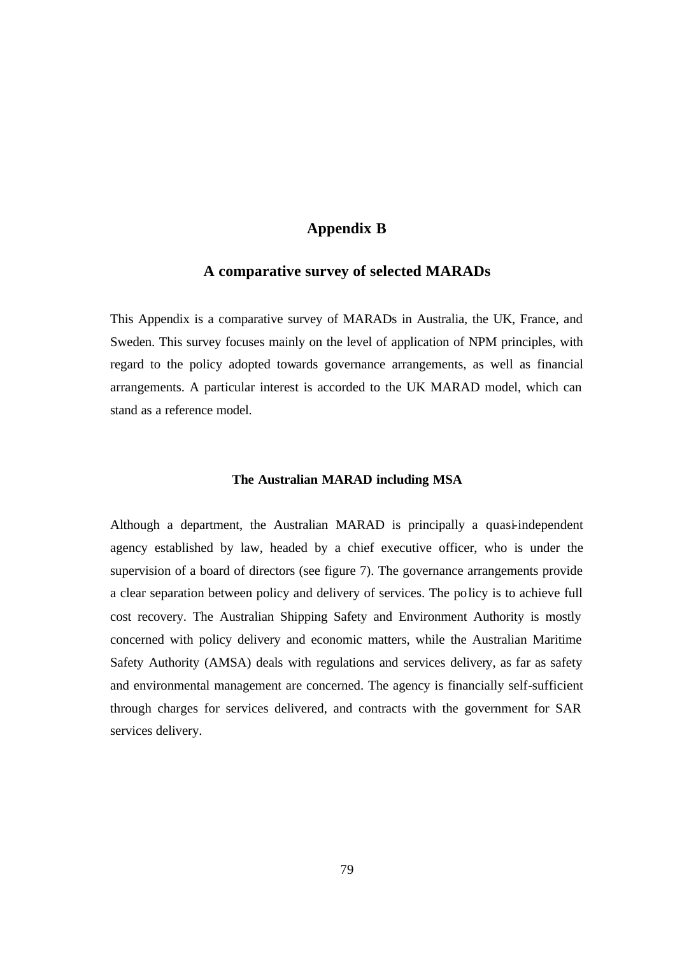## **Appendix B**

## **A comparative survey of selected MARADs**

This Appendix is a comparative survey of MARADs in Australia, the UK, France, and Sweden. This survey focuses mainly on the level of application of NPM principles, with regard to the policy adopted towards governance arrangements, as well as financial arrangements. A particular interest is accorded to the UK MARAD model, which can stand as a reference model.

#### **The Australian MARAD including MSA**

Although a department, the Australian MARAD is principally a quasi-independent agency established by law, headed by a chief executive officer, who is under the supervision of a board of directors (see figure 7). The governance arrangements provide a clear separation between policy and delivery of services. The policy is to achieve full cost recovery. The Australian Shipping Safety and Environment Authority is mostly concerned with policy delivery and economic matters, while the Australian Maritime Safety Authority (AMSA) deals with regulations and services delivery, as far as safety and environmental management are concerned. The agency is financially self-sufficient through charges for services delivered, and contracts with the government for SAR services delivery.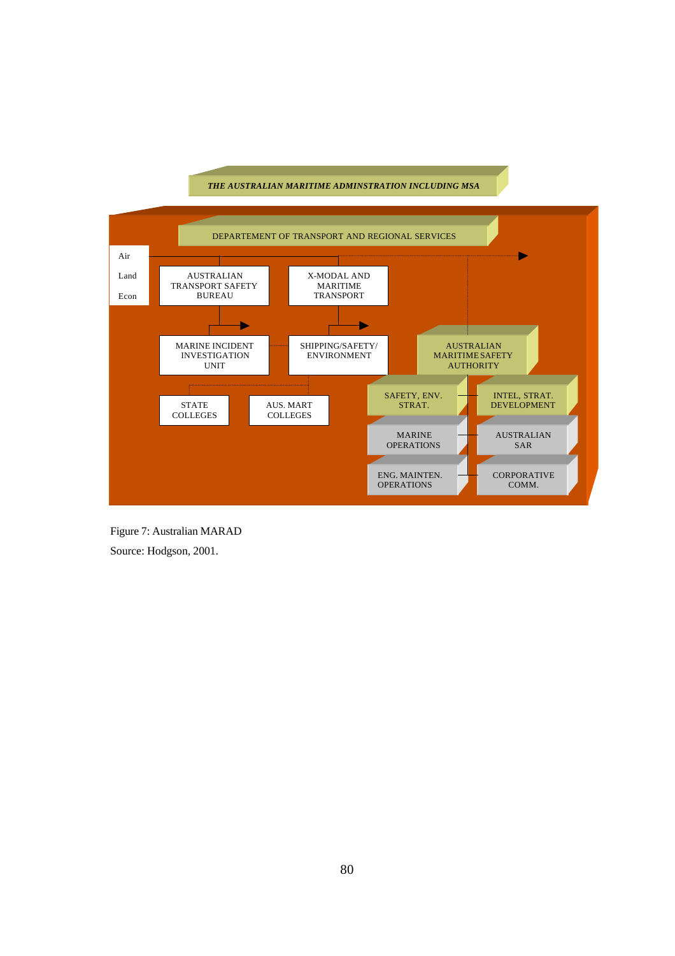#### *THE AUSTRALIAN MARITIME ADMINSTRATION INCLUDING MSA*



Figure 7: Australian MARAD Source: Hodgson, 2001.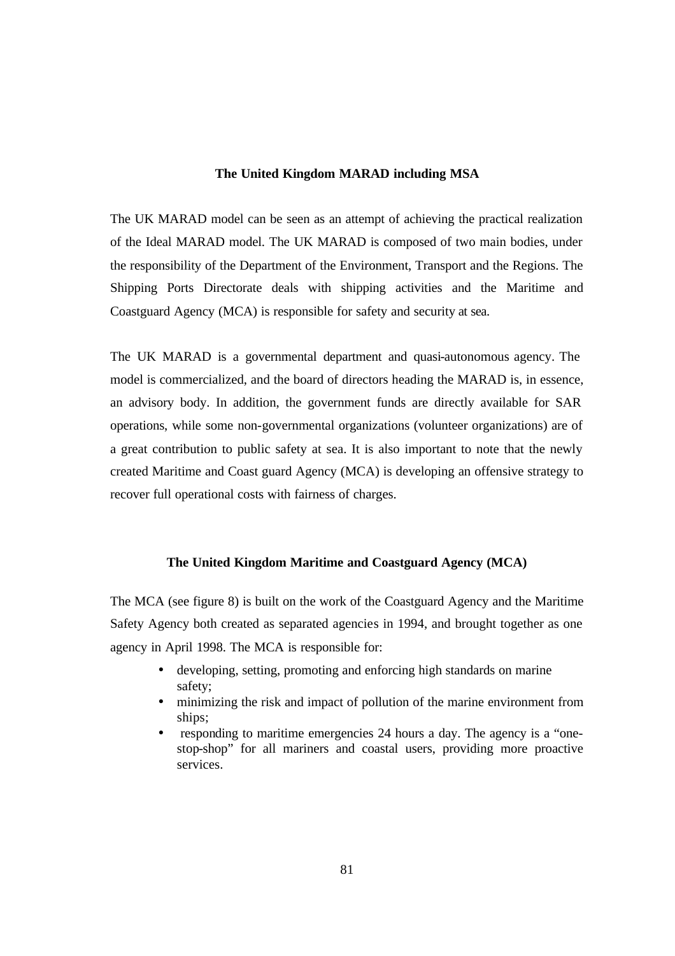#### **The United Kingdom MARAD including MSA**

The UK MARAD model can be seen as an attempt of achieving the practical realization of the Ideal MARAD model. The UK MARAD is composed of two main bodies, under the responsibility of the Department of the Environment, Transport and the Regions. The Shipping Ports Directorate deals with shipping activities and the Maritime and Coastguard Agency (MCA) is responsible for safety and security at sea.

The UK MARAD is a governmental department and quasi-autonomous agency. The model is commercialized, and the board of directors heading the MARAD is, in essence, an advisory body. In addition, the government funds are directly available for SAR operations, while some non-governmental organizations (volunteer organizations) are of a great contribution to public safety at sea. It is also important to note that the newly created Maritime and Coast guard Agency (MCA) is developing an offensive strategy to recover full operational costs with fairness of charges.

## **The United Kingdom Maritime and Coastguard Agency (MCA)**

The MCA (see figure 8) is built on the work of the Coastguard Agency and the Maritime Safety Agency both created as separated agencies in 1994, and brought together as one agency in April 1998. The MCA is responsible for:

- developing, setting, promoting and enforcing high standards on marine safety;
- minimizing the risk and impact of pollution of the marine environment from ships;
- responding to maritime emergencies 24 hours a day. The agency is a "onestop-shop" for all mariners and coastal users, providing more proactive services.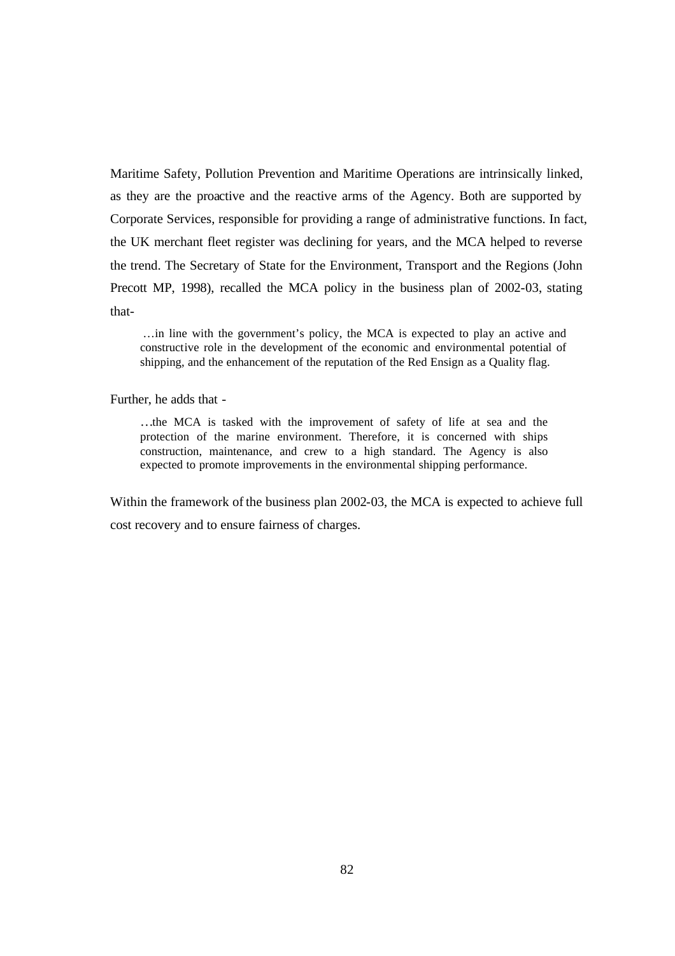Maritime Safety, Pollution Prevention and Maritime Operations are intrinsically linked, as they are the proactive and the reactive arms of the Agency. Both are supported by Corporate Services, responsible for providing a range of administrative functions. In fact, the UK merchant fleet register was declining for years, and the MCA helped to reverse the trend. The Secretary of State for the Environment, Transport and the Regions (John Precott MP, 1998), recalled the MCA policy in the business plan of 2002-03, stating that-

…in line with the government's policy, the MCA is expected to play an active and constructive role in the development of the economic and environmental potential of shipping, and the enhancement of the reputation of the Red Ensign as a Quality flag.

Further, he adds that -

…the MCA is tasked with the improvement of safety of life at sea and the protection of the marine environment. Therefore, it is concerned with ships construction, maintenance, and crew to a high standard. The Agency is also expected to promote improvements in the environmental shipping performance.

Within the framework of the business plan 2002-03, the MCA is expected to achieve full cost recovery and to ensure fairness of charges.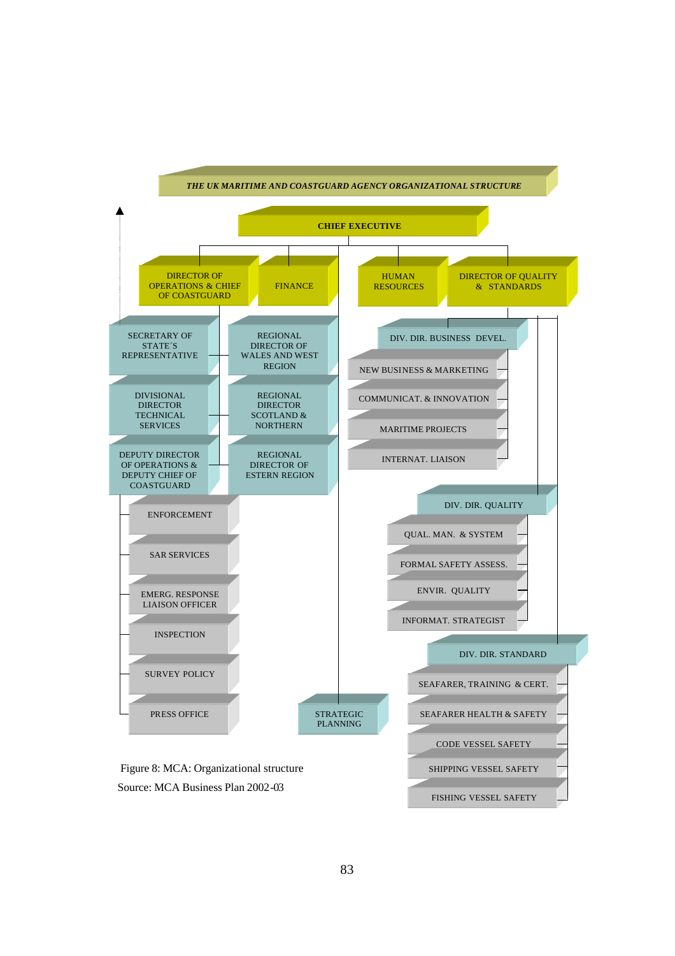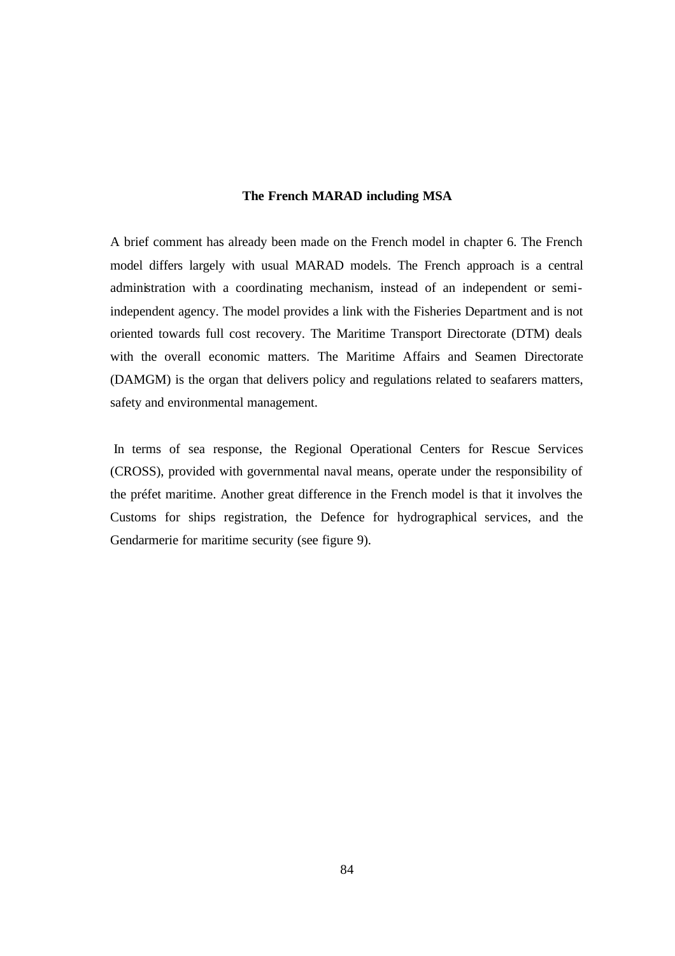#### **The French MARAD including MSA**

A brief comment has already been made on the French model in chapter 6. The French model differs largely with usual MARAD models. The French approach is a central administration with a coordinating mechanism, instead of an independent or semiindependent agency. The model provides a link with the Fisheries Department and is not oriented towards full cost recovery. The Maritime Transport Directorate (DTM) deals with the overall economic matters. The Maritime Affairs and Seamen Directorate (DAMGM) is the organ that delivers policy and regulations related to seafarers matters, safety and environmental management.

 In terms of sea response, the Regional Operational Centers for Rescue Services (CROSS), provided with governmental naval means, operate under the responsibility of the préfet maritime. Another great difference in the French model is that it involves the Customs for ships registration, the Defence for hydrographical services, and the Gendarmerie for maritime security (see figure 9).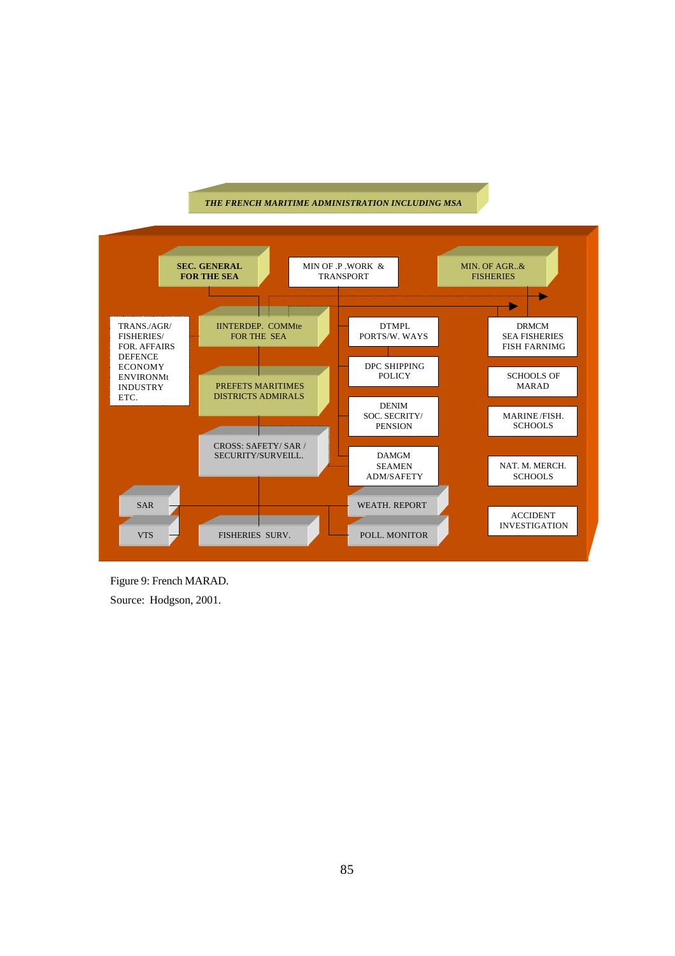#### *THE FRENCH MARITIME ADMINISTRATION INCLUDING MSA*



Figure 9: French MARAD. Source: Hodgson, 2001.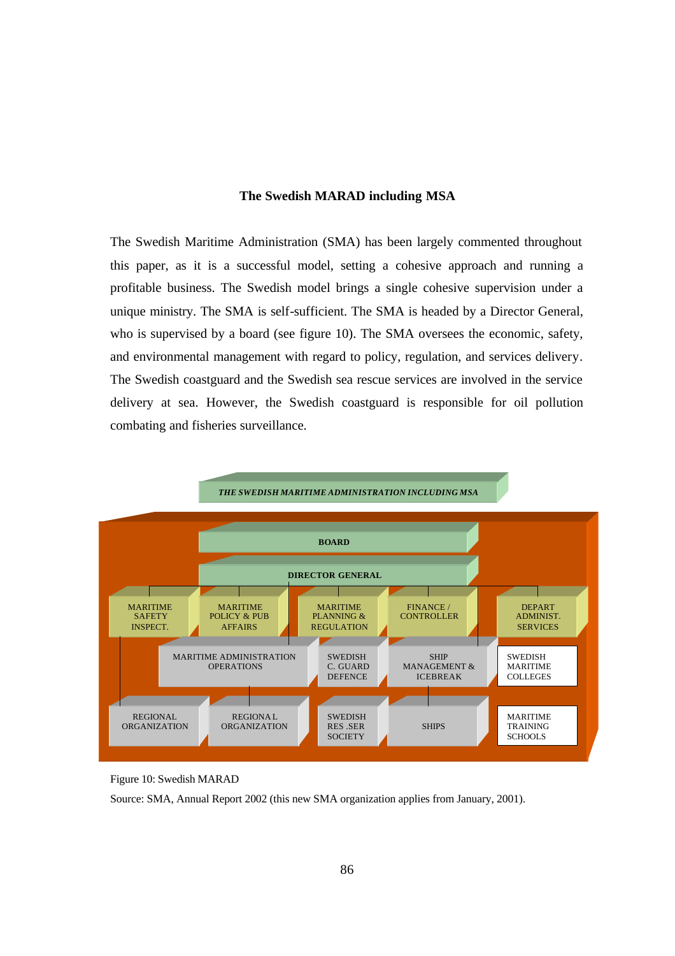#### **The Swedish MARAD including MSA**

The Swedish Maritime Administration (SMA) has been largely commented throughout this paper, as it is a successful model, setting a cohesive approach and running a profitable business. The Swedish model brings a single cohesive supervision under a unique ministry. The SMA is self-sufficient. The SMA is headed by a Director General, who is supervised by a board (see figure 10). The SMA oversees the economic, safety, and environmental management with regard to policy, regulation, and services delivery. The Swedish coastguard and the Swedish sea rescue services are involved in the service delivery at sea. However, the Swedish coastguard is responsible for oil pollution combating and fisheries surveillance.



Figure 10: Swedish MARAD

Source: SMA, Annual Report 2002 (this new SMA organization applies from January, 2001).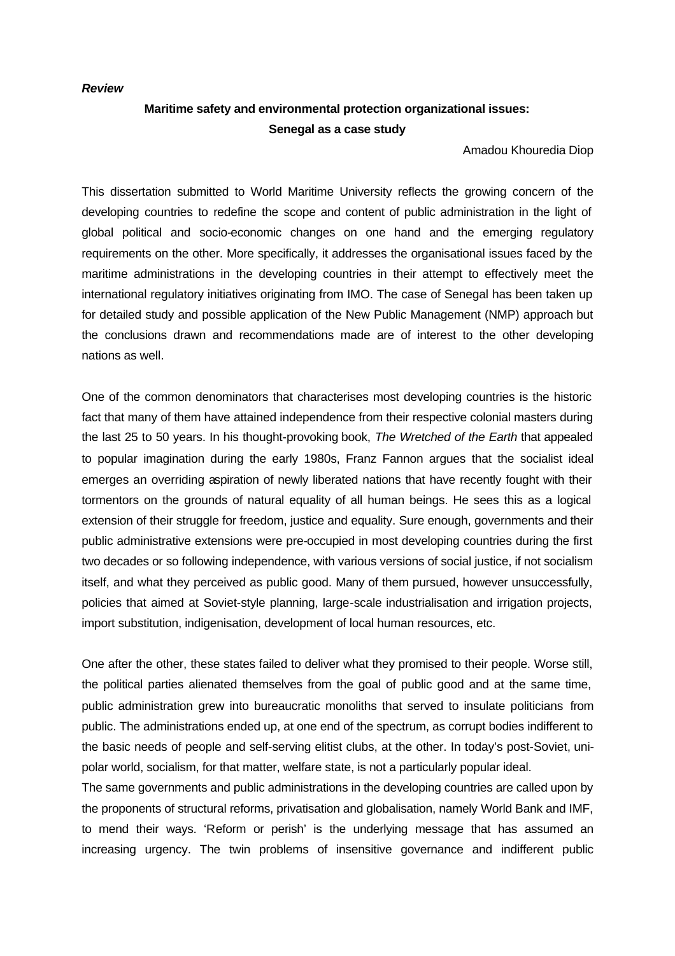#### *Review*

# **Maritime safety and environmental protection organizational issues: Senegal as a case study**

Amadou Khouredia Diop

This dissertation submitted to World Maritime University reflects the growing concern of the developing countries to redefine the scope and content of public administration in the light of global political and socio-economic changes on one hand and the emerging regulatory requirements on the other. More specifically, it addresses the organisational issues faced by the maritime administrations in the developing countries in their attempt to effectively meet the international regulatory initiatives originating from IMO. The case of Senegal has been taken up for detailed study and possible application of the New Public Management (NMP) approach but the conclusions drawn and recommendations made are of interest to the other developing nations as well.

One of the common denominators that characterises most developing countries is the historic fact that many of them have attained independence from their respective colonial masters during the last 25 to 50 years. In his thought-provoking book, *The Wretched of the Earth* that appealed to popular imagination during the early 1980s, Franz Fannon argues that the socialist ideal emerges an overriding aspiration of newly liberated nations that have recently fought with their tormentors on the grounds of natural equality of all human beings. He sees this as a logical extension of their struggle for freedom, justice and equality. Sure enough, governments and their public administrative extensions were pre-occupied in most developing countries during the first two decades or so following independence, with various versions of social justice, if not socialism itself, and what they perceived as public good. Many of them pursued, however unsuccessfully, policies that aimed at Soviet-style planning, large-scale industrialisation and irrigation projects, import substitution, indigenisation, development of local human resources, etc.

One after the other, these states failed to deliver what they promised to their people. Worse still, the political parties alienated themselves from the goal of public good and at the same time, public administration grew into bureaucratic monoliths that served to insulate politicians from public. The administrations ended up, at one end of the spectrum, as corrupt bodies indifferent to the basic needs of people and self-serving elitist clubs, at the other. In today's post-Soviet, unipolar world, socialism, for that matter, welfare state, is not a particularly popular ideal.

The same governments and public administrations in the developing countries are called upon by the proponents of structural reforms, privatisation and globalisation, namely World Bank and IMF, to mend their ways. 'Reform or perish' is the underlying message that has assumed an increasing urgency. The twin problems of insensitive governance and indifferent public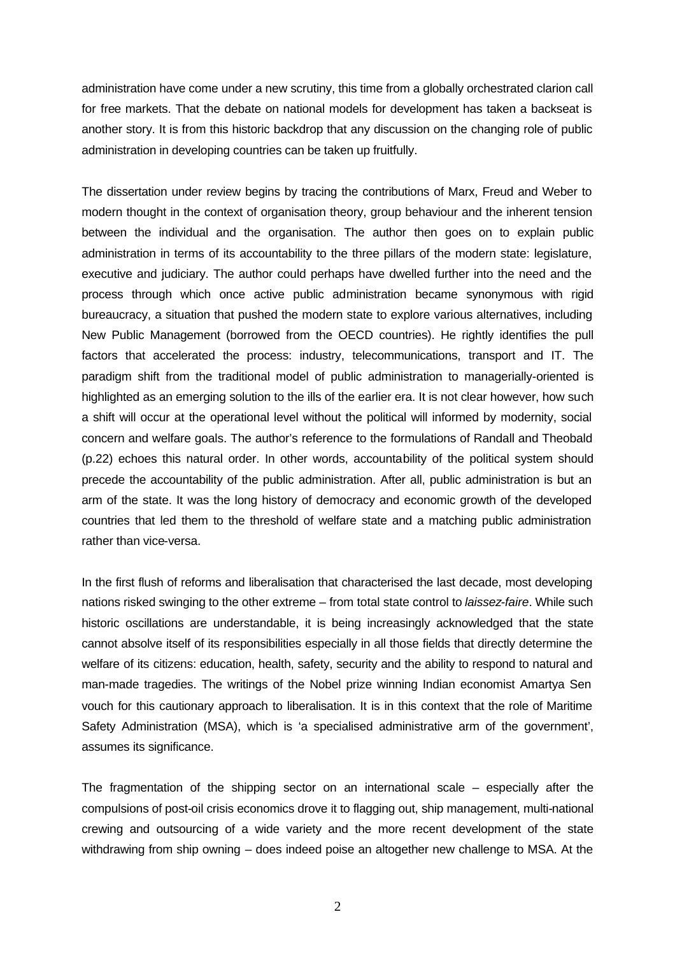administration have come under a new scrutiny, this time from a globally orchestrated clarion call for free markets. That the debate on national models for development has taken a backseat is another story. It is from this historic backdrop that any discussion on the changing role of public administration in developing countries can be taken up fruitfully.

The dissertation under review begins by tracing the contributions of Marx, Freud and Weber to modern thought in the context of organisation theory, group behaviour and the inherent tension between the individual and the organisation. The author then goes on to explain public administration in terms of its accountability to the three pillars of the modern state: legislature, executive and judiciary. The author could perhaps have dwelled further into the need and the process through which once active public administration became synonymous with rigid bureaucracy, a situation that pushed the modern state to explore various alternatives, including New Public Management (borrowed from the OECD countries). He rightly identifies the pull factors that accelerated the process: industry, telecommunications, transport and IT. The paradigm shift from the traditional model of public administration to managerially-oriented is highlighted as an emerging solution to the ills of the earlier era. It is not clear however, how such a shift will occur at the operational level without the political will informed by modernity, social concern and welfare goals. The author's reference to the formulations of Randall and Theobald (p.22) echoes this natural order. In other words, accountability of the political system should precede the accountability of the public administration. After all, public administration is but an arm of the state. It was the long history of democracy and economic growth of the developed countries that led them to the threshold of welfare state and a matching public administration rather than vice-versa.

In the first flush of reforms and liberalisation that characterised the last decade, most developing nations risked swinging to the other extreme – from total state control to *laissez-faire*. While such historic oscillations are understandable, it is being increasingly acknowledged that the state cannot absolve itself of its responsibilities especially in all those fields that directly determine the welfare of its citizens: education, health, safety, security and the ability to respond to natural and man-made tragedies. The writings of the Nobel prize winning Indian economist Amartya Sen vouch for this cautionary approach to liberalisation. It is in this context that the role of Maritime Safety Administration (MSA), which is 'a specialised administrative arm of the government', assumes its significance.

The fragmentation of the shipping sector on an international scale – especially after the compulsions of post-oil crisis economics drove it to flagging out, ship management, multi-national crewing and outsourcing of a wide variety and the more recent development of the state withdrawing from ship owning – does indeed poise an altogether new challenge to MSA. At the

2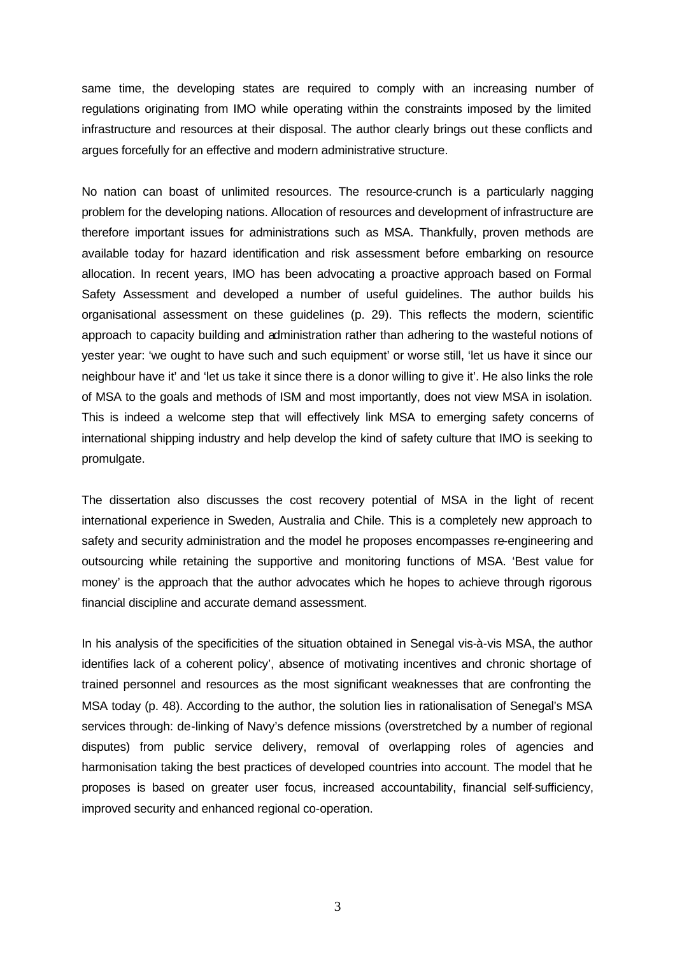same time, the developing states are required to comply with an increasing number of regulations originating from IMO while operating within the constraints imposed by the limited infrastructure and resources at their disposal. The author clearly brings out these conflicts and argues forcefully for an effective and modern administrative structure.

No nation can boast of unlimited resources. The resource-crunch is a particularly nagging problem for the developing nations. Allocation of resources and development of infrastructure are therefore important issues for administrations such as MSA. Thankfully, proven methods are available today for hazard identification and risk assessment before embarking on resource allocation. In recent years, IMO has been advocating a proactive approach based on Formal Safety Assessment and developed a number of useful guidelines. The author builds his organisational assessment on these guidelines (p. 29). This reflects the modern, scientific approach to capacity building and administration rather than adhering to the wasteful notions of yester year: 'we ought to have such and such equipment' or worse still, 'let us have it since our neighbour have it' and 'let us take it since there is a donor willing to give it'. He also links the role of MSA to the goals and methods of ISM and most importantly, does not view MSA in isolation. This is indeed a welcome step that will effectively link MSA to emerging safety concerns of international shipping industry and help develop the kind of safety culture that IMO is seeking to promulgate.

The dissertation also discusses the cost recovery potential of MSA in the light of recent international experience in Sweden, Australia and Chile. This is a completely new approach to safety and security administration and the model he proposes encompasses re-engineering and outsourcing while retaining the supportive and monitoring functions of MSA. 'Best value for money' is the approach that the author advocates which he hopes to achieve through rigorous financial discipline and accurate demand assessment.

In his analysis of the specificities of the situation obtained in Senegal vis-à-vis MSA, the author identifies lack of a coherent policy', absence of motivating incentives and chronic shortage of trained personnel and resources as the most significant weaknesses that are confronting the MSA today (p. 48). According to the author, the solution lies in rationalisation of Senegal's MSA services through: de-linking of Navy's defence missions (overstretched by a number of regional disputes) from public service delivery, removal of overlapping roles of agencies and harmonisation taking the best practices of developed countries into account. The model that he proposes is based on greater user focus, increased accountability, financial self-sufficiency, improved security and enhanced regional co-operation.